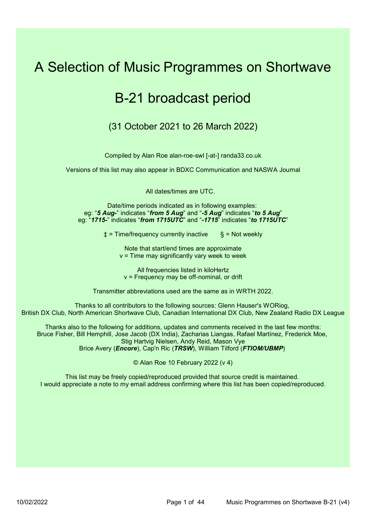# A Selection of Music Programmes on Shortwave

## B-21 broadcast period

(31 October 2021 to 26 March 2022)

Compiled by Alan Roe alan-roe-swl [-at-] randa33.co.uk

Versions of this list may also appear in BDXC Communication and NASWA Journal

All dates/times are UTC.

Date/time periods indicated as in following examples: eg: "5 Aug-" indicates "from 5 Aug" and "-5 Aug" indicates "to 5 Aug" eg: "1715-" indicates "from 1715UTC" and "-1715" indicates "to 1715UTC"

 $\pm$  = Time/frequency currently inactive  $\qquad$  § = Not weekly

Note that start/end times are approximate  $v =$  Time may significantly vary week to week

All frequencies listed in kiloHertz v = Frequency may be off-nominal, or drift

Transmitter abbreviations used are the same as in WRTH 2022.

Thanks to all contributors to the following sources: Glenn Hauser's WORiog, British DX Club, North American Shortwave Club, Canadian International DX Club, New Zealand Radio DX League

Thanks also to the following for additions, updates and comments received in the last few months: Bruce Fisher, Bill Hemphill, Jose Jacob (DX India), Zacharias Liangas, Rafael Martínez, Frederick Moe, Stig Hartvig Nielsen, Andy Reid, Mason Vye Brice Avery (Encore), Cap'n Ric (TRSW), William Tilford (FTIOM/UBMP)

© Alan Roe 10 February 2022 (v 4)

This list may be freely copied/reproduced provided that source credit is maintained. I would appreciate a note to my email address confirming where this list has been copied/reproduced.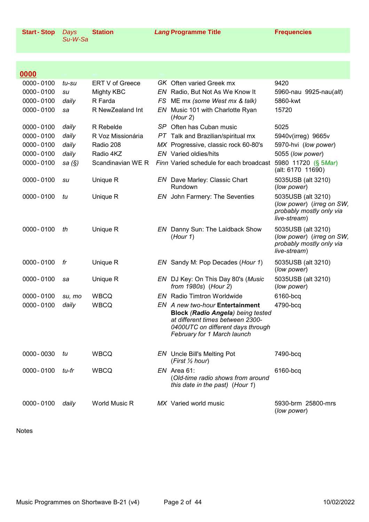0000-0100 daily World Music R MX Varied world music

| 0000-0100     | su     | Unique R    | EN Dave Marley: Classic Chart<br>Rundown                                                                                                                                            | 5035USB (alt 3210)<br>(low power)                                                           |
|---------------|--------|-------------|-------------------------------------------------------------------------------------------------------------------------------------------------------------------------------------|---------------------------------------------------------------------------------------------|
| 0000-0100     | tu     | Unique R    | EN John Farmery: The Seventies                                                                                                                                                      | 5035USB (alt 3210)<br>(low power) (irreg on SW,<br>probably mostly only via<br>live-stream) |
| $0000 - 0100$ | th     | Unique R    | EN Danny Sun: The Laidback Show<br>(Hour 1)                                                                                                                                         | 5035USB (alt 3210)<br>(low power) (irreg on SW,<br>probably mostly only via<br>live-stream) |
| 0000-0100     | fr     | Unique R    | EN Sandy M: Pop Decades (Hour 1)                                                                                                                                                    | 5035USB (alt 3210)<br>(low power)                                                           |
| 0000-0100     | sa     | Unique R    | EN DJ Key: On This Day 80's (Music<br>from 1980s) (Hour 2)                                                                                                                          | 5035USB (alt 3210)<br>(low power)                                                           |
| 0000-0100     | su, mo | <b>WBCQ</b> | <b>EN</b> Radio Timtron Worldwide                                                                                                                                                   | 6160-bcq                                                                                    |
| 0000-0100     | daily  | <b>WBCQ</b> | EN A new two-hour Entertainment<br><b>Block (Radio Angela) being tested</b><br>at different times between 2300-<br>0400UTC on different days through<br>February for 1 March launch | 4790-bcq                                                                                    |
| 0000 - 0030   | tu     | <b>WBCQ</b> | <b>EN</b> Uncle Bill's Melting Pot<br>(First $\frac{1}{2}$ hour)                                                                                                                    | 7490-bcq                                                                                    |
| 0000-0100     | tu-fr  | <b>WBCQ</b> | $EN$ Area 61:<br>(Old-time radio shows from around<br>this date in the past) (Hour 1)                                                                                               | 6160-bcq                                                                                    |

Su-W-Sa

Days

0000-0100 daily R Farda

0000-0100 daily R Voz Missionária

0000 -- - - - - - - - - - - - - - - -

0000-0100 su Mighty KBC **EN Radio, But Not As We Know It** 5960-nau 9925-nau(alt)

(Hour 2)

FS ME mx (some West mx & talk) 5860-kwt

 $PT$  Talk and Brazilian/spiritual mx  $5940$ v(irreg) 9665v

0000-0100 sa (§) Scandinavian WE R Finn Varied schedule for each broadcast 5980 11720 (§ 5Mar)

0000-0100 tu-su ERT V of Greece GK Often varied Greek mx 9420

0000-0100 sa R NewZealand Int EN Music 101 with Charlotte Ryan 15720

0000-0100 daily R Rebelde SP Often has Cuban music 5025

0000- 0100 daily Radio 208 MX Progressive, classic rock 60-80's

0000-0100 daily Radio 4KZ EN Varied oldies/hits

R Rebelde

5970-hvi (low power) 5055 (low power)

5930-brm 25800-mrs

(low power)

(alt: 6170 11690)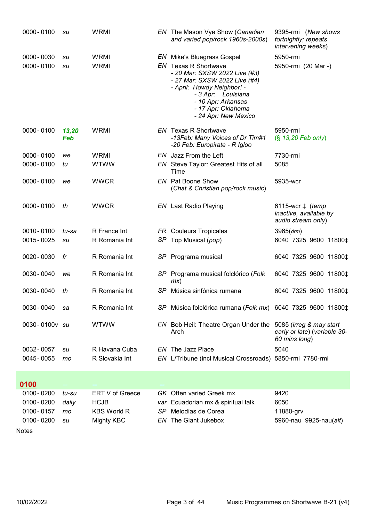|       | 0000-0100                | su           | <b>WRMI</b>                |     | EN The Mason Vye Show (Canadian<br>and varied pop/rock 1960s-2000s)                                                                                                                                                                                        | 9395-rmi (New shows<br>fortnightly; repeats<br>intervening weeks)         |
|-------|--------------------------|--------------|----------------------------|-----|------------------------------------------------------------------------------------------------------------------------------------------------------------------------------------------------------------------------------------------------------------|---------------------------------------------------------------------------|
|       | 0000 - 0030<br>0000-0100 | su<br>su     | <b>WRMI</b><br><b>WRMI</b> |     | <b>EN</b> Mike's Bluegrass Gospel<br><b>EN</b> Texas R Shortwave<br>- 20 Mar: SXSW 2022 Live (#3)<br>- 27 Mar: SXSW 2022 Live (#4)<br>- April: Howdy Neighbor! -<br>- 3 Apr: Louisiana<br>- 10 Apr: Arkansas<br>- 17 Apr: Oklahoma<br>- 24 Apr: New Mexico | 5950-rmi<br>5950-rmi (20 Mar -)                                           |
|       | 0000-0100                | 13,20<br>Feb | <b>WRMI</b>                |     | <b>EN</b> Texas R Shortwave<br>-13Feb: Many Voices of Dr Tim#1<br>-20 Feb: Europirate - R Igloo                                                                                                                                                            | 5950-rmi<br>$(S$ 13,20 Feb only)                                          |
|       | $0000 - 0100$            | we           | <b>WRMI</b>                |     | EN Jazz From the Left                                                                                                                                                                                                                                      | 7730-rmi                                                                  |
|       | $0000 - 0100$            | tu           | <b>WTWW</b>                |     | EN Steve Taylor: Greatest Hits of all<br>Time                                                                                                                                                                                                              | 5085                                                                      |
|       | $0000 - 0100$            | we           | <b>WWCR</b>                |     | <b>EN</b> Pat Boone Show<br>(Chat & Christian pop/rock music)                                                                                                                                                                                              | 5935-wcr                                                                  |
|       | $0000 - 0100$            | th           | <b>WWCR</b>                |     | <b>EN</b> Last Radio Playing                                                                                                                                                                                                                               | 6115-wcr $\ddagger$ (temp<br>inactive, available by<br>audio stream only) |
|       | 0010-0100                | tu-sa        | R France Int               |     | <b>FR</b> Couleurs Tropicales                                                                                                                                                                                                                              | $3965$ (drm)                                                              |
|       | 0015 - 0025              | su           | R Romania Int              |     | SP Top Musical (pop)                                                                                                                                                                                                                                       | 6040 7325 9600 11800‡                                                     |
|       | 0020 - 0030              | fr           | R Romania Int              |     | SP Programa musical                                                                                                                                                                                                                                        | 6040 7325 9600 11800‡                                                     |
|       | 0030 - 0040              | we           | R Romania Int              |     | SP Programa musical folclórico (Folk<br>mx)                                                                                                                                                                                                                | 6040 7325 9600 11800‡                                                     |
|       | 0030 - 0040              | th           | R Romania Int              |     | SP Música sinfónica rumana                                                                                                                                                                                                                                 | 6040 7325 9600 11800‡                                                     |
|       | 0030-0040                | sa           | R Romania Int              |     | SP Música folclórica rumana (Folk mx) 6040 7325 9600 11800‡                                                                                                                                                                                                |                                                                           |
|       | 0030-0100v su            |              | <b>WTWW</b>                |     | EN Bob Heil: Theatre Organ Under the 5085 (irreg & may start<br>Arch                                                                                                                                                                                       | early or late) (variable 30-<br>60 mins long)                             |
|       | 0032-0057                | su           | R Havana Cuba              |     | EN The Jazz Place                                                                                                                                                                                                                                          | 5040                                                                      |
|       | 0045 - 0055              | mo           | R Slovakia Int             |     | EN L/Tribune (incl Musical Crossroads) 5850-rmi 7780-rmi                                                                                                                                                                                                   |                                                                           |
|       |                          |              |                            |     |                                                                                                                                                                                                                                                            |                                                                           |
|       | $0100 - 0200$            | tu-su        | ERT V of Greece            |     | GK Often varied Greek mx                                                                                                                                                                                                                                   | 9420                                                                      |
|       | 0100-0200                | daily        | <b>HCJB</b>                |     | var Ecuadorian mx & spiritual talk                                                                                                                                                                                                                         | 6050                                                                      |
|       | 0100-0157                | mo           | <b>KBS World R</b>         | SP. | Melodías de Corea                                                                                                                                                                                                                                          | 11880-grv                                                                 |
|       | $0100 - 0200$            | su           | <b>Mighty KBC</b>          |     | <b>EN</b> The Giant Jukebox                                                                                                                                                                                                                                | 5960-nau 9925-nau(alt)                                                    |
| Notes |                          |              |                            |     |                                                                                                                                                                                                                                                            |                                                                           |
| 0100  |                          |              |                            |     |                                                                                                                                                                                                                                                            |                                                                           |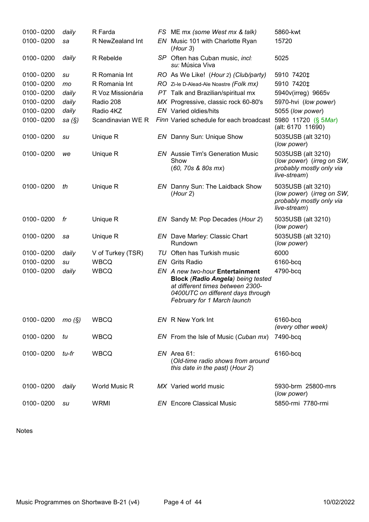| $0100 - 0200$ | daily     | R Farda           | FS ME mx (some West mx & talk)                                                                                                                                                      | 5860-kwt                                                                                    |
|---------------|-----------|-------------------|-------------------------------------------------------------------------------------------------------------------------------------------------------------------------------------|---------------------------------------------------------------------------------------------|
| $0100 - 0200$ | sa        | R NewZealand Int  | EN Music 101 with Charlotte Ryan<br>(Hour 3)                                                                                                                                        | 15720                                                                                       |
| $0100 - 0200$ | daily     | R Rebelde         | SP Often has Cuban music, incl:<br>su: Música Viva                                                                                                                                  | 5025                                                                                        |
| 0100-0200     | su        | R Romania Int     | RO As We Like! (Hour 2) (Club/party)                                                                                                                                                | 5910 7420‡                                                                                  |
| $0100 - 0200$ | mo        | R Romania Int     | RO Zi-le D-Alead-Ale Noastre (Folk mx)                                                                                                                                              | 5910 7420‡                                                                                  |
| $0100 - 0200$ | daily     | R Voz Missionária | PT Talk and Brazilian/spiritual mx                                                                                                                                                  | 5940v(irreg) 9665v                                                                          |
| $0100 - 0200$ | daily     | Radio 208         | MX Progressive, classic rock 60-80's                                                                                                                                                | 5970-hvi (low power)                                                                        |
| $0100 - 0200$ | daily     | Radio 4KZ         | <b>EN</b> Varied oldies/hits                                                                                                                                                        | 5055 (low power)                                                                            |
| $0100 - 0200$ | sa $(\S)$ | Scandinavian WE R | Finn Varied schedule for each broadcast 5980 11720 (§ 5Mar)                                                                                                                         | (alt: 6170 11690)                                                                           |
| 0100-0200     | su        | Unique R          | EN Danny Sun: Unique Show                                                                                                                                                           | 5035USB (alt 3210)<br>(low power)                                                           |
| $0100 - 0200$ | we        | Unique R          | <b>EN</b> Aussie Tim's Generation Music<br>Show<br>(60, 70s & 80s mx)                                                                                                               | 5035USB (alt 3210)<br>(low power) (irreg on SW,<br>probably mostly only via<br>live-stream) |
| $0100 - 0200$ | th        | Unique R          | EN Danny Sun: The Laidback Show<br>(Hour 2)                                                                                                                                         | 5035USB (alt 3210)<br>(low power) (irreg on SW,<br>probably mostly only via<br>live-stream) |
| $0100 - 0200$ | fr        | Unique R          | EN Sandy M: Pop Decades (Hour 2)                                                                                                                                                    | 5035USB (alt 3210)<br>(low power)                                                           |
| $0100 - 0200$ | sa        | Unique R          | <b>EN</b> Dave Marley: Classic Chart<br>Rundown                                                                                                                                     | 5035USB (alt 3210)<br>(low power)                                                           |
| 0100-0200     | daily     | V of Turkey (TSR) | TU Often has Turkish music                                                                                                                                                          | 6000                                                                                        |
| $0100 - 0200$ | su        | <b>WBCQ</b>       | <b>EN</b> Grits Radio                                                                                                                                                               | 6160-bcq                                                                                    |
| $0100 - 0200$ | daily     | <b>WBCQ</b>       | EN A new two-hour Entertainment<br><b>Block (Radio Angela) being tested</b><br>at different times between 2300-<br>0400UTC on different days through<br>February for 1 March launch | 4790-bcq                                                                                    |
| $0100 - 0200$ | mo(S)     | <b>WBCQ</b>       | EN R New York Int                                                                                                                                                                   | 6160-bcq<br>(every other week)                                                              |
| $0100 - 0200$ | tu        | <b>WBCQ</b>       | EN From the Isle of Music (Cuban mx)                                                                                                                                                | 7490-bcq                                                                                    |
| $0100 - 0200$ | tu-fr     | <b>WBCQ</b>       | $EN$ Area 61:<br>(Old-time radio shows from around<br>this date in the past) (Hour 2)                                                                                               | 6160-bcq                                                                                    |
| 0100-0200     | daily     | World Music R     | MX Varied world music                                                                                                                                                               | 5930-brm 25800-mrs<br>(low power)                                                           |
| $0100 - 0200$ | su        | <b>WRMI</b>       | <b>EN</b> Encore Classical Music                                                                                                                                                    | 5850-rmi 7780-rmi                                                                           |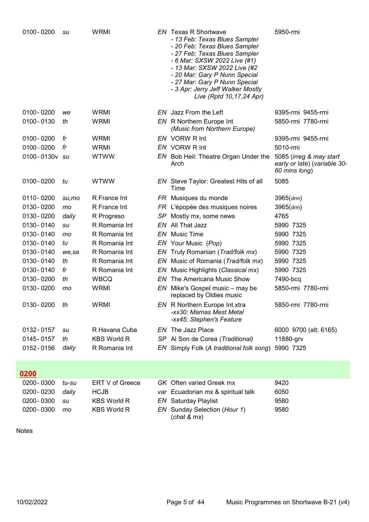| $0100 - 0200$ | su     | <b>WRMI</b>        |     | <b>EN</b> Texas R Shortwave<br>- 13 Feb: Texas Blues Sampler<br>- 20 Feb: Texas Blues Sampler<br>- 27 Feb: Texas Blues Sampler<br>- 6 Mar: SXSW 2022 Live (#1)<br>- 13 Mar: SXSW 2022 Live (#2<br>- 20 Mar: Gary P Nunn Special<br>- 27 Mar: Gary P Nunn Special<br>- 3 Apr: Jerry Jeff Walker Mostly<br>Live (Rptd 10, 17, 24 Apr) | 5950-rmi                                                                 |
|---------------|--------|--------------------|-----|-------------------------------------------------------------------------------------------------------------------------------------------------------------------------------------------------------------------------------------------------------------------------------------------------------------------------------------|--------------------------------------------------------------------------|
| 0100-0200     | we     | <b>WRMI</b>        |     | EN Jazz From the Left                                                                                                                                                                                                                                                                                                               | 9395-rmi 9455-rmi                                                        |
| 0100-0130     | th     | <b>WRMI</b>        |     | EN R Northern Europe Int<br>(Music from Northern Europe)                                                                                                                                                                                                                                                                            | 5850-rmi 7780-rmi                                                        |
| 0100-0200     | fr     | <b>WRMI</b>        |     | EN VORW R Int                                                                                                                                                                                                                                                                                                                       | 9395-rmi 9455-rmi                                                        |
| $0100 - 0200$ | fr     | <b>WRMI</b>        |     | EN VORW R Int                                                                                                                                                                                                                                                                                                                       | 5010-rmi                                                                 |
| 0100-0130v su |        | <b>WTWW</b>        |     | EN Bob Heil: Theatre Organ Under the<br>Arch                                                                                                                                                                                                                                                                                        | 5085 (irreg & may start<br>early or late) (variable 30-<br>60 mins long) |
| $0100 - 0200$ | tu     | <b>WTWW</b>        |     | <b>EN</b> Steve Taylor: Greatest Hits of all<br>Time                                                                                                                                                                                                                                                                                | 5085                                                                     |
| 0110-0200     | su,mo  | R France Int       |     | FR Musiques du monde                                                                                                                                                                                                                                                                                                                | 3965 (drm)                                                               |
| 0130 - 0200   | mo     | R France Int       |     | FR L'épopée des musiques noires                                                                                                                                                                                                                                                                                                     | 3965 (drm)                                                               |
| 0130 - 0200   | daily  | R Progreso         | SP  | Mostly mx, some news                                                                                                                                                                                                                                                                                                                | 4765                                                                     |
| 0130-0140     | su     | R Romania Int      |     | EN All That Jazz                                                                                                                                                                                                                                                                                                                    | 5990 7325                                                                |
| 0130-0140     | mo     | R Romania Int      |     | <b>EN</b> Music Time                                                                                                                                                                                                                                                                                                                | 5990 7325                                                                |
| 0130-0140     | tu     | R Romania Int      |     | EN Your Music (Pop)                                                                                                                                                                                                                                                                                                                 | 5990 7325                                                                |
| 0130-0140     | we, sa | R Romania Int      |     | EN Truly Romanian (Trad/folk mx)                                                                                                                                                                                                                                                                                                    | 5990 7325                                                                |
| 0130-0140     | th     | R Romania Int      |     | EN Music of Romania (Trad/folk mx)                                                                                                                                                                                                                                                                                                  | 5990 7325                                                                |
| 0130-0140     | fr     | R Romania Int      |     | EN Music Highlights (Classical mx)                                                                                                                                                                                                                                                                                                  | 5990 7325                                                                |
| 0130 - 0200   | th     | <b>WBCQ</b>        | EN. | The Americana Music Show                                                                                                                                                                                                                                                                                                            | 7490-bcq                                                                 |
| 0130 - 0200   | mo     | <b>WRMI</b>        |     | EN Mike's Gospel music – may be<br>replaced by Oldies music                                                                                                                                                                                                                                                                         | 5850-rmi 7780-rmi                                                        |
| 0130 - 0200   | th     | WRMI               |     | EN R Northern Europe Int xtra<br>-xx30: Mamas Mest Metal<br>-xx45: Stephen's Feature                                                                                                                                                                                                                                                | 5850-rmi 7780-rmi                                                        |
| 0132-0157     | su     | R Havana Cuba      |     | EN The Jazz Place                                                                                                                                                                                                                                                                                                                   | 6000 9700 (alt: 6165)                                                    |
| 0145-0157     | th     | <b>KBS World R</b> |     | SP Al Son de Corea (Traditional)                                                                                                                                                                                                                                                                                                    | 11880-grv                                                                |
| 0152 - 0156   | daily  | R Romania Int      |     | EN Simply Folk (A traditional folk song)                                                                                                                                                                                                                                                                                            | 5990 7325                                                                |
| 0200          |        |                    |     |                                                                                                                                                                                                                                                                                                                                     |                                                                          |
| 0200 - 0300   | tu-su  | ERT V of Greece    |     | GK Often varied Greek mx                                                                                                                                                                                                                                                                                                            | 9420                                                                     |
| 0200 - 0230   | daily  | <b>HCJB</b>        |     | var Ecuadorian mx & spiritual talk                                                                                                                                                                                                                                                                                                  | 6050                                                                     |
| 0200 - 0300   | su     | <b>KBS World R</b> |     | <b>EN</b> Saturday Playlist                                                                                                                                                                                                                                                                                                         | 9580                                                                     |
| 0200 - 0300   | mo     | <b>KBS World R</b> |     | EN Sunday Selection (Hour 1)                                                                                                                                                                                                                                                                                                        | 9580                                                                     |

(chat & mx)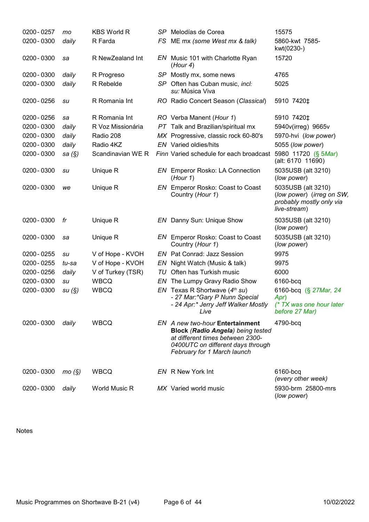| 0200 - 0257 | mo        | <b>KBS World R</b> | SP Melodías de Corea                                                                                                                                                                | 15575                                                                                       |
|-------------|-----------|--------------------|-------------------------------------------------------------------------------------------------------------------------------------------------------------------------------------|---------------------------------------------------------------------------------------------|
| 0200 - 0300 | daily     | R Farda            | FS ME mx (some West mx & talk)                                                                                                                                                      | 5860-kwt 7585-<br>kwt(0230-)                                                                |
| 0200 - 0300 | sa        | R NewZealand Int   | EN Music 101 with Charlotte Ryan<br>(Hour 4)                                                                                                                                        | 15720                                                                                       |
| 0200 - 0300 | daily     | R Progreso         | SP Mostly mx, some news                                                                                                                                                             | 4765                                                                                        |
| 0200 - 0300 | daily     | R Rebelde          | SP Often has Cuban music, incl:<br>su: Música Viva                                                                                                                                  | 5025                                                                                        |
| 0200 - 0256 | su        | R Romania Int      | RO Radio Concert Season (Classical)                                                                                                                                                 | 5910 7420‡                                                                                  |
| 0200 - 0256 | sa        | R Romania Int      | RO Verba Manent (Hour 1)                                                                                                                                                            | 5910 7420‡                                                                                  |
| 0200 - 0300 | daily     | R Voz Missionária  | PT Talk and Brazilian/spiritual mx                                                                                                                                                  | 5940v(irreg) 9665v                                                                          |
| 0200 - 0300 | daily     | Radio 208          | MX Progressive, classic rock 60-80's                                                                                                                                                | 5970-hvi (low power)                                                                        |
| 0200 - 0300 | daily     | Radio 4KZ          | <b>EN</b> Varied oldies/hits                                                                                                                                                        | 5055 (low power)                                                                            |
| 0200-0300   | sa $(\S)$ | Scandinavian WE R  | Finn Varied schedule for each broadcast                                                                                                                                             | 5980 11720 (§ 5Mar)<br>(alt: 6170 11690)                                                    |
| 0200 - 0300 | su        | Unique R           | <b>EN</b> Emperor Rosko: LA Connection<br>(Hour 1)                                                                                                                                  | 5035USB (alt 3210)<br>(low power)                                                           |
| 0200 - 0300 | we        | Unique R           | EN Emperor Rosko: Coast to Coast<br>Country (Hour 1)                                                                                                                                | 5035USB (alt 3210)<br>(low power) (irreg on SW,<br>probably mostly only via<br>live-stream) |
| 0200 - 0300 | fr        | Unique R           | EN Danny Sun: Unique Show                                                                                                                                                           | 5035USB (alt 3210)<br>(low power)                                                           |
| 0200 - 0300 | sa        | Unique R           | EN Emperor Rosko: Coast to Coast<br>Country (Hour 1)                                                                                                                                | 5035USB (alt 3210)<br>(low power)                                                           |
| 0200 - 0255 | su        | V of Hope - KVOH   | EN Pat Conrad: Jazz Session                                                                                                                                                         | 9975                                                                                        |
| 0200 - 0255 | tu-sa     | V of Hope - KVOH   | EN Night Watch (Music & talk)                                                                                                                                                       | 9975                                                                                        |
| 0200 - 0256 | daily     | V of Turkey (TSR)  | TU Often has Turkish music                                                                                                                                                          | 6000                                                                                        |
| 0200 - 0300 | su        | <b>WBCQ</b>        | EN The Lumpy Gravy Radio Show                                                                                                                                                       | 6160-bcq                                                                                    |
| 0200-0300   | su(S)     | <b>WBCQ</b>        | EN Texas R Shortwave $(4th su)$<br>- 27 Mar:*Gary P Nunn Special<br>- 24 Apr:* Jerry Jeff Walker Mostly<br>Live                                                                     | 6160-bcq (§ 27Mar, 24<br>Apr)<br>(* TX was one hour later<br>before 27 Mar)                 |
| 0200 - 0300 | daily     | <b>WBCQ</b>        | EN A new two-hour Entertainment<br><b>Block (Radio Angela) being tested</b><br>at different times between 2300-<br>0400UTC on different days through<br>February for 1 March launch | 4790-bcq                                                                                    |
| 0200 - 0300 | mo(S)     | <b>WBCQ</b>        | EN R New York Int                                                                                                                                                                   | 6160-bcq<br>(every other week)                                                              |
| 0200 - 0300 | daily     | World Music R      | MX Varied world music                                                                                                                                                               | 5930-brm 25800-mrs<br>(low power)                                                           |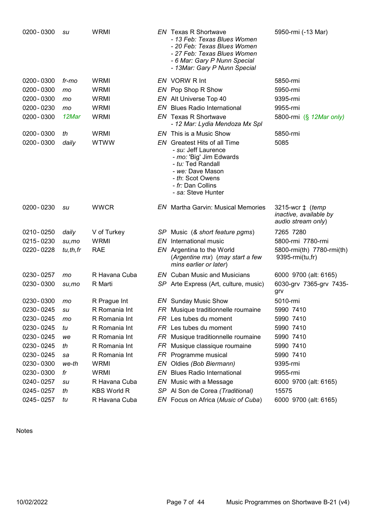| 0200 - 0300 | su         | <b>WRMI</b>        |     | <b>EN</b> Texas R Shortwave<br>- 13 Feb: Texas Blues Women<br>- 20 Feb: Texas Blues Women<br>- 27 Feb: Texas Blues Women<br>- 6 Mar: Gary P Nunn Special<br>- 13Mar: Gary P Nunn Special | 5950-rmi (-13 Mar)                                                       |
|-------------|------------|--------------------|-----|------------------------------------------------------------------------------------------------------------------------------------------------------------------------------------------|--------------------------------------------------------------------------|
| 0200 - 0300 | fr-mo      | <b>WRMI</b>        |     | EN VORW R Int                                                                                                                                                                            | 5850-rmi                                                                 |
| 0200 - 0300 | mo         | <b>WRMI</b>        |     | EN Pop Shop R Show                                                                                                                                                                       | 5950-rmi                                                                 |
| 0200 - 0300 | mo         | WRMI               |     | EN Alt Universe Top 40                                                                                                                                                                   | 9395-rmi                                                                 |
| 0200 - 0230 | mo         | <b>WRMI</b>        |     | <b>EN</b> Blues Radio International                                                                                                                                                      | 9955-rmi                                                                 |
| 0200 - 0300 | 12Mar      | <b>WRMI</b>        |     | <b>EN</b> Texas R Shortwave<br>- 12 Mar: Lydia Mendoza Mx Spl                                                                                                                            | 5800-rmi (§ 12Mar only)                                                  |
| 0200 - 0300 | th         | <b>WRMI</b>        |     | EN This is a Music Show                                                                                                                                                                  | 5850-rmi                                                                 |
| 0200 - 0300 | daily      | <b>WTWW</b>        |     | EN Greatest Hits of all Time<br>- su: Jeff Laurence<br>- mo: 'Big' Jim Edwards<br>- tu: Ted Randall<br>- we: Dave Mason<br>- th: Scot Owens<br>- fr: Dan Collins<br>- sa: Steve Hunter   | 5085                                                                     |
| 0200 - 0230 | su         | <b>WWCR</b>        |     | <b>EN</b> Martha Garvin: Musical Memories                                                                                                                                                | 3215-wcr ‡ ( <i>temp</i><br>inactive, available by<br>audio stream only) |
| 0210 - 0250 | daily      | V of Turkey        |     | SP Music (& short feature pgms)                                                                                                                                                          | 7265 7280                                                                |
| 0215 - 0230 | su,mo      | <b>WRMI</b>        | EN  | International music                                                                                                                                                                      | 5800-rmi 7780-rmi                                                        |
| 0220 - 0228 | tu, th, fr | <b>RAE</b>         |     | EN Argentina to the World<br>(Argentine mx) (may start a few<br>mins earlier or later)                                                                                                   | 5800-rmi(th) 7780-rmi(th)<br>9395-rmi(tu,fr)                             |
| 0230 - 0257 | mo         | R Havana Cuba      |     | <b>EN</b> Cuban Music and Musicians                                                                                                                                                      | 6000 9700 (alt: 6165)                                                    |
| 0230 - 0300 | su,mo      | R Marti            |     | SP Arte Express (Art, culture, music)                                                                                                                                                    | 6030-grv 7365-grv 7435-<br>grv                                           |
| 0230 - 0300 | mo         | R Prague Int       |     | <b>EN</b> Sunday Music Show                                                                                                                                                              | 5010-rmi                                                                 |
| 0230 - 0245 | su         | R Romania Int      |     | FR Musique traditionnelle roumaine                                                                                                                                                       | 5990 7410                                                                |
| 0230 - 0245 | mo         | R Romania Int      |     | FR Les tubes du moment                                                                                                                                                                   | 5990 7410                                                                |
| 0230 - 0245 | tu         | R Romania Int      |     | FR Les tubes du moment                                                                                                                                                                   | 5990 7410                                                                |
| 0230 - 0245 | we         | R Romania Int      | FR. | Musique traditionnelle roumaine                                                                                                                                                          | 5990 7410                                                                |
| 0230 - 0245 | th         | R Romania Int      | FR  | Musique classique roumaine                                                                                                                                                               | 5990 7410                                                                |
| 0230 - 0245 | sa         | R Romania Int      |     | FR Programme musical                                                                                                                                                                     | 5990 7410                                                                |
| 0230 - 0300 | we-th      | WRMI               | EN  | Oldies (Bob Biermann)                                                                                                                                                                    | 9395-rmi                                                                 |
| 0230 - 0300 | fr         | WRMI               |     | <b>EN</b> Blues Radio International                                                                                                                                                      | 9955-rmi                                                                 |
| 0240 - 0257 | su         | R Havana Cuba      |     | EN Music with a Message                                                                                                                                                                  | 6000 9700 (alt: 6165)                                                    |
| 0245 - 0257 | th         | <b>KBS World R</b> |     | SP Al Son de Corea (Traditional)                                                                                                                                                         | 15575                                                                    |
| 0245 - 0257 | tu         | R Havana Cuba      |     | EN Focus on Africa (Music of Cuba)                                                                                                                                                       | 6000 9700 (alt: 6165)                                                    |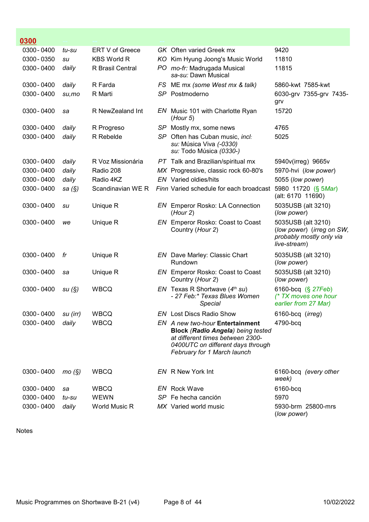| 0300        |           |                    |                                                                                                                                                                                     |                                                                                             |
|-------------|-----------|--------------------|-------------------------------------------------------------------------------------------------------------------------------------------------------------------------------------|---------------------------------------------------------------------------------------------|
| 0300 - 0400 | tu-su     | ERT V of Greece    | <b>GK</b> Often varied Greek mx                                                                                                                                                     | 9420                                                                                        |
| 0300 - 0350 | su        | <b>KBS World R</b> | KO Kim Hyung Joong's Music World                                                                                                                                                    | 11810                                                                                       |
| 0300 - 0400 | daily     | R Brasil Central   | PO mo-fr: Madrugada Musical<br>sa-su: Dawn Musical                                                                                                                                  | 11815                                                                                       |
| 0300 - 0400 | daily     | R Farda            | FS ME mx (some West mx & talk)                                                                                                                                                      | 5860-kwt 7585-kwt                                                                           |
| 0300 - 0400 | su,mo     | R Marti            | SP Postmoderno                                                                                                                                                                      | 6030-grv 7355-grv 7435-<br>grv                                                              |
| 0300 - 0400 | sa        | R NewZealand Int   | EN Music 101 with Charlotte Ryan<br>(Hour 5)                                                                                                                                        | 15720                                                                                       |
| 0300 - 0400 | daily     | R Progreso         | SP Mostly mx, some news                                                                                                                                                             | 4765                                                                                        |
| 0300 - 0400 | daily     | R Rebelde          | SP Often has Cuban music, incl:<br>su: Música Viva (-0330)<br>su: Todo Música (0330-)                                                                                               | 5025                                                                                        |
| 0300 - 0400 | daily     | R Voz Missionária  | PT Talk and Brazilian/spiritual mx                                                                                                                                                  | 5940v(irreg) 9665v                                                                          |
| 0300 - 0400 | daily     | Radio 208          | MX Progressive, classic rock 60-80's                                                                                                                                                | 5970-hvi (low power)                                                                        |
| 0300 - 0400 | daily     | Radio 4KZ          | <b>EN</b> Varied oldies/hits                                                                                                                                                        | 5055 (low power)                                                                            |
| 0300 - 0400 | sa $(\S)$ |                    | Scandinavian WE R Finn Varied schedule for each broadcast                                                                                                                           | 5980 11720 (§ 5Mar)<br>(alt: 6170 11690)                                                    |
| 0300 - 0400 | su        | Unique R           | EN Emperor Rosko: LA Connection<br>(Hour 2)                                                                                                                                         | 5035USB (alt 3210)<br>(low power)                                                           |
| 0300 - 0400 | we        | Unique R           | EN Emperor Rosko: Coast to Coast<br>Country (Hour 2)                                                                                                                                | 5035USB (alt 3210)<br>(low power) (irreg on SW,<br>probably mostly only via<br>live-stream) |
| 0300 - 0400 | fr        | Unique R           | EN Dave Marley: Classic Chart<br>Rundown                                                                                                                                            | 5035USB (alt 3210)<br>(low power)                                                           |
| 0300 - 0400 | sa        | Unique R           | EN Emperor Rosko: Coast to Coast<br>Country (Hour 2)                                                                                                                                | 5035USB (alt 3210)<br>(low power)                                                           |
| 0300 - 0400 | su(S)     | <b>WBCQ</b>        | EN Texas R Shortwave $(4th su)$<br>- 27 Feb:* Texas Blues Women<br><b>Special</b>                                                                                                   | 6160-bcq (§ 27Feb)<br>(* TX moves one hour<br>earlier from 27 Mar)                          |
| 0300 - 0400 | su (irr)  | <b>WBCQ</b>        | EN Lost Discs Radio Show                                                                                                                                                            | 6160-bcq (irreg)                                                                            |
| 0300 - 0400 | daily     | <b>WBCQ</b>        | EN A new two-hour Entertainment<br><b>Block (Radio Angela) being tested</b><br>at different times between 2300-<br>0400UTC on different days through<br>February for 1 March launch | 4790-bcq                                                                                    |
| 0300 - 0400 | mo(S)     | <b>WBCQ</b>        | EN R New York Int                                                                                                                                                                   | 6160-bcq (every other<br>week)                                                              |
| 0300 - 0400 | sa        | <b>WBCQ</b>        | EN Rock Wave                                                                                                                                                                        | 6160-bcq                                                                                    |
| 0300 - 0400 | tu-su     | <b>WEWN</b>        | SP Fe hecha canción                                                                                                                                                                 | 5970                                                                                        |
| 0300 - 0400 | daily     | World Music R      | MX Varied world music                                                                                                                                                               | 5930-brm 25800-mrs<br>(low power)                                                           |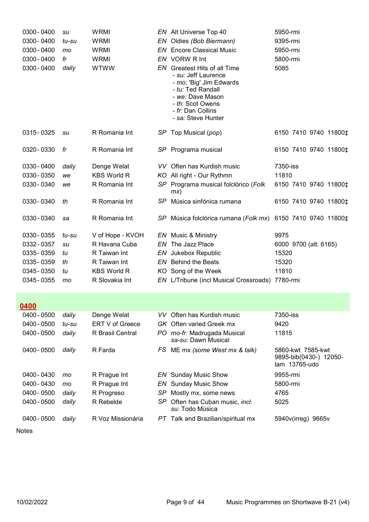| 0300 - 0400 | su    | <b>WRMI</b>        |    | EN Alt Universe Top 40                                                                                                                                                                     | 5950-rmi              |
|-------------|-------|--------------------|----|--------------------------------------------------------------------------------------------------------------------------------------------------------------------------------------------|-----------------------|
| 0300 - 0400 | tu-su | <b>WRMI</b>        |    | EN Oldies (Bob Biermann)                                                                                                                                                                   | 9395-rmi              |
| 0300 - 0400 | mo    | WRMI               |    | <b>EN</b> Encore Classical Music                                                                                                                                                           | 5950-rmi              |
| 0300 - 0400 | fr    | <b>WRMI</b>        |    | EN VORW R Int                                                                                                                                                                              | 5800-rmi              |
| 0300 - 0400 | daily | <b>WTWW</b>        | EN | <b>Greatest Hits of all Time</b><br>- su: Jeff Laurence<br>- mo: 'Big' Jim Edwards<br>- tu: Ted Randall<br>- we: Dave Mason<br>- th: Scot Owens<br>- fr: Dan Collins<br>- sa: Steve Hunter | 5085                  |
| 0315 - 0325 | su    | R Romania Int      |    | SP Top Musical (pop)                                                                                                                                                                       | 6150 7410 9740 11800‡ |
| 0320 - 0330 | fr    | R Romania Int      |    | SP Programa musical                                                                                                                                                                        | 6150 7410 9740 11800‡ |
| 0330 - 0400 | daily | Denge Welat        |    | VV Often has Kurdish music                                                                                                                                                                 | 7350-iss              |
| 0330 - 0350 | we    | <b>KBS World R</b> |    | KO All right - Our Rythmn                                                                                                                                                                  | 11810                 |
| 0330 - 0340 | we    | R Romania Int      |    | SP Programa musical folclórico (Folk<br>mx)                                                                                                                                                | 6150 7410 9740 11800‡ |
| 0330 - 0340 | th    | R Romania Int      |    | SP Música sinfónica rumana                                                                                                                                                                 | 6150 7410 9740 11800‡ |
| 0330-0340   | sa    | R Romania Int      |    | SP Música folclórica rumana (Folk mx) 6150 7410 9740 11800‡                                                                                                                                |                       |
| 0330 - 0355 | tu-su | V of Hope - KVOH   |    | EN Music & Ministry                                                                                                                                                                        | 9975                  |
| 0332 - 0357 | su    | R Havana Cuba      |    | EN The Jazz Place                                                                                                                                                                          | 6000 9700 (alt: 6165) |
| 0335 - 0359 | tu    | R Taiwan Int       |    | EN Jukebox Republic                                                                                                                                                                        | 15320                 |
| 0335 - 0359 | th    | R Taiwan Int       |    | <b>EN</b> Behind the Beats                                                                                                                                                                 | 15320                 |
| 0345 - 0350 | tu    | <b>KBS World R</b> |    | KO Song of the Week                                                                                                                                                                        | 11810                 |
| 0345 - 0355 | mo    | R Slovakia Int     |    | EN L/Tribune (incl Musical Crossroads) 7780-rmi                                                                                                                                            |                       |
| 0400        |       |                    |    |                                                                                                                                                                                            |                       |

| 0400 - 0500   | daily | Denge Welat             |      | VV Often has Kurdish music                              | 7350-iss                                                     |
|---------------|-------|-------------------------|------|---------------------------------------------------------|--------------------------------------------------------------|
| $0400 - 0500$ | tu-su | <b>ERT V of Greece</b>  |      | GK Often varied Greek mx                                | 9420                                                         |
| 0400 - 0500   | daily | <b>R</b> Brasil Central | PO.  | mo-fr: Madrugada Musical<br>sa-su: Dawn Musical         | 11815                                                        |
| 0400 - 0500   | daily | R Farda                 | FS . | ME mx (some West mx & talk)                             | 5860-kwt 7585-kwt<br>9895-bib(0430-) 12050-<br>lam 13765-udo |
| 0400 - 0430   | mo    | R Prague Int            |      | <b>EN</b> Sunday Music Show                             | 9955-rmi                                                     |
| 0400 - 0430   | mo    | R Prague Int            |      | <b>EN</b> Sunday Music Show                             | 5800-rmi                                                     |
| 0400 - 0500   | daily | R Progreso              | SP.  | Mostly mx, some news                                    | 4765                                                         |
| 0400 - 0500   | daily | R Rebelde               | SP.  | Often has Cuban music, <i>incl</i> :<br>su: Todo Música | 5025                                                         |
| 0400 - 0500   | daily | R Voz Missionária       |      | <b>PT</b> Talk and Brazilian/spiritual mx               | 5940v(irreg)<br>9665v                                        |
|               |       |                         |      |                                                         |                                                              |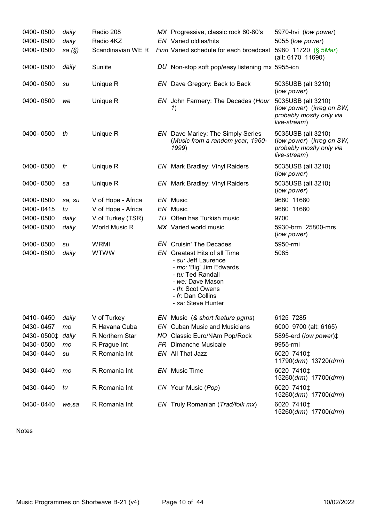| 0400 - 0500                  | daily     | Radio 208          |     | MX Progressive, classic rock 60-80's                                                                                                                                                          | 5970-hvi (low power)                                                                        |
|------------------------------|-----------|--------------------|-----|-----------------------------------------------------------------------------------------------------------------------------------------------------------------------------------------------|---------------------------------------------------------------------------------------------|
| 0400 - 0500                  | daily     | Radio 4KZ          |     | <b>EN</b> Varied oldies/hits                                                                                                                                                                  | 5055 (low power)                                                                            |
| 0400 - 0500                  | sa $(\S)$ | Scandinavian WE R  |     | Finn Varied schedule for each broadcast 5980 11720 (§ 5Mar)                                                                                                                                   | (alt: 6170 11690)                                                                           |
| 0400 - 0500                  | daily     | Sunlite            |     | DU Non-stop soft pop/easy listening mx 5955-icn                                                                                                                                               |                                                                                             |
| 0400 - 0500                  | su        | Unique R           |     | EN Dave Gregory: Back to Back                                                                                                                                                                 | 5035USB (alt 3210)<br>(low power)                                                           |
| 0400 - 0500                  | we        | Unique R           |     | EN John Farmery: The Decades (Hour<br>1)                                                                                                                                                      | 5035USB (alt 3210)<br>(low power) (irreg on SW,<br>probably mostly only via<br>live-stream) |
| 0400 - 0500                  | th        | Unique R           |     | <b>EN</b> Dave Marley: The Simply Series<br>(Music from a random year, 1960-<br>1999)                                                                                                         | 5035USB (alt 3210)<br>(low power) (irreg on SW,<br>probably mostly only via<br>live-stream) |
| 0400 - 0500                  | fr        | Unique R           |     | <b>EN</b> Mark Bradley: Vinyl Raiders                                                                                                                                                         | 5035USB (alt 3210)<br>(low power)                                                           |
| 0400 - 0500                  | sa        | Unique R           |     | <b>EN</b> Mark Bradley: Vinyl Raiders                                                                                                                                                         | 5035USB (alt 3210)<br>(low power)                                                           |
| 0400 - 0500                  | sa, su    | V of Hope - Africa |     | EN Music                                                                                                                                                                                      | 9680 11680                                                                                  |
| 0400 - 0415                  | tu        | V of Hope - Africa |     | EN Music                                                                                                                                                                                      | 9680 11680                                                                                  |
| 0400 - 0500                  | daily     | V of Turkey (TSR)  |     | TU Often has Turkish music                                                                                                                                                                    | 9700                                                                                        |
| 0400 - 0500                  | daily     | World Music R      |     | MX Varied world music                                                                                                                                                                         | 5930-brm 25800-mrs<br>(low power)                                                           |
| 0400 - 0500                  | su        | <b>WRMI</b>        |     | <b>EN</b> Cruisin' The Decades                                                                                                                                                                | 5950-rmi                                                                                    |
| 0400 - 0500                  | daily     | <b>WTWW</b>        |     | EN Greatest Hits of all Time<br>- su: Jeff Laurence<br>- mo: 'Big' Jim Edwards<br>- tu: Ted Randall<br>- we: Dave Mason<br>- th: Scot Owens<br>- fr: Dan Collins<br>- <i>sa:</i> Steve Hunter | 5085                                                                                        |
| 0410 - 0450                  | daily     | V of Turkey        |     | EN Music (& short feature pgms)                                                                                                                                                               | 6125 7285                                                                                   |
| 0430 - 0457                  | mo        | R Havana Cuba      |     | <b>EN</b> Cuban Music and Musicians                                                                                                                                                           | 6000 9700 (alt: 6165)                                                                       |
| 0430-0500 <sup>+</sup> daily |           | R Northern Star    | NO. | Classic Euro/NAm Pop/Rock                                                                                                                                                                     | 5895-erd (low power) <sup>±</sup>                                                           |
| 0430 - 0500                  | mo        | R Prague Int       | FR. | <b>Dimanche Musicale</b>                                                                                                                                                                      | 9955-rmi                                                                                    |
| 0430 - 0440                  | su        | R Romania Int      |     | EN All That Jazz                                                                                                                                                                              | 6020 7410‡<br>11790(drm) 13720(drm)                                                         |
| 0430 - 0440                  | mo        | R Romania Int      |     | <b>EN</b> Music Time                                                                                                                                                                          | 6020 7410‡<br>15260(drm) 17700(drm)                                                         |
| 0430 - 0440                  | tu        | R Romania Int      |     | EN Your Music (Pop)                                                                                                                                                                           | 6020 7410‡<br>15260(drm) 17700(drm)                                                         |
| 0430 - 0440                  | we, sa    | R Romania Int      |     | EN Truly Romanian (Trad/folk mx)                                                                                                                                                              | 6020 7410‡<br>15260(drm) 17700(drm)                                                         |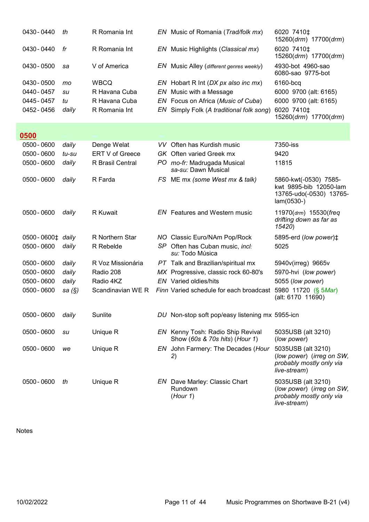| 0430 - 0440                  | th        | R Romania Int          |      | EN Music of Romania (Trad/folk mx)                                  | 6020 7410 <sup>±</sup><br>15260(drm) 17700(drm)                                             |
|------------------------------|-----------|------------------------|------|---------------------------------------------------------------------|---------------------------------------------------------------------------------------------|
| 0430 - 0440                  | fr        | R Romania Int          |      | EN Music Highlights (Classical mx)                                  | 6020 7410‡<br>15260(drm) 17700(drm)                                                         |
| 0430 - 0500                  | sa        | V of America           |      | EN Music Alley (different genres weekly)                            | 4930-bot 4960-sao<br>6080-sao 9775-bot                                                      |
| 0430 - 0500                  | mo        | <b>WBCQ</b>            |      | EN Hobart R Int (DX px also inc mx)                                 | 6160-bcq                                                                                    |
| 0440 - 0457                  | su        | R Havana Cuba          |      | EN Music with a Message                                             | 6000 9700 (alt: 6165)                                                                       |
| 0445 - 0457                  | tu        | R Havana Cuba          |      | EN Focus on Africa (Music of Cuba)                                  | 6000 9700 (alt: 6165)                                                                       |
| 0452 - 0456                  | daily     | R Romania Int          | EN . | Simply Folk (A traditional folk song)                               | 6020 7410‡<br>15260(drm) 17700(drm)                                                         |
| 0500                         |           |                        |      |                                                                     |                                                                                             |
| 0500 - 0600                  | daily     | Denge Welat            |      | VV Often has Kurdish music                                          | 7350-iss                                                                                    |
| 0500 - 0600                  | tu-su     | ERT V of Greece        |      | GK Often varied Greek mx                                            | 9420                                                                                        |
| 0500 - 0600                  | daily     | R Brasil Central       |      | PO mo-fr: Madrugada Musical<br>sa-su: Dawn Musical                  | 11815                                                                                       |
| 0500 - 0600                  | daily     | R Farda                |      | FS ME mx (some West mx & talk)                                      | 5860-kwt(-0530) 7585-<br>kwt 9895-bib 12050-lam<br>13765-udo(-0530) 13765-<br>$lam(0530-)$  |
| 0500 - 0600                  | daily     | <b>R</b> Kuwait        |      | <b>EN</b> Features and Western music                                | 11970(drm) 15530(freq<br>drifting down as far as<br>15420)                                  |
| 0500-0600 <sup>+</sup> daily |           | <b>R</b> Northern Star |      | NO Classic Euro/NAm Pop/Rock                                        | 5895-erd (low power) <sup><math>\ddagger</math></sup>                                       |
| 0500 - 0600                  | daily     | R Rebelde              |      | SP Often has Cuban music, incl:<br>su: Todo Música                  | 5025                                                                                        |
| 0500 - 0600                  | daily     | R Voz Missionária      |      | PT Talk and Brazilian/spiritual mx                                  | 5940v(irreg) 9665v                                                                          |
| 0500 - 0600                  | daily     | Radio 208              |      | MX Progressive, classic rock 60-80's                                | 5970-hvi (low power)                                                                        |
| 0500 - 0600                  | daily     | Radio 4KZ              |      | <b>EN</b> Varied oldies/hits                                        | 5055 (low power)                                                                            |
| 0500 - 0600                  | sa $(\S)$ | Scandinavian WE R      |      | Finn Varied schedule for each broadcast                             | 5980 11720 (§ 5Mar)<br>(alt: 6170 11690)                                                    |
| 0500 - 0600                  | daily     | Sunlite                |      | DU Non-stop soft pop/easy listening mx 5955-icn                     |                                                                                             |
| 0500 - 0600                  | su        | Unique R               |      | EN Kenny Tosh: Radio Ship Revival<br>Show (60s & 70s hits) (Hour 1) | 5035USB (alt 3210)<br>(low power)                                                           |
| 0500 - 0600                  | we        | Unique R               |      | EN John Farmery: The Decades (Hour<br>2)                            | 5035USB (alt 3210)<br>(low power) (irreg on SW,<br>probably mostly only via<br>live-stream) |
| 0500 - 0600                  | th        | Unique R               |      | <b>EN</b> Dave Marley: Classic Chart<br>Rundown<br>(Hour 1)         | 5035USB (alt 3210)<br>(low power) (irreg on SW,<br>probably mostly only via<br>live-stream) |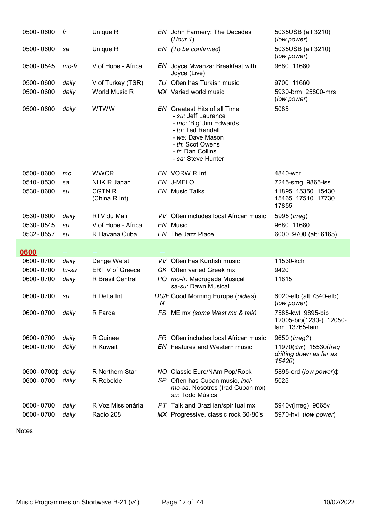| 0500 - 0600                | fr             | Unique R                                   |   | EN John Farmery: The Decades<br>(Hour 1)                                                                                                                                                      | 5035USB (alt 3210)<br>(low power)                             |
|----------------------------|----------------|--------------------------------------------|---|-----------------------------------------------------------------------------------------------------------------------------------------------------------------------------------------------|---------------------------------------------------------------|
| 0500 - 0600                | sa             | Unique R                                   |   | EN (To be confirmed)                                                                                                                                                                          | 5035USB (alt 3210)<br>(low power)                             |
| 0500 - 0545                | mo-fr          | V of Hope - Africa                         |   | EN Joyce Mwanza: Breakfast with<br>Joyce (Live)                                                                                                                                               | 9680 11680                                                    |
| 0500 - 0600                | daily          | V of Turkey (TSR)                          |   | TU Often has Turkish music                                                                                                                                                                    | 9700 11660                                                    |
| 0500 - 0600                | daily          | World Music R                              |   | MX Varied world music                                                                                                                                                                         | 5930-brm 25800-mrs<br>(low power)                             |
| 0500 - 0600                | daily          | <b>WTWW</b>                                |   | <b>EN</b> Greatest Hits of all Time<br>- su: Jeff Laurence<br>- mo: 'Big' Jim Edwards<br>- tu: Ted Randall<br>- we: Dave Mason<br>- th: Scot Owens<br>- fr: Dan Collins<br>- sa: Steve Hunter | 5085                                                          |
| 0500 - 0600                | mo             | <b>WWCR</b>                                |   | EN VORW R Int                                                                                                                                                                                 | 4840-wcr                                                      |
| 0510-0530                  | sa             | NHK R Japan                                |   | EN J-MELO                                                                                                                                                                                     | 7245-smg 9865-iss                                             |
| 0530 - 0600                | su             | <b>CGTN R</b><br>(China R Int)             |   | <b>EN</b> Music Talks                                                                                                                                                                         | 11895 15350 15430<br>15465 17510 17730<br>17855               |
| 0530 - 0600                | daily          | RTV du Mali                                |   | VV Often includes local African music                                                                                                                                                         | 5995 ( <i>irreg</i> )                                         |
| 0530 - 0545                | su             | V of Hope - Africa                         |   | EN Music                                                                                                                                                                                      | 9680 11680                                                    |
|                            |                |                                            |   |                                                                                                                                                                                               |                                                               |
| 0532 - 0557                | su             | R Havana Cuba                              |   | EN The Jazz Place                                                                                                                                                                             | 6000 9700 (alt: 6165)                                         |
|                            |                |                                            |   |                                                                                                                                                                                               |                                                               |
| 0600                       |                |                                            |   |                                                                                                                                                                                               |                                                               |
| 0600 - 0700                | daily          | Denge Welat                                |   | VV Often has Kurdish music                                                                                                                                                                    | 11530-kch                                                     |
| 0600 - 0700<br>0600 - 0700 | tu-su<br>daily | <b>ERT V of Greece</b><br>R Brasil Central |   | <b>GK</b> Often varied Greek mx<br>PO mo-fr: Madrugada Musical<br>sa-su: Dawn Musical                                                                                                         | 9420<br>11815                                                 |
| 0600 - 0700                | su             | R Delta Int                                | N | DU/E Good Morning Europe (oldies)                                                                                                                                                             | 6020-elb (alt:7340-elb)<br>(low power)                        |
| 0600 - 0700                | daily          | R Farda                                    |   | FS ME mx (some West mx & talk)                                                                                                                                                                | 7585-kwt 9895-bib<br>12005-bib(1230-) 12050-<br>lam 13765-lam |
| 0600 - 0700                | daily          | R Guinee                                   |   | FR Often includes local African music                                                                                                                                                         | 9650 (irreg?)                                                 |
| 0600 - 0700                | daily          | R Kuwait                                   |   | <b>EN</b> Features and Western music                                                                                                                                                          | 11970(drm) 15530(freq<br>drifting down as far as<br>15420)    |
| 0600-0700‡ daily           |                | R Northern Star                            |   | NO Classic Euro/NAm Pop/Rock                                                                                                                                                                  | 5895-erd (low power)‡                                         |
| 0600 - 0700                | daily          | R Rebelde                                  |   | SP Often has Cuban music, incl:<br>mo-sa: Nosotros (trad Cuban mx)<br>su: Todo Música                                                                                                         | 5025                                                          |
| 0600 - 0700                | daily          | R Voz Missionária                          |   |                                                                                                                                                                                               |                                                               |
| 0600 - 0700                | daily          | Radio 208                                  |   | PT Talk and Brazilian/spiritual mx<br>MX Progressive, classic rock 60-80's                                                                                                                    | 5940v(irreg) 9665v<br>5970-hvi (low power)                    |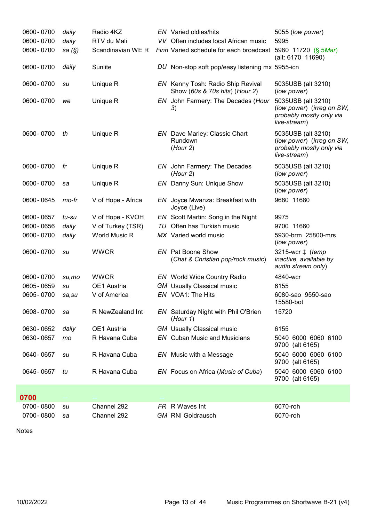| 0600 - 0700 | daily     | Radio 4KZ          | <b>EN</b> Varied oldies/hits                                        | 5055 (low power)                                                                            |
|-------------|-----------|--------------------|---------------------------------------------------------------------|---------------------------------------------------------------------------------------------|
| 0600 - 0700 | daily     | RTV du Mali        | VV Often includes local African music                               | 5995                                                                                        |
| 0600 - 0700 | sa $(\S)$ | Scandinavian WE R  | Finn Varied schedule for each broadcast 5980 11720 (§ 5Mar)         | (alt: 6170 11690)                                                                           |
| 0600 - 0700 | daily     | Sunlite            | DU Non-stop soft pop/easy listening mx 5955-icn                     |                                                                                             |
| 0600 - 0700 | su        | Unique R           | EN Kenny Tosh: Radio Ship Revival<br>Show (60s & 70s hits) (Hour 2) | 5035USB (alt 3210)<br>(low power)                                                           |
| 0600 - 0700 | we        | Unique R           | EN John Farmery: The Decades (Hour<br>3)                            | 5035USB (alt 3210)<br>(low power) (irreg on SW,<br>probably mostly only via<br>live-stream) |
| 0600 - 0700 | th        | Unique R           | <b>EN</b> Dave Marley: Classic Chart<br>Rundown<br>(Hour 2)         | 5035USB (alt 3210)<br>(low power) (irreg on SW,<br>probably mostly only via<br>live-stream) |
| 0600 - 0700 | fr        | Unique R           | EN John Farmery: The Decades<br>(Hour 2)                            | 5035USB (alt 3210)<br>(low power)                                                           |
| 0600 - 0700 | sa        | Unique R           | EN Danny Sun: Unique Show                                           | 5035USB (alt 3210)<br>(low power)                                                           |
| 0600 - 0645 | mo-fr     | V of Hope - Africa | EN Joyce Mwanza: Breakfast with<br>Joyce (Live)                     | 9680 11680                                                                                  |
| 0600 - 0657 | tu-su     | V of Hope - KVOH   | EN Scott Martin: Song in the Night                                  | 9975                                                                                        |
| 0600 - 0656 | daily     | V of Turkey (TSR)  | TU Often has Turkish music                                          | 9700 11660                                                                                  |
| 0600 - 0700 | daily     | World Music R      | MX Varied world music                                               | 5930-brm 25800-mrs<br>(low power)                                                           |
| 0600 - 0700 | su        | <b>WWCR</b>        | <b>EN</b> Pat Boone Show<br>(Chat & Christian pop/rock music)       | 3215-wcr $\ddagger$ (temp<br>inactive, available by<br>audio stream only)                   |
| 0600 - 0700 | su,mo     | <b>WWCR</b>        | <b>EN</b> World Wide Country Radio                                  | 4840-wcr                                                                                    |
| 0605 - 0659 | su        | OE1 Austria        | <b>GM</b> Usually Classical music                                   | 6155                                                                                        |
| 0605 - 0700 | sa,su     | V of America       | EN VOA1: The Hits                                                   | 6080-sao 9550-sao<br>15580-bot                                                              |
| 0608-0700   | sa        | R NewZealand Int   | EN Saturday Night with Phil O'Brien<br>(Hour 1)                     | 15720                                                                                       |
| 0630 - 0652 | daily     | OE1 Austria        | <b>GM</b> Usually Classical music                                   | 6155                                                                                        |
| 0630 - 0657 | mo        | R Havana Cuba      | <b>EN</b> Cuban Music and Musicians                                 | 5040 6000 6060 6100<br>9700 (alt 6165)                                                      |
| 0640 - 0657 | su        | R Havana Cuba      | EN Music with a Message                                             | 5040 6000 6060 6100<br>9700 (alt 6165)                                                      |
| 0645 - 0657 | tu        | R Havana Cuba      | EN Focus on Africa (Music of Cuba)                                  | 5040 6000 6060 6100<br>9700 (alt 6165)                                                      |
| 0700        |           |                    |                                                                     |                                                                                             |
| 0700 - 0800 | su        | Channel 292        | FR R Waves Int                                                      | 6070-roh                                                                                    |
| 0700 - 0800 | sa        | Channel 292        | <b>GM RNI Goldrausch</b>                                            | 6070-roh                                                                                    |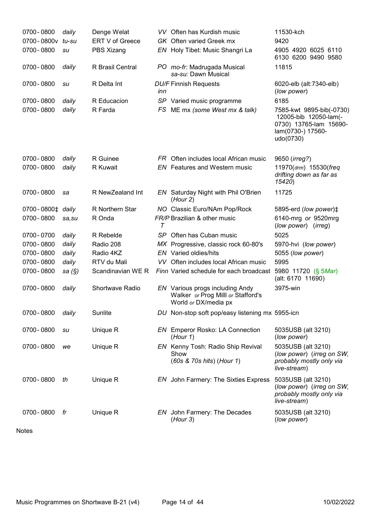| 0700 - 0800                  | daily     | Denge Welat            |     | VV Often has Kurdish music                                                                    | 11530-kch                                                                                                     |
|------------------------------|-----------|------------------------|-----|-----------------------------------------------------------------------------------------------|---------------------------------------------------------------------------------------------------------------|
| 0700-0800v                   | tu-su     | <b>ERT V of Greece</b> |     | GK Often varied Greek mx                                                                      | 9420                                                                                                          |
| 0700 - 0800                  | su        | PBS Xizang             |     | EN Holy Tibet: Music Shangri La                                                               | 4905 4920 6025 6110<br>6130 6200 9490 9580                                                                    |
| 0700 - 0800                  | daily     | R Brasil Central       |     | PO mo-fr: Madrugada Musical<br>sa-su: Dawn Musical                                            | 11815                                                                                                         |
| 0700 - 0800                  | su        | R Delta Int            | inn | <b>DU/F Finnish Requests</b>                                                                  | 6020-elb (alt:7340-elb)<br>(low power)                                                                        |
| 0700 - 0800                  | daily     | R Educacion            |     | SP Varied music programme                                                                     | 6185                                                                                                          |
| 0700 - 0800                  | daily     | R Farda                | FS. | ME mx (some West mx & talk)                                                                   | 7585-kwt 9895-bib(-0730)<br>12005-bib 12050-lam(-<br>0730) 13765-lam 15690-<br>lam(0730-) 17560-<br>udo(0730) |
| 0700 - 0800                  | daily     | R Guinee               |     | FR Often includes local African music                                                         | 9650 ( <i>irreg?</i> )                                                                                        |
| 0700 - 0800                  | daily     | R Kuwait               |     | <b>EN</b> Features and Western music                                                          | 11970(drm) 15530(freq<br>drifting down as far as<br>15420)                                                    |
| 0700 - 0800                  | sa        | R NewZealand Int       |     | EN Saturday Night with Phil O'Brien<br>(Hour 2)                                               | 11725                                                                                                         |
| 0700-0800 <sup>+</sup> daily |           | R Northern Star        |     | NO Classic Euro/NAm Pop/Rock                                                                  | 5895-erd (low power)‡                                                                                         |
| 0700 - 0800                  | sa,su     | R Onda                 | Τ   | FR/P Brazilian & other music                                                                  | 6140-mrg or 9520mrg<br>(low power) (irreg)                                                                    |
| 0700-0700                    | daily     | R Rebelde              |     | SP Often has Cuban music                                                                      | 5025                                                                                                          |
| 0700 - 0800                  | daily     | Radio 208              |     | MX Progressive, classic rock 60-80's                                                          | 5970-hvi (low power)                                                                                          |
| 0700 - 0800                  | daily     | Radio 4KZ              |     | EN Varied oldies/hits                                                                         | 5055 (low power)                                                                                              |
| 0700 - 0800                  | daily     | RTV du Mali            |     | VV Often includes local African music                                                         | 5995                                                                                                          |
| 0700 - 0800                  | sa $(\S)$ | Scandinavian WE R      |     | Finn Varied schedule for each broadcast                                                       | 5980 11720 (§ 5Mar)<br>(alt: 6170 11690)                                                                      |
| 0700 - 0800                  | daily     | Shortwave Radio        |     | EN Various progs including Andy<br>Walker or Prog Milll or Stafford's<br>World or DX/media px | 3975-win                                                                                                      |
| 0700 - 0800                  | daily     | Sunlite                |     | DU Non-stop soft pop/easy listening mx 5955-icn                                               |                                                                                                               |
| 0700 - 0800                  | su        | Unique R               |     | <b>EN</b> Emperor Rosko: LA Connection<br>(Hour 1)                                            | 5035USB (alt 3210)<br>(low power)                                                                             |
| 0700 - 0800                  | we        | Unique R               |     | EN Kenny Tosh: Radio Ship Revival<br>Show<br>(60s & 70s hits) (Hour 1)                        | 5035USB (alt 3210)<br>(low power) (irreg on SW,<br>probably mostly only via<br>live-stream)                   |
| 0700 - 0800                  | th        | Unique R               |     | EN John Farmery: The Sixties Express                                                          | 5035USB (alt 3210)<br>(low power) (irreg on SW,<br>probably mostly only via<br>live-stream)                   |
| 0700 - 0800                  | fr        | Unique R               |     | EN John Farmery: The Decades<br>(Hour 3)                                                      | 5035USB (alt 3210)<br>(low power)                                                                             |
|                              |           |                        |     |                                                                                               |                                                                                                               |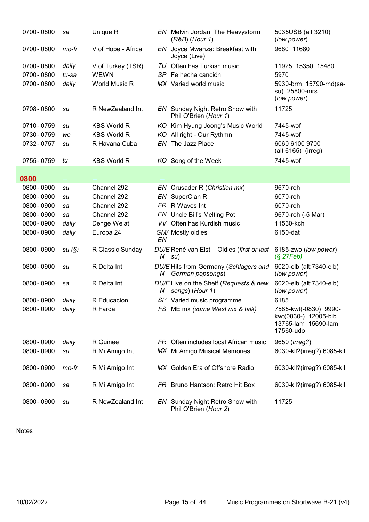| 0700 - 0800 | sa    | Unique R           |      | EN Melvin Jordan: The Heavystorm<br>$(R&B)$ (Hour 1)            | 5035USB (alt 3210)<br>(low power)                                                 |
|-------------|-------|--------------------|------|-----------------------------------------------------------------|-----------------------------------------------------------------------------------|
| 0700 - 0800 | mo-fr | V of Hope - Africa | EN   | Joyce Mwanza: Breakfast with<br>Joyce (Live)                    | 9680 11680                                                                        |
| 0700 - 0800 | daily | V of Turkey (TSR)  |      | TU Often has Turkish music                                      | 11925 15350 15480                                                                 |
| 0700 - 0800 | tu-sa | <b>WEWN</b>        |      | SP Fe hecha canción                                             | 5970                                                                              |
| 0700-0800   | daily | World Music R      |      | MX Varied world music                                           | 5930-brm 15790-rnd(sa-<br>su) 25800-mrs<br>(low power)                            |
| 0708-0800   | su    | R NewZealand Int   |      | EN Sunday Night Retro Show with<br>Phil O'Brien (Hour 1)        | 11725                                                                             |
| 0710-0759   | su    | <b>KBS World R</b> | KO . | Kim Hyung Joong's Music World                                   | 7445-wof                                                                          |
| 0730-0759   | we    | <b>KBS World R</b> | KO.  | All right - Our Rythmn                                          | 7445-wof                                                                          |
| 0732-0757   | su    | R Havana Cuba      |      | EN The Jazz Place                                               | 6060 6100 9700<br>(alt 6165) (irreg)                                              |
| 0755 - 0759 | tu    | <b>KBS World R</b> |      | KO Song of the Week                                             | 7445-wof                                                                          |
| 0800        |       |                    |      |                                                                 |                                                                                   |
| 0800 - 0900 | su    | Channel 292        |      | EN Crusader R (Christian mx)                                    | 9670-roh                                                                          |
| 0800 - 0900 | su    | Channel 292        |      | EN SuperClan R                                                  | 6070-roh                                                                          |
| 0800 - 0900 | sa    | Channel 292        |      | FR R Waves Int                                                  | 6070-roh                                                                          |
| 0800 - 0900 | sa    | Channel 292        |      | EN Uncle Bill's Melting Pot                                     | 9670-roh (-5 Mar)                                                                 |
| 0800 - 0900 | daily | Denge Welat        |      | VV Often has Kurdish music                                      | 11530-kch                                                                         |
| 0800 - 0900 | daily | Europa 24          | EN   | GM/ Mostly oldies                                               | 6150-dat                                                                          |
| 0800 - 0900 | su(S) | R Classic Sunday   | N.   | DU/E René van Elst - Oldies (first or last<br>su)               | 6185-zwo (low power)<br>$(S$ 27Feb)                                               |
| 0800 - 0900 | su    | R Delta Int        | N    | DU/E Hits from Germany (Schlagers and<br>German popsongs)       | 6020-elb (alt:7340-elb)<br>(low power)                                            |
| 0800 - 0900 | sa    | R Delta Int        | N    | DU/E Live on the Shelf (Requests & new<br>songs) (Hour 1)       | 6020-elb (alt:7340-elb)<br>(low power)                                            |
| 0800 - 0900 | daily | R Educacion        |      | SP Varied music programme                                       | 6185                                                                              |
| 0800 - 0900 | daily | R Farda            |      | FS ME mx (some West mx & talk)                                  | 7585-kwt(-0830) 9990-<br>kwt(0830-) 12005-bib<br>13765-lam 15690-lam<br>17560-udo |
| 0800 - 0900 | daily | R Guinee           |      | FR Often includes local African music                           | 9650 ( <i>irreg?</i> )                                                            |
| 0800 - 0900 | su    | R Mi Amigo Int     |      | MX Mi Amigo Musical Memories                                    | 6030-kll?(irreg?) 6085-kll                                                        |
| 0800 - 0900 | mo-fr | R Mi Amigo Int     |      | MX Golden Era of Offshore Radio                                 | 6030-kll?(irreg?) 6085-kll                                                        |
| 0800 - 0900 | sa    | R Mi Amigo Int     |      | FR Bruno Hantson: Retro Hit Box                                 | 6030-kll?(irreg?) 6085-kll                                                        |
| 0800 - 0900 | su    | R NewZealand Int   |      | <b>EN</b> Sunday Night Retro Show with<br>Phil O'Brien (Hour 2) | 11725                                                                             |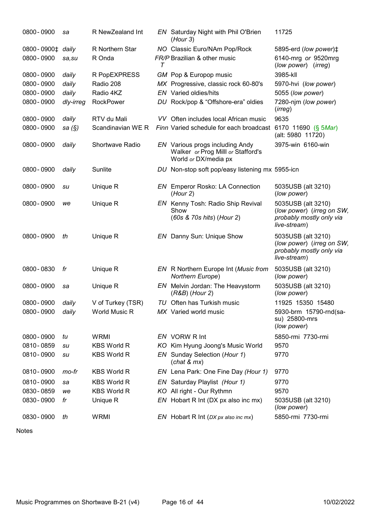| 0800 - 0900                                 | sa        | R NewZealand Int   |   | EN Saturday Night with Phil O'Brien<br>(Hour 3)                                               | 11725                                                                                       |
|---------------------------------------------|-----------|--------------------|---|-----------------------------------------------------------------------------------------------|---------------------------------------------------------------------------------------------|
| 0800-0900 <sup><math>\pm</math></sup> daily |           | R Northern Star    |   | NO Classic Euro/NAm Pop/Rock                                                                  | 5895-erd (low power) <sup><math>\ddagger</math></sup>                                       |
| 0800 - 0900                                 | sa,su     | R Onda             | T | FR/P Brazilian & other music                                                                  | 6140-mrg or 9520mrg<br>(low power) (irreg)                                                  |
| 0800 - 0900                                 | daily     | R PopEXPRESS       |   | GM Pop & Europop music                                                                        | 3985-kll                                                                                    |
| 0800 - 0900                                 | daily     | Radio 208          |   | MX Progressive, classic rock 60-80's                                                          | 5970-hvi (low power)                                                                        |
| 0800 - 0900                                 | daily     | Radio 4KZ          |   | <b>EN</b> Varied oldies/hits                                                                  | 5055 (low power)                                                                            |
| 0800 - 0900                                 | dly-irreg | <b>RockPower</b>   |   | DU Rock/pop & "Offshore-era" oldies                                                           | 7280-njm (low power)<br>(irreg)                                                             |
| 0800 - 0900                                 | daily     | RTV du Mali        |   | VV Often includes local African music                                                         | 9635                                                                                        |
| 0800 - 0900                                 | sa $(\S)$ | Scandinavian WE R  |   | Finn Varied schedule for each broadcast 6170 11690 (§ 5Mar)                                   | (alt: 5980 11720)                                                                           |
| 0800 - 0900                                 | daily     | Shortwave Radio    |   | EN Various progs including Andy<br>Walker or Prog Milll or Stafford's<br>World or DX/media px | 3975-win 6160-win                                                                           |
| 0800 - 0900                                 | daily     | Sunlite            |   | DU Non-stop soft pop/easy listening mx 5955-icn                                               |                                                                                             |
| 0800 - 0900                                 | su        | Unique R           |   | <b>EN</b> Emperor Rosko: LA Connection<br>(Hour 2)                                            | 5035USB (alt 3210)<br>(low power)                                                           |
| 0800 - 0900                                 | we        | Unique R           |   | EN Kenny Tosh: Radio Ship Revival<br>Show<br>(60s & 70s hits) (Hour 2)                        | 5035USB (alt 3210)<br>(low power) (irreg on SW,<br>probably mostly only via<br>live-stream) |
| 0800 - 0900                                 | th        | Unique R           |   | EN Danny Sun: Unique Show                                                                     | 5035USB (alt 3210)<br>(low power) (irreg on SW,<br>probably mostly only via<br>live-stream) |
| 0800 - 0830                                 | fr        | Unique R           |   | EN R Northern Europe Int (Music from<br>Northern Europe)                                      | 5035USB (alt 3210)<br>(low power)                                                           |
| 0800 - 0900                                 | sa        | Unique R           |   | EN Melvin Jordan: The Heavystorm<br>$(R&B)$ (Hour 2)                                          | 5035USB (alt 3210)<br>(low power)                                                           |
| 0800 - 0900                                 | daily     | V of Turkey (TSR)  |   | TU Often has Turkish music                                                                    | 11925 15350 15480                                                                           |
| 0800 - 0900                                 | daily     | World Music R      |   | MX Varied world music                                                                         | 5930-brm 15790-rnd(sa-<br>su) 25800-mrs<br>(low power)                                      |
| 0800 - 0900                                 | tu        | <b>WRMI</b>        |   | EN VORW R Int                                                                                 | 5850-rmi 7730-rmi                                                                           |
| 0810-0859                                   | su        | <b>KBS World R</b> |   | KO Kim Hyung Joong's Music World                                                              | 9570                                                                                        |
| 0810-0900                                   | su        | <b>KBS World R</b> |   | EN Sunday Selection (Hour 1)<br>(char & mx)                                                   | 9770                                                                                        |
| 0810-0900                                   | mo-fr     | <b>KBS World R</b> |   | EN Lena Park: One Fine Day (Hour 1)                                                           | 9770                                                                                        |
| 0810-0900                                   | sa        | <b>KBS World R</b> |   | EN Saturday Playlist (Hour 1)                                                                 | 9770                                                                                        |
| 0830 - 0859                                 | we        | <b>KBS World R</b> |   | KO All right - Our Rythmn                                                                     | 9570                                                                                        |
| 0830 - 0900                                 | fr        | Unique R           |   | EN Hobart R Int (DX px also inc mx)                                                           | 5035USB (alt 3210)<br>(low power)                                                           |
| 0830 - 0900                                 | th        | <b>WRMI</b>        |   | EN Hobart R Int ( $DX px$ also inc $mx$ )                                                     | 5850-rmi 7730-rmi                                                                           |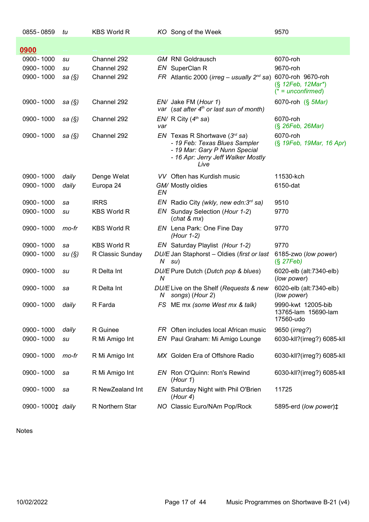| 0855 - 0859                                 | tu        | <b>KBS World R</b> |     | KO Song of the Week                                                                                                                                    | 9570                                                                              |
|---------------------------------------------|-----------|--------------------|-----|--------------------------------------------------------------------------------------------------------------------------------------------------------|-----------------------------------------------------------------------------------|
| 0900                                        |           |                    |     |                                                                                                                                                        |                                                                                   |
| 0900 - 1000                                 | su        | Channel 292        |     | <b>GM RNI Goldrausch</b>                                                                                                                               | 6070-roh                                                                          |
| 0900 - 1000                                 | su        | Channel 292        |     | EN SuperClan R                                                                                                                                         | 9670-roh                                                                          |
| 0900 - 1000                                 | sa $(\S)$ | Channel 292        |     | FR Atlantic 2000 ( <i>irreg – usually</i> $2^{nd}$ sa)                                                                                                 | 6070-roh 9670-roh<br>$(\S 12 \text{Feb}, 12 \text{Mar}^*)$<br>$(* = unconfirmed)$ |
| 0900 - 1000                                 | sa $(S)$  | Channel 292        |     | EN/ Jake FM (Hour 1)<br>var (sat after $4th$ or last sun of month)                                                                                     | 6070-roh (§ 5Mar)                                                                 |
| 0900 - 1000                                 | sa $(S)$  | Channel 292        | var | $EN/ R$ City ( $4th$ sa)                                                                                                                               | 6070-roh<br>(§ 26Feb, 26Mar)                                                      |
| 0900 - 1000                                 | sa $(S)$  | Channel 292        |     | <i>EN</i> Texas R Shortwave $(3rd$ sa)<br>- 19 Feb: Texas Blues Sampler<br>- 19 Mar: Gary P Nunn Special<br>- 16 Apr: Jerry Jeff Walker Mostly<br>Live | 6070-roh<br>(§ 19Feb, 19Mar, 16 Apr)                                              |
| 0900 - 1000                                 | daily     | Denge Welat        |     | VV Often has Kurdish music                                                                                                                             | 11530-kch                                                                         |
| 0900 - 1000                                 | daily     | Europa 24          | EN  | GM/ Mostly oldies                                                                                                                                      | 6150-dat                                                                          |
| 0900 - 1000                                 | sa        | <b>IRRS</b>        |     | EN Radio City (wkly, new edn: $3^{rd}$ sa)                                                                                                             | 9510                                                                              |
| 0900 - 1000                                 | su        | <b>KBS World R</b> |     | EN Sunday Selection (Hour 1-2)<br>(char & mx)                                                                                                          | 9770                                                                              |
| 0900 - 1000                                 | mo-fr     | <b>KBS World R</b> |     | EN Lena Park: One Fine Day<br>(Hour 1-2)                                                                                                               | 9770                                                                              |
| 0900 - 1000                                 | sa        | <b>KBS World R</b> |     | EN Saturday Playlist (Hour 1-2)                                                                                                                        | 9770                                                                              |
| 0900 - 1000                                 | su(S)     | R Classic Sunday   |     | DU/E Jan Staphorst - Oldies (first or last<br>$N$ su)                                                                                                  | 6185-zwo (low power)<br>$(S$ 27Feb)                                               |
| 0900 - 1000                                 | su        | R Delta Int        | N   | DU/E Pure Dutch (Dutch pop & blues)                                                                                                                    | 6020-elb (alt:7340-elb)<br>(low power)                                            |
| 0900 - 1000                                 | sa        | R Delta Int        |     | DU/E Live on the Shelf (Requests & new<br>N songs) (Hour 2)                                                                                            | 6020-elb (alt:7340-elb)<br>(low power)                                            |
| 0900-1000 daily                             |           | R Farda            |     | FS ME mx (some West mx & talk)                                                                                                                         | 9990-kwt 12005-bib<br>13765-lam 15690-lam<br>17560-udo                            |
| 0900 - 1000                                 | daily     | R Guinee           |     | FR Often includes local African music                                                                                                                  | 9650 ( <i>irreg?</i> )                                                            |
| 0900 - 1000                                 | su        | R Mi Amigo Int     |     | EN Paul Graham: Mi Amigo Lounge                                                                                                                        | 6030-kll?(irreg?) 6085-kll                                                        |
| 0900 - 1000                                 | mo-fr     | R Mi Amigo Int     |     | MX Golden Era of Offshore Radio                                                                                                                        | 6030-kll?(irreg?) 6085-kll                                                        |
| 0900 - 1000                                 | sa        | R Mi Amigo Int     |     | EN Ron O'Quinn: Ron's Rewind<br>(Hour 1)                                                                                                               | 6030-kll?(irreg?) 6085-kll                                                        |
| 0900 - 1000                                 | sa        | R NewZealand Int   |     | EN Saturday Night with Phil O'Brien<br>(Hour 4)                                                                                                        | 11725                                                                             |
| 0900-1000 <sup><math>\pm</math></sup> daily |           | R Northern Star    |     | NO Classic Euro/NAm Pop/Rock                                                                                                                           | 5895-erd (low power) <sup><math>\ddagger</math></sup>                             |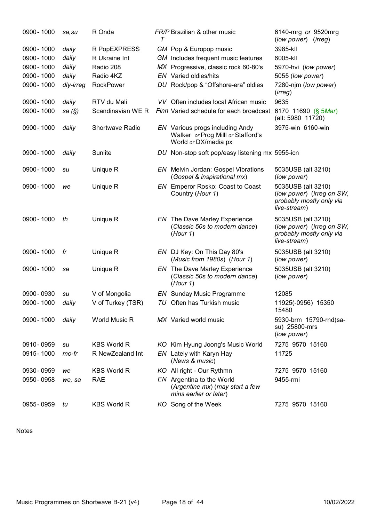| 0900 - 1000 | sa, su    | R Onda             | т | FR/P Brazilian & other music                                                                  | 6140-mrg or 9520mrg<br>(low power) (irreg)                                                  |
|-------------|-----------|--------------------|---|-----------------------------------------------------------------------------------------------|---------------------------------------------------------------------------------------------|
| 0900 - 1000 | daily     | R PopEXPRESS       |   | GM Pop & Europop music                                                                        | 3985-kll                                                                                    |
| 0900 - 1000 | daily     | R Ukraine Int      |   | GM Includes frequent music features                                                           | 6005-kll                                                                                    |
| 0900 - 1000 | daily     | Radio 208          |   | MX Progressive, classic rock 60-80's                                                          | 5970-hvi (low power)                                                                        |
| 0900 - 1000 | daily     | Radio 4KZ          |   | <b>EN</b> Varied oldies/hits                                                                  | 5055 (low power)                                                                            |
| 0900 - 1000 | dly-irreg | RockPower          |   | DU Rock/pop & "Offshore-era" oldies                                                           | 7280-njm (low power)<br>(irreg)                                                             |
| 0900 - 1000 | daily     | RTV du Mali        |   | VV Often includes local African music                                                         | 9635                                                                                        |
| 0900 - 1000 | sa $(\S)$ | Scandinavian WE R  |   | Finn Varied schedule for each broadcast                                                       | 6170 11690 (§ 5Mar)<br>(alt: 5980 11720)                                                    |
| 0900 - 1000 | daily     | Shortwave Radio    |   | EN Various progs including Andy<br>Walker or Prog Milll or Stafford's<br>World or DX/media px | 3975-win 6160-win                                                                           |
| 0900 - 1000 | daily     | Sunlite            |   | DU Non-stop soft pop/easy listening mx 5955-icn                                               |                                                                                             |
| 0900 - 1000 | su        | Unique R           |   | <b>EN</b> Melvin Jordan: Gospel Vibrations<br>(Gospel & inspirational mx)                     | 5035USB (alt 3210)<br>(low power)                                                           |
| 0900 - 1000 | we        | Unique R           |   | EN Emperor Rosko: Coast to Coast<br>Country (Hour 1)                                          | 5035USB (alt 3210)<br>(low power) (irreg on SW,<br>probably mostly only via<br>live-stream) |
| 0900 - 1000 | th        | Unique R           |   | <b>EN</b> The Dave Marley Experience<br>(Classic 50s to modern dance)<br>(Hour 1)             | 5035USB (alt 3210)<br>(low power) (irreg on SW,<br>probably mostly only via<br>live-stream) |
| 0900 - 1000 | fr        | Unique R           |   | EN DJ Key: On This Day 80's<br>(Music from 1980s) (Hour 1)                                    | 5035USB (alt 3210)<br>(low power)                                                           |
| 0900 - 1000 | sa        | Unique R           |   | <b>EN</b> The Dave Marley Experience<br>(Classic 50s to modern dance)<br>(Hour 1)             | 5035USB (alt 3210)<br>(low power)                                                           |
| 0900 - 0930 | su        | V of Mongolia      |   | <b>EN</b> Sunday Music Programme                                                              | 12085                                                                                       |
| 0900 - 1000 | daily     | V of Turkey (TSR)  |   | TU Often has Turkish music                                                                    | 11925(-0956) 15350<br>15480                                                                 |
| 0900 - 1000 | daily     | World Music R      |   | MX Varied world music                                                                         | 5930-brm 15790-rnd(sa-<br>su) 25800-mrs<br>(low power)                                      |
| 0910 - 0959 | su        | <b>KBS World R</b> |   | KO Kim Hyung Joong's Music World                                                              | 7275 9570 15160                                                                             |
| 0915 - 1000 | mo-fr     | R NewZealand Int   |   | EN Lately with Karyn Hay<br>(News & music)                                                    | 11725                                                                                       |
| 0930 - 0959 | we        | <b>KBS World R</b> |   | KO All right - Our Rythmn                                                                     | 7275 9570 15160                                                                             |
| 0950 - 0958 | we, sa    | <b>RAE</b>         |   | EN Argentina to the World<br>(Argentine mx) (may start a few<br>mins earlier or later)        | 9455-rmi                                                                                    |
| 0955 - 0959 | tu        | <b>KBS World R</b> |   | KO Song of the Week                                                                           | 7275 9570 15160                                                                             |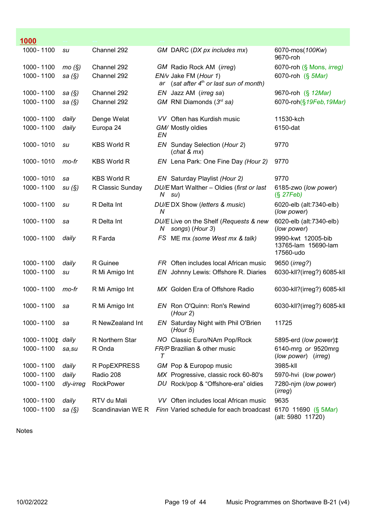| 1000                         |           |                    |     |                                                                 |                                                        |
|------------------------------|-----------|--------------------|-----|-----------------------------------------------------------------|--------------------------------------------------------|
| 1000 - 1100                  | su        | Channel 292        |     | GM DARC (DX px includes mx)                                     | 6070-mos(100Kw)<br>9670-roh                            |
| 1000 - 1100                  | mo(S)     | Channel 292        |     | GM Radio Rock AM (irreg)                                        | 6070-roh (§ Mons, <i>irreg)</i>                        |
| 1000 - 1100                  | sa $(\S)$ | Channel 292        | ar  | EN/v Jake FM (Hour 1)<br>(sat after $4th$ or last sun of month) | 6070-roh (§ 5Mar)                                      |
| 1000 - 1100                  | sa $(\S)$ | Channel 292        |     | EN Jazz AM (irreg sa)                                           | 9670-roh (§ 12Mar)                                     |
| 1000 - 1100                  | sa $(\S)$ | Channel 292        |     | GM RNI Diamonds $(3rd$ sa)                                      | 6070-roh(§19Feb, 19Mar)                                |
| 1000 - 1100                  | daily     | Denge Welat        |     | VV Often has Kurdish music                                      | 11530-kch                                              |
| 1000 - 1100                  | daily     | Europa 24          | EN  | GM/ Mostly oldies                                               | 6150-dat                                               |
| 1000 - 1010                  | su        | <b>KBS World R</b> |     | EN Sunday Selection (Hour 2)<br>(char & mx)                     | 9770                                                   |
| 1000 - 1010                  | mo-fr     | <b>KBS World R</b> |     | EN Lena Park: One Fine Day (Hour 2)                             | 9770                                                   |
| 1000 - 1010                  | sa        | <b>KBS World R</b> |     | EN Saturday Playlist (Hour 2)                                   | 9770                                                   |
| 1000 - 1100                  | su(S)     | R Classic Sunday   |     | DU/E Mart Walther - Oldies (first or last<br>$N$ su)            | 6185-zwo (low power)<br>$(S$ 27Feb)                    |
| 1000 - 1100                  | su        | R Delta Int        | N   | DU/EDX Show (letters & music)                                   | 6020-elb (alt:7340-elb)<br>(low power)                 |
| 1000 - 1100                  | sa        | R Delta Int        | N   | DU/E Live on the Shelf (Requests & new<br>songs) (Hour 3)       | 6020-elb (alt:7340-elb)<br>(low power)                 |
| 1000 - 1100                  | daily     | R Farda            |     | FS ME mx (some West mx & talk)                                  | 9990-kwt 12005-bib<br>13765-lam 15690-lam<br>17560-udo |
| 1000 - 1100                  | daily     | R Guinee           |     | FR Often includes local African music                           | 9650 (irreg?)                                          |
| 1000 - 1100                  | su        | R Mi Amigo Int     | EN. | Johnny Lewis: Offshore R. Diaries                               | 6030-kll?(irreg?) 6085-kll                             |
| 1000 - 1100                  | mo-fr     | R Mi Amigo Int     |     | MX Golden Era of Offshore Radio                                 | 6030-kll?(irreg?) 6085-kll                             |
| 1000 - 1100                  | sa        | R Mi Amigo Int     |     | EN Ron O'Quinn: Ron's Rewind<br>(Hour 2)                        | 6030-kll?(irreg?) 6085-kll                             |
| 1000 - 1100                  | sa        | R NewZealand Int   | EN. | Saturday Night with Phil O'Brien<br>(Hour 5)                    | 11725                                                  |
| 1000-1100 <sup>+</sup> daily |           | R Northern Star    |     | NO Classic Euro/NAm Pop/Rock                                    | 5895-erd (low power) <sup><math>\ddagger</math></sup>  |
| 1000 - 1100                  | sa, su    | R Onda             | T   | FR/P Brazilian & other music                                    | 6140-mrg or 9520mrg<br>(low power) (irreg)             |
| 1000 - 1100                  | daily     | R PopEXPRESS       |     | GM Pop & Europop music                                          | 3985-kll                                               |
| 1000 - 1100                  | daily     | Radio 208          |     | MX Progressive, classic rock 60-80's                            | 5970-hvi (low power)                                   |
| 1000 - 1100                  | dly-irreg | <b>RockPower</b>   |     | DU Rock/pop & "Offshore-era" oldies                             | 7280-njm (low power)<br>(irreg)                        |
| 1000 - 1100                  | daily     | RTV du Mali        |     | VV Often includes local African music                           | 9635                                                   |
| 1000 - 1100                  | sa (§)    | Scandinavian WE R  |     | Finn Varied schedule for each broadcast 6170 11690 (§ 5Mar)     | (alt: 5980 11720)                                      |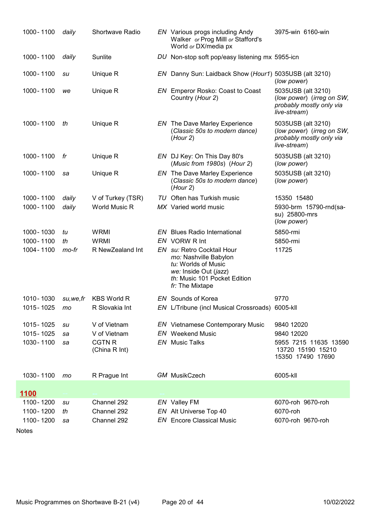| 1000 - 1100 | daily    | <b>Shortwave Radio</b>         | EN Various progs including Andy<br>Walker or Prog Milll or Stafford's<br>World or DX/media px                                                          | 3975-win 6160-win                                                                           |
|-------------|----------|--------------------------------|--------------------------------------------------------------------------------------------------------------------------------------------------------|---------------------------------------------------------------------------------------------|
| 1000 - 1100 | daily    | Sunlite                        | DU Non-stop soft pop/easy listening mx 5955-icn                                                                                                        |                                                                                             |
| 1000 - 1100 | su       | Unique R                       | EN Danny Sun: Laidback Show (Hour1) 5035USB (alt 3210)                                                                                                 | (low power)                                                                                 |
| 1000 - 1100 | we       | Unique R                       | EN Emperor Rosko: Coast to Coast<br>Country (Hour 2)                                                                                                   | 5035USB (alt 3210)<br>(low power) (irreg on SW,<br>probably mostly only via<br>live-stream) |
| 1000 - 1100 | th       | Unique R                       | <b>EN</b> The Dave Marley Experience<br>(Classic 50s to modern dance)<br>(Hour 2)                                                                      | 5035USB (alt 3210)<br>(low power) (irreg on SW,<br>probably mostly only via<br>live-stream) |
| 1000 - 1100 | fr       | Unique R                       | EN DJ Key: On This Day 80's<br>(Music from 1980s) (Hour 2)                                                                                             | 5035USB (alt 3210)<br>(low power)                                                           |
| 1000 - 1100 | sa       | Unique R                       | <b>EN</b> The Dave Marley Experience<br>(Classic 50s to modern dance)<br>(Hour 2)                                                                      | 5035USB (alt 3210)<br>(low power)                                                           |
| 1000 - 1100 | daily    | V of Turkey (TSR)              | TU Often has Turkish music                                                                                                                             | 15350 15480                                                                                 |
| 1000 - 1100 | daily    | World Music R                  | MX Varied world music                                                                                                                                  | 5930-brm 15790-rnd(sa-<br>su) 25800-mrs<br>(low power)                                      |
| 1000 - 1030 | tu       | <b>WRMI</b>                    | <b>EN</b> Blues Radio International                                                                                                                    | 5850-rmi                                                                                    |
| 1000 - 1100 | th       | <b>WRMI</b>                    | EN VORW R Int                                                                                                                                          | 5850-rmi                                                                                    |
| 1004 - 1100 | mo-fr    | R NewZealand Int               | EN su: Retro Cocktail Hour<br>mo: Nashville Babylon<br>tu: Worlds of Music<br>we: Inside Out (jazz)<br>th: Music 101 Pocket Edition<br>fr: The Mixtape | 11725                                                                                       |
| 1010-1030   | su,we,fr | <b>KBS World R</b>             | EN Sounds of Korea                                                                                                                                     | 9770                                                                                        |
| 1015 - 1025 | mo       | R Slovakia Int                 | EN L/Tribune (incl Musical Crossroads) 6005-kll                                                                                                        |                                                                                             |
| 1015 - 1025 | su       | V of Vietnam                   | <b>EN</b> Vietnamese Contemporary Music                                                                                                                | 9840 12020                                                                                  |
| 1015 - 1025 | sa       | V of Vietnam                   | <b>EN</b> Weekend Music                                                                                                                                | 9840 12020                                                                                  |
| 1030 - 1100 | sa       | <b>CGTN R</b><br>(China R Int) | <b>EN</b> Music Talks                                                                                                                                  | 5955 7215 11635 13590<br>13720 15190 15210<br>15350 17490 17690                             |
| 1030 - 1100 | mo       | R Prague Int                   | <b>GM</b> MusikCzech                                                                                                                                   | 6005-kll                                                                                    |
| <u>1100</u> |          |                                |                                                                                                                                                        |                                                                                             |
| 1100 - 1200 | su       | Channel 292                    | EN Valley FM                                                                                                                                           | 6070-roh 9670-roh                                                                           |
| 1100-1200   | th       | Channel 292                    | EN Alt Universe Top 40                                                                                                                                 | 6070-roh                                                                                    |
| 1100-1200   | sa       | Channel 292                    | <b>EN</b> Encore Classical Music                                                                                                                       | 6070-roh 9670-roh                                                                           |
|             |          |                                |                                                                                                                                                        |                                                                                             |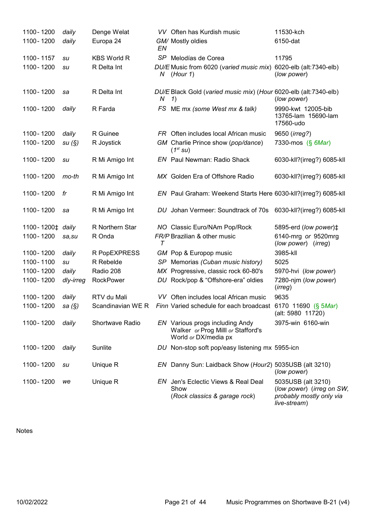| 1100 - 1200      | daily     | Denge Welat        |        | VV Often has Kurdish music                                                                    | 11530-kch                                                                                   |
|------------------|-----------|--------------------|--------|-----------------------------------------------------------------------------------------------|---------------------------------------------------------------------------------------------|
| 1100 - 1200      | daily     | Europa 24          | EN     | GM/ Mostly oldies                                                                             | 6150-dat                                                                                    |
| 1100-1157        | su        | <b>KBS World R</b> |        | SP Melodías de Corea                                                                          | 11795                                                                                       |
| 1100 - 1200      | su        | R Delta Int        |        | DU/E Music from 6020 (varied music mix)<br>$N$ (Hour 1)                                       | 6020-elb (alt:7340-elb)<br>(low power)                                                      |
| 1100 - 1200      | sa        | R Delta Int        | N      | DU/E Black Gold (varied music mix) (Hour 6020-elb (alt:7340-elb)<br>1)                        | (low power)                                                                                 |
| 1100 - 1200      | daily     | R Farda            |        | FS ME mx (some West mx & talk)                                                                | 9990-kwt 12005-bib<br>13765-lam 15690-lam<br>17560-udo                                      |
| 1100 - 1200      | daily     | R Guinee           |        | FR Often includes local African music                                                         | 9650 ( <i>irreg?</i> )                                                                      |
| 1100-1200        | su(S)     | R Joystick         |        | GM Charlie Prince show (pop/dance)<br>$(1^{st}$ su)                                           | 7330-mos (§ 6Mar)                                                                           |
| 1100 - 1200      | su        | R Mi Amigo Int     |        | <b>EN</b> Paul Newman: Radio Shack                                                            | 6030-kll?(irreg?) 6085-kll                                                                  |
| 1100-1200        | mo-th     | R Mi Amigo Int     |        | MX Golden Era of Offshore Radio                                                               | 6030-kll?(irreg?) 6085-kll                                                                  |
| 1100 - 1200      | fr        | R Mi Amigo Int     |        | EN Paul Graham: Weekend Starts Here 6030-kll?(irreg?) 6085-kll                                |                                                                                             |
| 1100 - 1200      | sa        | R Mi Amigo Int     |        | DU Johan Vermeer: Soundtrack of 70s                                                           | 6030-kll?(irreg?) 6085-kll                                                                  |
| 1100-1200‡ daily |           | R Northern Star    |        | NO Classic Euro/NAm Pop/Rock                                                                  | 5895-erd (low power) <sup>+</sup>                                                           |
| 1100-1200        | sa,su     | R Onda             | $\tau$ | FR/P Brazilian & other music                                                                  | 6140-mrg or 9520mrg<br>(low power) (irreg)                                                  |
| 1100 - 1200      | daily     | R PopEXPRESS       |        | GM Pop & Europop music                                                                        | 3985-kll                                                                                    |
| 1100-1100        | su        | R Rebelde          |        | SP Memorias (Cuban music history)                                                             | 5025                                                                                        |
| 1100 - 1200      | daily     | Radio 208          |        | MX Progressive, classic rock 60-80's                                                          | 5970-hvi (low power)                                                                        |
| 1100-1200        | dly-irreg | <b>RockPower</b>   |        | DU Rock/pop & "Offshore-era" oldies                                                           | 7280-njm (low power)<br>(irreg)                                                             |
| 1100-1200        | daily     | RTV du Mali        |        | VV Often includes local African music                                                         | 9635                                                                                        |
| 1100 - 1200      | sa (§)    |                    |        | Scandinavian WE R Finn Varied schedule for each broadcast 6170 11690 (§ 5Mar)                 | (alt: 5980 11720)                                                                           |
| 1100-1200        | daily     | Shortwave Radio    |        | EN Various progs including Andy<br>Walker or Prog Milll or Stafford's<br>World or DX/media px | 3975-win 6160-win                                                                           |
| 1100-1200        | daily     | Sunlite            |        | DU Non-stop soft pop/easy listening mx 5955-icn                                               |                                                                                             |
| 1100-1200        | su        | Unique R           |        | EN Danny Sun: Laidback Show (Hour2) 5035USB (alt 3210)                                        | (low power)                                                                                 |
| 1100 - 1200      | we        | Unique R           |        | EN Jen's Eclectic Views & Real Deal<br>Show<br>(Rock classics & garage rock)                  | 5035USB (alt 3210)<br>(low power) (irreg on SW,<br>probably mostly only via<br>live-stream) |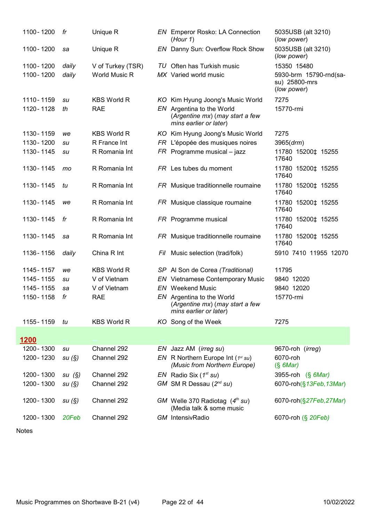| 1100 - 1200 | fr    | Unique R           | <b>EN</b> Emperor Rosko: LA Connection<br>(Hour 1)                                     | 5035USB (alt 3210)<br>(low power)                      |
|-------------|-------|--------------------|----------------------------------------------------------------------------------------|--------------------------------------------------------|
| 1100 - 1200 | sa    | Unique R           | EN Danny Sun: Overflow Rock Show                                                       | 5035USB (alt 3210)<br>(low power)                      |
| 1100 - 1200 | daily | V of Turkey (TSR)  | TU Often has Turkish music                                                             | 15350 15480                                            |
| 1100 - 1200 | daily | World Music R      | MX Varied world music                                                                  | 5930-brm 15790-rnd(sa-<br>su) 25800-mrs<br>(low power) |
| 1110 - 1159 | su    | <b>KBS World R</b> | KO Kim Hyung Joong's Music World                                                       | 7275                                                   |
| 1120 - 1128 | th    | <b>RAE</b>         | EN Argentina to the World<br>(Argentine mx) (may start a few<br>mins earlier or later) | 15770-rmi                                              |
| 1130 - 1159 | we    | <b>KBS World R</b> | KO Kim Hyung Joong's Music World                                                       | 7275                                                   |
| 1130 - 1200 | su    | R France Int       | FR L'épopée des musiques noires                                                        | 3965 (drm)                                             |
| 1130 - 1145 | su    | R Romania Int      | $FR$ Programme musical - jazz                                                          | 11780 15200‡ 15255<br>17640                            |
| 1130 - 1145 | mo    | R Romania Int      | FR Les tubes du moment                                                                 | 11780 15200‡ 15255<br>17640                            |
| 1130 - 1145 | tu    | R Romania Int      | FR Musique traditionnelle roumaine                                                     | 11780 15200‡ 15255<br>17640                            |
| 1130 - 1145 | we    | R Romania Int      | FR Musique classique roumaine                                                          | 11780 15200‡ 15255<br>17640                            |
| 1130 - 1145 | fr    | R Romania Int      | FR Programme musical                                                                   | 11780 15200‡ 15255<br>17640                            |
| 1130 - 1145 | sa    | R Romania Int      | FR Musique traditionnelle roumaine                                                     | 11780 15200‡ 15255<br>17640                            |
| 1136 - 1156 | daily | China R Int        | Fil Music selection (trad/folk)                                                        | 5910 7410 11955 12070                                  |
| 1145 - 1157 | we    | <b>KBS World R</b> | SP Al Son de Corea (Traditional)                                                       | 11795                                                  |
| 1145 - 1155 | su    | V of Vietnam       | <b>EN</b> Vietnamese Contemporary Music                                                | 9840 12020                                             |
| 1145 - 1155 | sa    | V of Vietnam       | <b>EN</b> Weekend Music                                                                | 9840 12020                                             |
| 1150 - 1158 | fr    | <b>RAE</b>         | EN Argentina to the World<br>(Argentine mx) (may start a few<br>mins earlier or later) | 15770-rmi                                              |
| 1155 - 1159 | tu    | <b>KBS World R</b> | KO Song of the Week                                                                    | 7275                                                   |
| 1200        |       |                    |                                                                                        |                                                        |
| 1200 - 1300 | su    | Channel 292        | EN Jazz AM (irreg su)                                                                  | 9670-roh (irreg)                                       |
| 1200 - 1230 | su(S) | Channel 292        | EN R Northern Europe Int ( $1^{st}$ su)<br>(Music from Northern Europe)                | 6070-roh<br>$(S \text{ 6Mar})$                         |
| 1200 - 1300 | su(S) | Channel 292        | $EN$ Radio Six ( $1^{st}$ su)                                                          | 3955-roh (§ 6Mar)                                      |
| 1200 - 1300 | su(S) | Channel 292        | GM SM R Dessau $(2^{nd} su)$                                                           | 6070-roh(§13Feb, 13Mar)                                |
| 1200 - 1300 | su(S) | Channel 292        | GM Welle 370 Radiotag $(4th su)$<br>(Media talk & some music                           | 6070-roh(§27Feb,27Mar)                                 |
| 1200 - 1300 | 20Feb | Channel 292        | <b>GM</b> IntensivRadio                                                                | 6070-roh (§ 20Feb)                                     |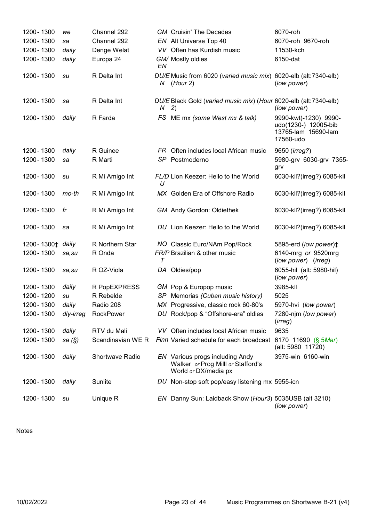| 1200 - 1300                  | we        | Channel 292       |    | <b>GM</b> Cruisin' The Decades                                                                | 6070-roh                                                                          |
|------------------------------|-----------|-------------------|----|-----------------------------------------------------------------------------------------------|-----------------------------------------------------------------------------------|
| 1200 - 1300                  | sa        | Channel 292       |    | EN Alt Universe Top 40                                                                        | 6070-roh 9670-roh                                                                 |
| 1200 - 1300                  | daily     | Denge Welat       |    | VV Often has Kurdish music                                                                    | 11530-kch                                                                         |
| 1200 - 1300                  | daily     | Europa 24         | EN | GM/ Mostly oldies                                                                             | 6150-dat                                                                          |
| 1200 - 1300                  | su        | R Delta Int       | Ν  | DU/E Music from 6020 (varied music mix) 6020-elb (alt:7340-elb)<br>(Hour 2)                   | (low power)                                                                       |
| 1200 - 1300                  | sa        | R Delta Int       | N. | DU/E Black Gold (varied music mix) (Hour 6020-elb (alt:7340-elb)<br>2)                        | (low power)                                                                       |
| 1200 - 1300                  | daily     | R Farda           |    | FS ME mx (some West mx & talk)                                                                | 9990-kwt(-1230) 9990-<br>udo(1230-) 12005-bib<br>13765-lam 15690-lam<br>17560-udo |
| 1200 - 1300                  | daily     | R Guinee          |    | FR Often includes local African music                                                         | 9650 (irreg?)                                                                     |
| 1200 - 1300                  | sa        | R Marti           |    | SP Postmoderno                                                                                | 5980-grv 6030-grv 7355-<br>grv                                                    |
| 1200 - 1300                  | su        | R Mi Amigo Int    | U  | FL/D Lion Keezer: Hello to the World                                                          | 6030-kll?(irreg?) 6085-kll                                                        |
| 1200 - 1300                  | mo-th     | R Mi Amigo Int    |    | MX Golden Era of Offshore Radio                                                               | 6030-kll?(irreg?) 6085-kll                                                        |
| 1200 - 1300                  | fr        | R Mi Amigo Int    |    | <b>GM</b> Andy Gordon: Oldiethek                                                              | 6030-kll?(irreg?) 6085-kll                                                        |
| 1200 - 1300                  | sa        | R Mi Amigo Int    |    | DU Lion Keezer: Hello to the World                                                            | 6030-kll?(irreg?) 6085-kll                                                        |
| 1200-1300 <sup>+</sup> daily |           | R Northern Star   |    | NO Classic Euro/NAm Pop/Rock                                                                  | 5895-erd (low power) <sup><math>\ddagger</math></sup>                             |
| 1200 - 1300                  | sa,su     | R Onda            | Т  | FR/P Brazilian & other music                                                                  | 6140-mrg or 9520mrg<br>(low power) (irreg)                                        |
| 1200 - 1300                  | sa,su     | R OZ-Viola        |    | DA Oldies/pop                                                                                 | 6055-hil (alt: 5980-hil)<br>(low power)                                           |
| 1200 - 1300                  | daily     | R PopEXPRESS      |    | GM Pop & Europop music                                                                        | 3985-kll                                                                          |
| 1200 - 1200                  | su        | R Rebelde         |    | SP Memorias (Cuban music history)                                                             | 5025                                                                              |
| 1200 - 1300                  | daily     | Radio 208         |    | MX Progressive, classic rock 60-80's                                                          | 5970-hvi (low power)                                                              |
| 1200 - 1300                  | dly-irreg | RockPower         |    | DU Rock/pop & "Offshore-era" oldies                                                           | 7280-njm (low power)<br>(irreg)                                                   |
| 1200 - 1300                  | daily     | RTV du Mali       |    | VV Often includes local African music                                                         | 9635                                                                              |
| 1200 - 1300                  | sa (§)    | Scandinavian WE R |    | Finn Varied schedule for each broadcast 6170 11690 (§ 5Mar)                                   | (alt: 5980 11720)                                                                 |
| 1200 - 1300                  | daily     | Shortwave Radio   |    | EN Various progs including Andy<br>Walker or Prog Milll or Stafford's<br>World or DX/media px | 3975-win 6160-win                                                                 |
| 1200 - 1300                  | daily     | Sunlite           |    | DU Non-stop soft pop/easy listening mx 5955-icn                                               |                                                                                   |
| 1200 - 1300                  | su        | Unique R          |    | EN Danny Sun: Laidback Show (Hour3) 5035USB (alt 3210)                                        | (low power)                                                                       |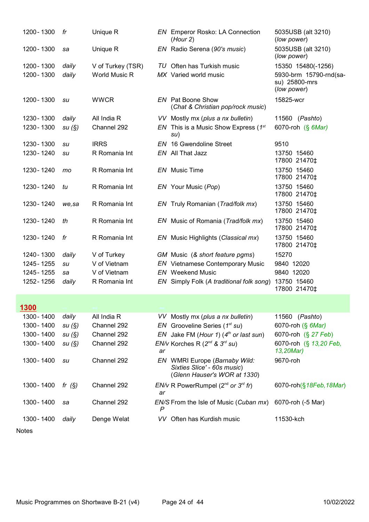| 1200 - 1300 | fr       | Unique R          |    | <b>EN</b> Emperor Rosko: LA Connection<br>(Hour 2)                                           | 5035USB (alt 3210)<br>(low power)                      |
|-------------|----------|-------------------|----|----------------------------------------------------------------------------------------------|--------------------------------------------------------|
| 1200 - 1300 | sa       | Unique R          |    | EN Radio Serena (90's music)                                                                 | 5035USB (alt 3210)<br>(low power)                      |
| 1200 - 1300 | daily    | V of Turkey (TSR) |    | TU Often has Turkish music                                                                   | 15350 15480(-1256)                                     |
| 1200 - 1300 | daily    | World Music R     |    | MX Varied world music                                                                        | 5930-brm 15790-rnd(sa-<br>su) 25800-mrs<br>(low power) |
| 1200 - 1300 | su       | <b>WWCR</b>       |    | <b>EN</b> Pat Boone Show<br>(Chat & Christian pop/rock music)                                | 15825-wcr                                              |
| 1230 - 1300 | daily    | All India R       |    | VV Mostly mx (plus a nx bulletin)                                                            | 11560 (Pashto)                                         |
| 1230 - 1300 | su(S)    | Channel 292       |    | EN This is a Music Show Express ( $1^{st}$<br>su)                                            | 6070-roh (§ 6Mar)                                      |
| 1230 - 1300 | su       | <b>IRRS</b>       |    | <b>EN</b> 16 Gwendoline Street                                                               | 9510                                                   |
| 1230 - 1240 | su       | R Romania Int     |    | EN All That Jazz                                                                             | 13750 15460<br>17800 21470‡                            |
| 1230 - 1240 | mo       | R Romania Int     |    | EN Music Time                                                                                | 13750 15460<br>17800 21470‡                            |
| 1230 - 1240 | tu       | R Romania Int     |    | EN Your Music (Pop)                                                                          | 13750 15460<br>17800 21470‡                            |
| 1230 - 1240 | we, sa   | R Romania Int     |    | EN Truly Romanian (Trad/folk mx)                                                             | 13750 15460<br>17800 21470‡                            |
| 1230 - 1240 | th       | R Romania Int     |    | EN Music of Romania (Trad/folk mx)                                                           | 13750 15460<br>17800 21470‡                            |
| 1230 - 1240 | fr       | R Romania Int     |    | EN Music Highlights (Classical mx)                                                           | 13750 15460<br>17800 21470‡                            |
| 1240 - 1300 | daily    | V of Turkey       |    | GM Music (& short feature pgms)                                                              | 15270                                                  |
| 1245 - 1255 | su       | V of Vietnam      |    | <b>EN</b> Vietnamese Contemporary Music                                                      | 9840 12020                                             |
| 1245 - 1255 | sa       | V of Vietnam      |    | <b>EN</b> Weekend Music                                                                      | 9840 12020                                             |
| 1252 - 1256 | daily    | R Romania Int     |    | EN Simply Folk (A traditional folk song)                                                     | 13750 15460<br>17800 21470‡                            |
| <u>1300</u> |          |                   |    |                                                                                              |                                                        |
| 1300 - 1400 | daily    | All India R       |    | VV Mostly mx (plus a nx bulletin)                                                            | 11560 ( <i>Pashto</i> )                                |
| 1300 - 1400 | su(S)    | Channel 292       |    | EN Grooveline Series ( $1st su$ )                                                            | 6070-roh (§ 6Mar)                                      |
| 1300 - 1400 | su(S)    | Channel 292       |    | EN Jake FM (Hour 1) $(4th$ or last sun)                                                      | 6070-roh (§ 27 Feb)                                    |
| 1300 - 1400 | su(S)    | Channel 292       | ar | $EN/v$ Korches R ( $2^{nd}$ & $3^{rd}$ su)                                                   | 6070-roh (§ 13,20 Feb,<br>13,20Mar)                    |
| 1300 - 1400 | su       | Channel 292       |    | EN WMRI Europe (Barnaby Wild:<br>Sixties Slice' - 60s music)<br>(Glenn Hauser's WOR at 1330) | 9670-roh                                               |
| 1300 - 1400 | fr $(S)$ | Channel 292       | ar | EN/v R PowerRumpel ( $2^{nd}$ or $3^{rd}$ fr)                                                | 6070-roh(§18Feb, 18Mar)                                |
| 1300 - 1400 | sa       | Channel 292       | P  | EN/S From the Isle of Music (Cuban mx)                                                       | 6070-roh (-5 Mar)                                      |
| 1300 - 1400 | daily    | Denge Welat       |    | VV Often has Kurdish music                                                                   | 11530-kch                                              |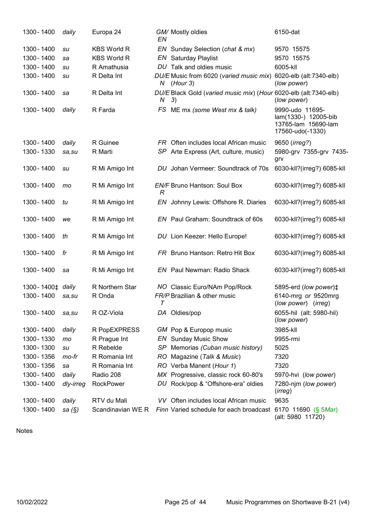| 1300 - 1400                                 | daily     | Europa 24          | ΕN            | GM/ Mostly oldies                                                      | 6150-dat                                                                           |
|---------------------------------------------|-----------|--------------------|---------------|------------------------------------------------------------------------|------------------------------------------------------------------------------------|
| 1300 - 1400                                 | su        | <b>KBS World R</b> |               | EN Sunday Selection (chat & mx)                                        | 9570 15575                                                                         |
| 1300 - 1400                                 | sa        | <b>KBS World R</b> |               | <b>EN</b> Saturday Playlist                                            | 9570 15575                                                                         |
| 1300 - 1400                                 | su        | R Amathusia        |               | DU Talk and oldies music                                               | 6005-kll                                                                           |
| 1300 - 1400                                 | su        | R Delta Int        |               | DU/E Music from 6020 (varied music mix)<br>$N$ (Hour 3)                | 6020-elb (alt:7340-elb)<br>(low power)                                             |
| 1300 - 1400                                 | sa        | R Delta Int        | Ν             | DU/E Black Gold (varied music mix) (Hour 6020-elb (alt:7340-elb)<br>3) | (low power)                                                                        |
| 1300 - 1400                                 | daily     | R Farda            |               | FS ME mx (some West mx & talk)                                         | 9990-udo 11695-<br>lam(1330-) 12005-bib<br>13765-lam 15690-lam<br>17560-udo(-1330) |
| 1300 - 1400                                 | daily     | R Guinee           |               | FR Often includes local African music                                  | 9650 ( <i>irreg?</i> )                                                             |
| 1300 - 1330                                 | sa, su    | R Marti            |               | SP Arte Express (Art, culture, music)                                  | 5980-grv 7355-grv 7435-<br>grv                                                     |
| 1300 - 1400                                 | su        | R Mi Amigo Int     |               | DU Johan Vermeer: Soundtrack of 70s                                    | 6030-kll?(irreg?) 6085-kll                                                         |
| 1300 - 1400                                 | mo        | R Mi Amigo Int     | $\mathcal{R}$ | <b>EN/F Bruno Hantson: Soul Box</b>                                    | 6030-kll?(irreg?) 6085-kll                                                         |
| 1300 - 1400                                 | tu        | R Mi Amigo Int     |               | EN Johnny Lewis: Offshore R. Diaries                                   | 6030-kll?(irreg?) 6085-kll                                                         |
| 1300 - 1400                                 | we        | R Mi Amigo Int     |               | EN Paul Graham: Soundtrack of 60s                                      | 6030-kll?(irreg?) 6085-kll                                                         |
| 1300 - 1400                                 | th        | R Mi Amigo Int     |               | DU Lion Keezer: Hello Europe!                                          | 6030-kll?(irreg?) 6085-kll                                                         |
| 1300 - 1400                                 | fr        | R Mi Amigo Int     |               | FR Bruno Hantson: Retro Hit Box                                        | 6030-kll?(irreg?) 6085-kll                                                         |
| 1300 - 1400                                 | sa        | R Mi Amigo Int     |               | <b>EN</b> Paul Newman: Radio Shack                                     | 6030-kll?(irreg?) 6085-kll                                                         |
| 1300-1400 <sup><math>\pm</math></sup> daily |           | R Northern Star    |               | NO Classic Euro/NAm Pop/Rock                                           | 5895-erd (low power) <sup>±</sup>                                                  |
| 1300 - 1400                                 | sa,su     | R Onda             | T             | FR/P Brazilian & other music                                           | 6140-mrg or 9520mrg<br>(low power) (irreg)                                         |
| 1300 - 1400                                 | sa,su     | R OZ-Viola         |               | DA Oldies/pop                                                          | 6055-hil (alt: 5980-hil)<br>(low power)                                            |
| 1300 - 1400                                 | daily     | R PopEXPRESS       |               | GM Pop & Europop music                                                 | 3985-kll                                                                           |
| 1300 - 1330                                 | mo        | R Prague Int       |               | <b>EN</b> Sunday Music Show                                            | 9955-rmi                                                                           |
| 1300 - 1300                                 | su        | R Rebelde          |               | SP Memorias (Cuban music history)                                      | 5025                                                                               |
| 1300 - 1356                                 | mo-fr     | R Romania Int      |               | RO Magazine (Talk & Music)                                             | 7320                                                                               |
| 1300 - 1356                                 | sa        | R Romania Int      |               | RO Verba Manent (Hour 1)                                               | 7320                                                                               |
| 1300 - 1400                                 | daily     | Radio 208          |               | MX Progressive, classic rock 60-80's                                   | 5970-hvi (low power)                                                               |
| 1300 - 1400                                 | dly-irreg | RockPower          |               | DU Rock/pop & "Offshore-era" oldies                                    | 7280-njm (low power)<br>(irreg)                                                    |
| 1300 - 1400                                 | daily     | RTV du Mali        |               | VV Often includes local African music                                  | 9635                                                                               |
| 1300 - 1400                                 | sa (§)    | Scandinavian WE R  |               | Finn Varied schedule for each broadcast                                | 6170 11690 (§ 5Mar)<br>(alt: 5980 11720)                                           |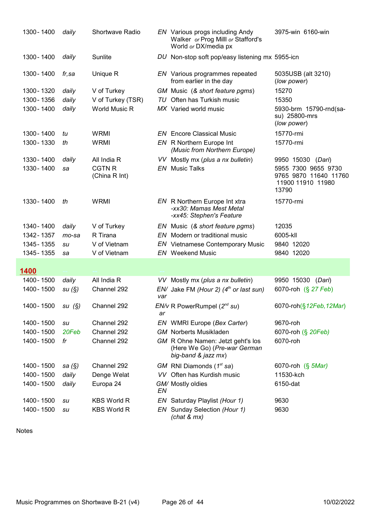| 1300 - 1400 | daily     | <b>Shortwave Radio</b>         |     | EN Various progs including Andy<br>Walker or Prog Milll or Stafford's<br>World or DX/media px | 3975-win 6160-win                                                          |
|-------------|-----------|--------------------------------|-----|-----------------------------------------------------------------------------------------------|----------------------------------------------------------------------------|
| 1300 - 1400 | daily     | Sunlite                        |     | DU Non-stop soft pop/easy listening mx 5955-icn                                               |                                                                            |
| 1300 - 1400 | fr,sa     | Unique R                       |     | EN Various programmes repeated<br>from earlier in the day                                     | 5035USB (alt 3210)<br>(low power)                                          |
| 1300 - 1320 | daily     | V of Turkey                    |     | GM Music (& short feature pgms)                                                               | 15270                                                                      |
| 1300 - 1356 | daily     | V of Turkey (TSR)              |     | TU Often has Turkish music                                                                    | 15350                                                                      |
| 1300 - 1400 | daily     | <b>World Music R</b>           |     | MX Varied world music                                                                         | 5930-brm 15790-rnd(sa-<br>su) 25800-mrs<br>(low power)                     |
| 1300 - 1400 | tu        | <b>WRMI</b>                    |     | <b>EN</b> Encore Classical Music                                                              | 15770-rmi                                                                  |
| 1300 - 1330 | th        | <b>WRMI</b>                    |     | <b>EN</b> R Northern Europe Int<br>(Music from Northern Europe)                               | 15770-rmi                                                                  |
| 1330 - 1400 | daily     | All India R                    |     | VV Mostly mx (plus a nx bulletin)                                                             | 9950 15030 (Dari)                                                          |
| 1330 - 1400 | sa        | <b>CGTN R</b><br>(China R Int) |     | <b>EN</b> Music Talks                                                                         | 5955 7300 9655 9730<br>9765 9870 11640 11760<br>11900 11910 11980<br>13790 |
| 1330 - 1400 | th        | <b>WRMI</b>                    |     | EN R Northern Europe Int xtra<br>-xx30: Mamas Mest Metal<br>-xx45: Stephen's Feature          | 15770-rmi                                                                  |
| 1340 - 1400 | daily     | V of Turkey                    |     | EN Music (& short feature pgms)                                                               | 12035                                                                      |
| 1342 - 1357 | $mo$ -sa  | R Tirana                       |     | EN Modern or traditional music                                                                | 6005-kll                                                                   |
| 1345 - 1355 | su        | V of Vietnam                   |     | <b>EN</b> Vietnamese Contemporary Music                                                       | 9840 12020                                                                 |
| 1345 - 1355 | sa        | V of Vietnam                   |     | <b>EN</b> Weekend Music                                                                       | 9840 12020                                                                 |
|             |           |                                |     |                                                                                               |                                                                            |
| 1400        |           |                                |     |                                                                                               |                                                                            |
| 1400 - 1500 | daily     | All India R                    |     | VV Mostly mx (plus a nx bulletin)                                                             | 9950 15030 (Dari)                                                          |
| 1400 - 1500 | su(S)     | Channel 292                    | var | $EN/$ Jake FM (Hour 2) ( $4th$ or last sun)                                                   | 6070-roh (§ 27 Feb)                                                        |
| 1400 - 1500 | su(S)     | Channel 292                    | ar  | $EN/v$ R PowerRumpel ( $2nd$ su)                                                              | 6070-roh(§12Feb, 12Mar)                                                    |
| 1400 - 1500 | su        | Channel 292                    |     | EN WMRI Europe (Bex Carter)                                                                   | 9670-roh                                                                   |
| 1400 - 1500 | 20Feb     | Channel 292                    |     | <b>GM</b> Norberts Musikladen                                                                 | 6070-roh (§ 20Feb)                                                         |
| 1400 - 1500 | fr        | Channel 292                    |     | GM R Ohne Namen: Jetzt geht's los<br>(Here We Go) (Pre-war German<br>big-band & jazz mx)      | 6070-roh                                                                   |
| 1400 - 1500 | sa $(\S)$ | Channel 292                    |     | $GM$ RNI Diamonds (1 <sup>st</sup> sa)                                                        | 6070-roh (§ 5Mar)                                                          |
| 1400 - 1500 | daily     | Denge Welat                    |     | VV Often has Kurdish music                                                                    | 11530-kch                                                                  |
| 1400 - 1500 | daily     | Europa 24                      | EN  | GM/ Mostly oldies                                                                             | 6150-dat                                                                   |
| 1400 - 1500 | su        | <b>KBS World R</b>             |     | EN Saturday Playlist (Hour 1)                                                                 | 9630                                                                       |
| 1400 - 1500 | su        | <b>KBS World R</b>             |     | EN Sunday Selection (Hour 1)<br>(char & mx)                                                   | 9630                                                                       |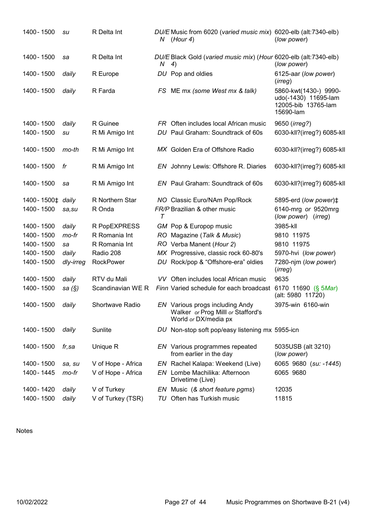| 1400 - 1500                  | su        | R Delta Int        | N      | DU/E Music from 6020 (varied music mix) 6020-elb (alt:7340-elb)<br>(Hour 4)                   | (low power)                                                                       |
|------------------------------|-----------|--------------------|--------|-----------------------------------------------------------------------------------------------|-----------------------------------------------------------------------------------|
| 1400 - 1500                  | sa        | R Delta Int        | N(4)   | DU/E Black Gold (varied music mix) (Hour 6020-elb (alt:7340-elb)                              | (low power)                                                                       |
| 1400 - 1500                  | daily     | R Europe           |        | DU Pop and oldies                                                                             | 6125-aar (low power)<br>(irreg)                                                   |
| 1400 - 1500                  | daily     | R Farda            |        | FS ME mx (some West mx & talk)                                                                | 5860-kwt(1430-) 9990-<br>udo(-1430) 11695-lam<br>12005-bib 13765-lam<br>15690-lam |
| 1400 - 1500                  | daily     | R Guinee           |        | FR Often includes local African music                                                         | 9650 ( <i>irreg?</i> )                                                            |
| 1400 - 1500                  | su        | R Mi Amigo Int     |        | DU Paul Graham: Soundtrack of 60s                                                             | 6030-kll?(irreg?) 6085-kll                                                        |
| 1400 - 1500                  | mo-th     | R Mi Amigo Int     |        | MX Golden Era of Offshore Radio                                                               | 6030-kll?(irreg?) 6085-kll                                                        |
| 1400 - 1500                  | fr        | R Mi Amigo Int     |        | EN Johnny Lewis: Offshore R. Diaries                                                          | 6030-kll?(irreg?) 6085-kll                                                        |
| 1400 - 1500                  | sa        | R Mi Amigo Int     |        | EN Paul Graham: Soundtrack of 60s                                                             | 6030-kll?(irreg?) 6085-kll                                                        |
| 1400-1500 <sup>+</sup> daily |           | R Northern Star    |        | NO Classic Euro/NAm Pop/Rock                                                                  | 5895-erd (low power) <sup><math>\ddagger</math></sup>                             |
| 1400 - 1500                  | sa,su     | R Onda             | $\tau$ | FR/P Brazilian & other music                                                                  | 6140-mrg or 9520mrg<br>(low power) (irreg)                                        |
| 1400 - 1500                  | daily     | R PopEXPRESS       |        | GM Pop & Europop music                                                                        | 3985-kll                                                                          |
| 1400 - 1500                  | mo-fr     | R Romania Int      |        | RO Magazine (Talk & Music)                                                                    | 9810 11975                                                                        |
| 1400 - 1500                  | sa        | R Romania Int      |        | RO Verba Manent (Hour 2)                                                                      | 9810 11975                                                                        |
| 1400 - 1500                  | daily     | Radio 208          |        | MX Progressive, classic rock 60-80's                                                          | 5970-hvi (low power)                                                              |
| 1400 - 1500                  | dly-irreg | <b>RockPower</b>   |        | DU Rock/pop & "Offshore-era" oldies                                                           | 7280-njm (low power)<br>(irreg)                                                   |
| 1400 - 1500                  | daily     | RTV du Mali        |        | VV Often includes local African music                                                         | 9635                                                                              |
| 1400 - 1500                  | sa $(\S)$ | Scandinavian WE R  |        | Finn Varied schedule for each broadcast                                                       | 6170 11690 (§ 5Mar)<br>(alt: 5980 11720)                                          |
| 1400 - 1500                  | daily     | Shortwave Radio    |        | EN Various progs including Andy<br>Walker or Prog Milll or Stafford's<br>World or DX/media px | 3975-win 6160-win                                                                 |
| 1400 - 1500                  | daily     | Sunlite            |        | DU Non-stop soft pop/easy listening mx 5955-icn                                               |                                                                                   |
| 1400 - 1500                  | fr,sa     | Unique R           |        | EN Various programmes repeated<br>from earlier in the day                                     | 5035USB (alt 3210)<br>(low power)                                                 |
| 1400 - 1500                  | sa, su    | V of Hope - Africa |        | EN Rachel Kalapa: Weekend (Live)                                                              | 6065 9680 (su: -1445)                                                             |
| 1400 - 1445                  | mo-fr     | V of Hope - Africa | EN     | Lombe Machilika: Afternoon<br>Drivetime (Live)                                                | 6065 9680                                                                         |
| 1400 - 1420                  | daily     | V of Turkey        |        | EN Music (& short feature pgms)                                                               | 12035                                                                             |
| 1400 - 1500                  | daily     | V of Turkey (TSR)  | TU     | Often has Turkish music                                                                       | 11815                                                                             |
|                              |           |                    |        |                                                                                               |                                                                                   |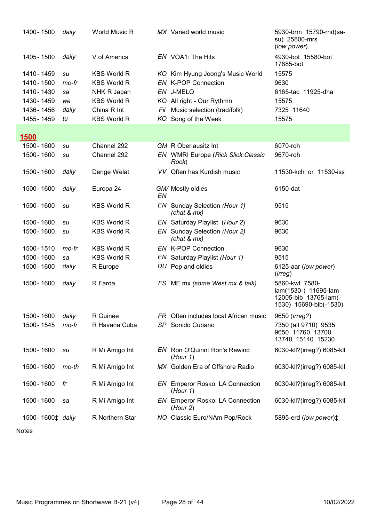| 1400 - 1500                                 | daily | <b>World Music R</b> |     | MX Varied world music                              | 5930-brm 15790-rnd(sa-<br>su) 25800-mrs<br>(low power)                                    |
|---------------------------------------------|-------|----------------------|-----|----------------------------------------------------|-------------------------------------------------------------------------------------------|
| 1405 - 1500                                 | daily | V of America         |     | EN VOA1: The Hits                                  | 4930-bot 15580-bot<br>17885-bot                                                           |
| 1410 - 1459                                 | su    | <b>KBS World R</b>   |     | KO Kim Hyung Joong's Music World                   | 15575                                                                                     |
| 1410 - 1500                                 | mo-fr | <b>KBS World R</b>   |     | EN K-POP Connection                                | 9630                                                                                      |
| 1410 - 1430                                 | sa    | NHK R Japan          |     | EN J-MELO                                          | 6165-tac 11925-dha                                                                        |
| 1430 - 1459                                 | we    | <b>KBS World R</b>   |     | KO All right - Our Rythmn                          | 15575                                                                                     |
| 1436 - 1456                                 | daily | China R Int          | Fil | Music selection (trad/folk)                        | 7325 11640                                                                                |
| 1455 - 1459                                 | tu    | <b>KBS World R</b>   | KO  | Song of the Week                                   | 15575                                                                                     |
| <b>1500</b>                                 |       |                      |     |                                                    |                                                                                           |
| 1500 - 1600                                 | su    | Channel 292          |     | <b>GM</b> R Oberlausitz Int                        | 6070-roh                                                                                  |
| 1500 - 1600                                 | su    | Channel 292          |     | EN WMRI Europe (Rick Slick: Classic<br>Rock)       | 9670-roh                                                                                  |
| 1500 - 1600                                 | daily | Denge Welat          |     | VV Often has Kurdish music                         | 11530-kch or 11530-iss                                                                    |
| 1500 - 1600                                 | daily | Europa 24            | EN  | GM/ Mostly oldies                                  | 6150-dat                                                                                  |
| 1500 - 1600                                 | su    | <b>KBS World R</b>   |     | EN Sunday Selection (Hour 1)<br>(char & mx)        | 9515                                                                                      |
| 1500 - 1600                                 | su    | <b>KBS World R</b>   |     | EN Saturday Playlist (Hour 2)                      | 9630                                                                                      |
| 1500 - 1600                                 | su    | <b>KBS World R</b>   |     | EN Sunday Selection (Hour 2)<br>(char & mx)        | 9630                                                                                      |
| 1500 - 1510                                 | mo-fr | <b>KBS World R</b>   |     | <b>EN K-POP Connection</b>                         | 9630                                                                                      |
| 1500 - 1600                                 | sa    | <b>KBS World R</b>   |     | EN Saturday Playlist (Hour 1)                      | 9515                                                                                      |
| 1500 - 1600                                 | daily | R Europe             |     | DU Pop and oldies                                  | 6125-aar (low power)<br>(irreg)                                                           |
| 1500 - 1600                                 | daily | R Farda              |     | FS ME mx (some West mx & talk)                     | 5860-kwt 7580-<br>lam(1530-) 11695-lam<br>12005-bib 13765-lam(-<br>1530) 15690-bib(-1530) |
| 1500 - 1600                                 | daily | R Guinee             |     | FR Often includes local African music              | 9650 ( <i>irreg?</i> )                                                                    |
| 1500 - 1545                                 | mo-fr | R Havana Cuba        |     | SP Sonido Cubano                                   | 7350 (alt 9710) 9535<br>9650 11760 13700<br>13740 15140 15230                             |
| 1500 - 1600                                 | su    | R Mi Amigo Int       |     | EN Ron O'Quinn: Ron's Rewind<br>(Hour 1)           | 6030-kll?(irreg?) 6085-kll                                                                |
| 1500 - 1600                                 | mo-th | R Mi Amigo Int       |     | MX Golden Era of Offshore Radio                    | 6030-kll?(irreg?) 6085-kll                                                                |
| 1500 - 1600                                 | fr    | R Mi Amigo Int       |     | <b>EN</b> Emperor Rosko: LA Connection<br>(Hour 1) | 6030-kll?(irreg?) 6085-kll                                                                |
| 1500 - 1600                                 | sa    | R Mi Amigo Int       |     | <b>EN</b> Emperor Rosko: LA Connection<br>(Hour 2) | 6030-kll?(irreg?) 6085-kll                                                                |
| 1500-1600 <sup><math>\pm</math></sup> daily |       | R Northern Star      |     | NO Classic Euro/NAm Pop/Rock                       | 5895-erd (low power) <sup>±</sup>                                                         |
|                                             |       |                      |     |                                                    |                                                                                           |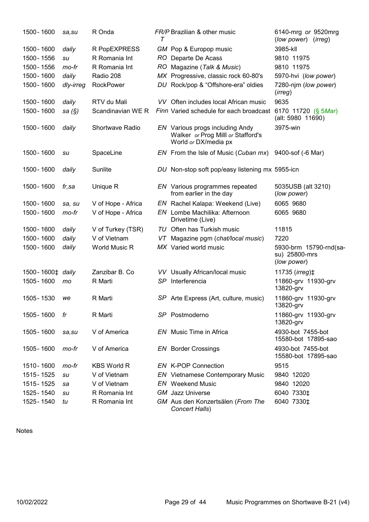| 1500 - 1600                  | sa,su     | R Onda             | т   | FR/P Brazilian & other music                                                                  | 6140-mrg or 9520mrg<br>(low power)<br>(irreq)          |
|------------------------------|-----------|--------------------|-----|-----------------------------------------------------------------------------------------------|--------------------------------------------------------|
| 1500 - 1600                  | daily     | R PopEXPRESS       |     | GM Pop & Europop music                                                                        | 3985-kll                                               |
| 1500 - 1556                  | su        | R Romania Int      |     | RO Departe De Acasă                                                                           | 9810 11975                                             |
| 1500 - 1556                  | mo-fr     | R Romania Int      |     | RO Magazine (Talk & Music)                                                                    | 9810 11975                                             |
| 1500 - 1600                  | daily     | Radio 208          |     | MX Progressive, classic rock 60-80's                                                          | 5970-hvi (low power)                                   |
| 1500 - 1600                  | dly-irreg | <b>RockPower</b>   |     | DU Rock/pop & "Offshore-era" oldies                                                           | 7280-njm (low power)<br>(irreg)                        |
| 1500 - 1600                  | daily     | RTV du Mali        |     | VV Often includes local African music                                                         | 9635                                                   |
| 1500 - 1600                  | sa (§)    | Scandinavian WE R  |     | Finn Varied schedule for each broadcast                                                       | 6170 11720 (§ 5Mar)<br>(alt: 5980 11690)               |
| 1500 - 1600                  | daily     | Shortwave Radio    |     | EN Various progs including Andy<br>Walker or Prog Milll or Stafford's<br>World or DX/media px | 3975-win                                               |
| 1500 - 1600                  | su        | SpaceLine          |     | EN From the Isle of Music (Cuban mx)                                                          | 9400-sof (-6 Mar)                                      |
| 1500 - 1600                  | daily     | Sunlite            |     | DU Non-stop soft pop/easy listening mx 5955-icn                                               |                                                        |
| 1500 - 1600                  | fr,sa     | Unique R           |     | EN Various programmes repeated<br>from earlier in the day                                     | 5035USB (alt 3210)<br>(low power)                      |
| 1500 - 1600                  | sa, su    | V of Hope - Africa |     | EN Rachel Kalapa: Weekend (Live)                                                              | 6065 9680                                              |
| 1500 - 1600                  | mo-fr     | V of Hope - Africa | EN  | Lombe Machilika: Afternoon<br>Drivetime (Live)                                                | 6065 9680                                              |
| 1500 - 1600                  | daily     | V of Turkey (TSR)  |     | TU Often has Turkish music                                                                    | 11815                                                  |
| 1500 - 1600                  | daily     | V of Vietnam       | VT  | Magazine pgm (chat/local music)                                                               | 7220                                                   |
| 1500 - 1600                  | daily     | World Music R      |     | MX Varied world music                                                                         | 5930-brm 15790-rnd(sa-<br>su) 25800-mrs<br>(low power) |
| 1500-1600 <sup>+</sup> daily |           | Zanzibar B. Co     |     | VV Usually African/local music                                                                | 11735 ( <i>irreg</i> ) <sup><math>\pm</math></sup>     |
| 1505 - 1600                  | mo        | R Marti            | SP  | Interferencia                                                                                 | 11860-grv 11930-grv<br>13820-grv                       |
| 1505 - 1530                  | we        | R Marti            |     | SP Arte Express (Art, culture, music)                                                         | 11860-grv 11930-grv<br>13820-grv                       |
| 1505 - 1600                  | fr        | R Marti            |     | SP Postmoderno                                                                                | 11860-grv 11930-grv<br>13820-grv                       |
| 1505 - 1600                  | sa, su    | V of America       | EN. | Music Time in Africa                                                                          | 4930-bot 7455-bot<br>15580-bot 17895-sao               |
| 1505 - 1600                  | mo-fr     | V of America       |     | <b>EN</b> Border Crossings                                                                    | 4930-bot 7455-bot<br>15580-bot 17895-sao               |
| 1510 - 1600                  | mo-fr     | <b>KBS World R</b> |     | EN K-POP Connection                                                                           | 9515                                                   |
| 1515 - 1525                  | su        | V of Vietnam       |     | <b>EN</b> Vietnamese Contemporary Music                                                       | 9840 12020                                             |
| 1515 - 1525                  | sa        | V of Vietnam       |     | <b>EN</b> Weekend Music                                                                       | 9840 12020                                             |
| 1525 - 1540                  | su        | R Romania Int      |     | <b>GM</b> Jazz Universe                                                                       | 6040 7330‡                                             |
| 1525 - 1540                  | tu        | R Romania Int      |     | GM Aus den Konzertsälen (From The<br>Concert Halls)                                           | 6040 7330‡                                             |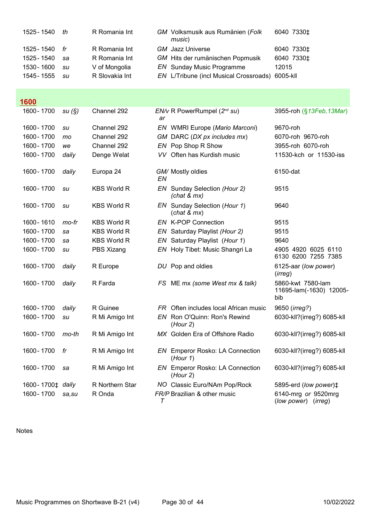| 1525 - 1540                | th | R Romania Int  | GM Volksmusik aus Rumänien (Folk<br>music)      |       | 6040 7330‡             |
|----------------------------|----|----------------|-------------------------------------------------|-------|------------------------|
| 1525 - 1540 $\frac{dr}{r}$ |    | R Romania Int  | <b>GM</b> Jazz Universe                         |       | 6040 7330 <sup>+</sup> |
| 1525 - 1540                | sa | R Romania Int  | GM Hits der rumänischen Popmusik                |       | 6040 7330 <sup>+</sup> |
| 1530 - 1600                | su | V of Mongolia  | <b>EN</b> Sunday Music Programme                | 12015 |                        |
| 1545 - 1555                | su | R Slovakia Int | EN L/Tribune (incl Musical Crossroads) 6005-kll |       |                        |

### <u>1600</u>

| 1600 - 1700                  | su(S)   | Channel 292        | ar     | $EN/v$ R PowerRumpel ( $2nd su$ )                  | 3955-roh (§13Feb, 13Mar)                            |
|------------------------------|---------|--------------------|--------|----------------------------------------------------|-----------------------------------------------------|
| 1600 - 1700                  | su      | Channel 292        |        | EN WMRI Europe (Mario Marconi)                     | 9670-roh                                            |
| 1600 - 1700                  | mo      | Channel 292        |        | GM DARC (DX px includes mx)                        | 6070-roh 9670-roh                                   |
| 1600 - 1700                  | we      | Channel 292        |        | EN Pop Shop R Show                                 | 3955-roh 6070-roh                                   |
| 1600 - 1700                  | daily   | Denge Welat        |        | VV Often has Kurdish music                         | 11530-kch or 11530-iss                              |
| 1600 - 1700                  | daily   | Europa 24          | EN     | GM/ Mostly oldies                                  | 6150-dat                                            |
| 1600 - 1700                  | su      | <b>KBS World R</b> |        | EN Sunday Selection (Hour 2)<br>(char & mx)        | 9515                                                |
| 1600 - 1700                  | su      | <b>KBS World R</b> |        | EN Sunday Selection (Hour 1)<br>(char & mx)        | 9640                                                |
| 1600 - 1610                  | mo-fr   | <b>KBS World R</b> |        | <b>EN K-POP Connection</b>                         | 9515                                                |
| 1600 - 1700                  | sa      | <b>KBS World R</b> |        | EN Saturday Playlist (Hour 2)                      | 9515                                                |
| 1600 - 1700                  | sa      | <b>KBS World R</b> |        | EN Saturday Playlist (Hour 1)                      | 9640                                                |
| 1600 - 1700                  | su      | PBS Xizang         |        | EN Holy Tibet: Music Shangri La                    | 4905 4920 6025 6110<br>6130 6200 7255 7385          |
| 1600 - 1700                  | daily   | R Europe           |        | DU Pop and oldies                                  | 6125-aar (low power)<br>(irreg)                     |
| 1600 - 1700                  | daily   | R Farda            |        | FS ME mx (some West mx & talk)                     | 5860-kwt 7580-lam<br>11695-lam(-1630) 12005-<br>bib |
| 1600 - 1700                  | daily   | R Guinee           | FR.    | Often includes local African music                 | 9650 (irreg?)                                       |
| 1600 - 1700                  | su      | R Mi Amigo Int     |        | EN Ron O'Quinn: Ron's Rewind<br>(Hour 2)           | 6030-kll?(irreg?) 6085-kll                          |
| 1600 - 1700                  | $mo-th$ | R Mi Amigo Int     |        | MX Golden Era of Offshore Radio                    | 6030-kll?(irreg?) 6085-kll                          |
| 1600 - 1700                  | fr      | R Mi Amigo Int     | EN     | Emperor Rosko: LA Connection<br>(Hour 1)           | 6030-kll?(irreg?) 6085-kll                          |
| 1600 - 1700                  | sa      | R Mi Amigo Int     |        | <b>EN</b> Emperor Rosko: LA Connection<br>(Hour 2) | 6030-kll?(irreg?) 6085-kll                          |
| 1600-1700 <sup>±</sup> daily |         | R Northern Star    |        | NO Classic Euro/NAm Pop/Rock                       | 5895-erd (low power) <sup>±</sup>                   |
| 1600 - 1700                  | sa, su  | R Onda             | $\tau$ | FR/P Brazilian & other music                       | 6140-mrg or 9520mrg<br>(low power)<br>(irreg)       |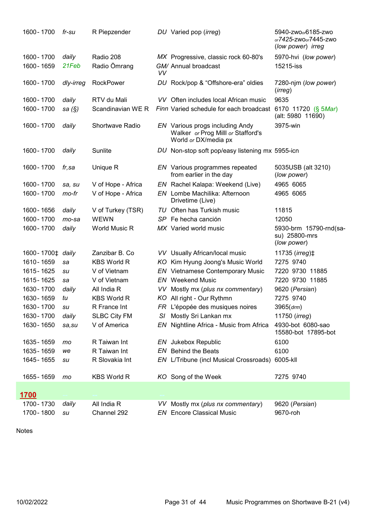| 1600 - 1700                                 | fr-su     | R Piepzender           |           | DU Varied pop (irreg)                                                                         | 5940-zwo <sub>o</sub> 6185-zwo<br>or7425-zwoor7445-zwo<br>(low power) irreg |
|---------------------------------------------|-----------|------------------------|-----------|-----------------------------------------------------------------------------------------------|-----------------------------------------------------------------------------|
| 1600 - 1700                                 | daily     | Radio 208              |           | MX Progressive, classic rock 60-80's                                                          | 5970-hvi (low power)                                                        |
| 1600 - 1659                                 | 21Feb     | Radio Ömrang           | <b>VV</b> | GM/ Annual broadcast                                                                          | 15215-iss                                                                   |
| 1600 - 1700                                 | dly-irreg | <b>RockPower</b>       |           | DU Rock/pop & "Offshore-era" oldies                                                           | 7280-njm (low power)<br>(irreg)                                             |
| 1600 - 1700                                 | daily     | RTV du Mali            |           | VV Often includes local African music                                                         | 9635                                                                        |
| 1600 - 1700                                 | sa $(\S)$ | Scandinavian WE R      |           | Finn Varied schedule for each broadcast                                                       | 6170 11720 (§ 5Mar)<br>(alt: 5980 11690)                                    |
| 1600 - 1700                                 | daily     | <b>Shortwave Radio</b> |           | EN Various progs including Andy<br>Walker or Prog Milll or Stafford's<br>World or DX/media px | 3975-win                                                                    |
| 1600 - 1700                                 | daily     | Sunlite                |           | DU Non-stop soft pop/easy listening mx 5955-icn                                               |                                                                             |
| 1600 - 1700                                 | fr,sa     | Unique R               |           | EN Various programmes repeated<br>from earlier in the day                                     | 5035USB (alt 3210)<br>(low power)                                           |
| 1600 - 1700                                 | sa, su    | V of Hope - Africa     |           | EN Rachel Kalapa: Weekend (Live)                                                              | 4965 6065                                                                   |
| 1600 - 1700                                 | mo-fr     | V of Hope - Africa     |           | EN Lombe Machilika: Afternoon<br>Drivetime (Live)                                             | 4965 6065                                                                   |
| 1600 - 1656                                 | daily     | V of Turkey (TSR)      |           | TU Often has Turkish music                                                                    | 11815                                                                       |
| 1600 - 1700                                 | $mo$ -sa  | <b>WEWN</b>            |           | SP Fe hecha canción                                                                           | 12050                                                                       |
| 1600 - 1700                                 | daily     | World Music R          |           | MX Varied world music                                                                         | 5930-brm 15790-rnd(sa-<br>su) 25800-mrs<br>(low power)                      |
| 1600-1700 <sup><math>\pm</math></sup> daily |           | Zanzibar B. Co         |           | VV Usually African/local music                                                                | 11735 (irreg)‡                                                              |
| 1610 - 1659                                 | sa        | <b>KBS World R</b>     |           | KO Kim Hyung Joong's Music World                                                              | 7275 9740                                                                   |
| 1615 - 1625                                 | su        | V of Vietnam           |           | <b>EN</b> Vietnamese Contemporary Music                                                       | 7220 9730 11885                                                             |
| 1615 - 1625                                 | sa        | V of Vietnam           |           | <b>EN</b> Weekend Music                                                                       | 7220 9730 11885                                                             |
| 1630 - 1700                                 | daily     | All India R            |           | VV Mostly mx (plus nx commentary)                                                             | 9620 (Persian)                                                              |
| 1630 - 1659                                 | tu        | <b>KBS World R</b>     |           | KO All right - Our Rythmn                                                                     | 7275 9740                                                                   |
| 1630 - 1700                                 | su        | R France Int           |           | FR L'épopée des musiques noires                                                               | $3965$ $(drm)$                                                              |
| 1630 - 1700                                 | daily     | <b>SLBC City FM</b>    | SI.       | Mostly Sri Lankan mx                                                                          | 11750 ( <i>irreg</i> )                                                      |
| 1630 - 1650                                 | sa, su    | V of America           |           | EN Nightline Africa - Music from Africa                                                       | 4930-bot 6080-sao<br>15580-bot 17895-bot                                    |
| 1635 - 1659                                 | mo        | R Taiwan Int           |           | EN Jukebox Republic                                                                           | 6100                                                                        |
| 1635 - 1659                                 | we        | R Taiwan Int           |           | <b>EN</b> Behind the Beats                                                                    | 6100                                                                        |
| 1645 - 1655                                 | su        | R Slovakia Int         |           | EN L/Tribune (incl Musical Crossroads)                                                        | 6005-kll                                                                    |
| 1655 - 1659                                 | mo        | <b>KBS World R</b>     |           | KO Song of the Week                                                                           | 7275 9740                                                                   |
| 1700                                        |           |                        |           |                                                                                               |                                                                             |
| 1700-1730                                   | daily     | All India R            |           | VV Mostly mx (plus nx commentary)                                                             | 9620 (Persian)                                                              |
| 1700 - 1800                                 | su        | Channel 292            |           | <b>EN</b> Encore Classical Music                                                              | 9670-roh                                                                    |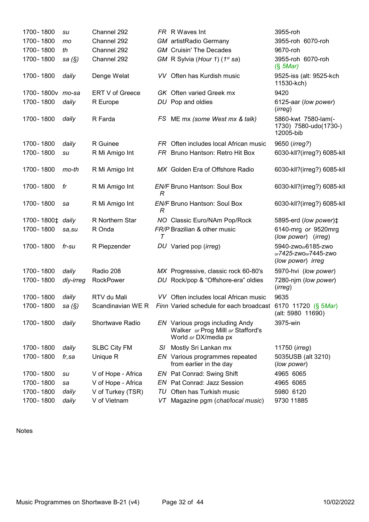| 1700 - 1800                  | su        | Channel 292            |        | FR R Waves Int                                                                                | 3955-roh                                                                    |
|------------------------------|-----------|------------------------|--------|-----------------------------------------------------------------------------------------------|-----------------------------------------------------------------------------|
| 1700 - 1800                  | mo        | Channel 292            |        | <b>GM</b> artistRadio Germany                                                                 | 3955-roh 6070-roh                                                           |
| 1700 - 1800                  | th        | Channel 292            |        | <b>GM</b> Cruisin' The Decades                                                                | 9670-roh                                                                    |
| 1700 - 1800                  | sa $(\S)$ | Channel 292            |        | GM R Sylvia (Hour 1) (1 <sup>st</sup> sa)                                                     | 3955-roh 6070-roh<br>$(S$ 5Mar)                                             |
| 1700 - 1800                  | daily     | Denge Welat            |        | VV Often has Kurdish music                                                                    | 9525-iss (alt: 9525-kch<br>11530-kch)                                       |
| 1700-1800v mo-sa             |           | <b>ERT V of Greece</b> |        | <b>GK</b> Often varied Greek mx                                                               | 9420                                                                        |
| 1700 - 1800                  | daily     | R Europe               |        | DU Pop and oldies                                                                             | 6125-aar (low power)<br>(irreg)                                             |
| 1700 - 1800                  | daily     | R Farda                |        | FS ME mx (some West mx & talk)                                                                | 5860-kwt 7580-lam(-<br>1730) 7580-udo(1730-)<br>12005-bib                   |
| 1700 - 1800                  | daily     | R Guinee               |        | FR Often includes local African music                                                         | 9650 ( <i>irreg?</i> )                                                      |
| 1700 - 1800                  | su        | R Mi Amigo Int         |        | FR Bruno Hantson: Retro Hit Box                                                               | 6030-kll?(irreg?) 6085-kll                                                  |
| 1700 - 1800                  | mo-th     | R Mi Amigo Int         |        | MX Golden Era of Offshore Radio                                                               | 6030-kll?(irreg?) 6085-kll                                                  |
| 1700 - 1800                  | fr        | R Mi Amigo Int         | R      | <b>EN/F Bruno Hantson: Soul Box</b>                                                           | 6030-kll?(irreg?) 6085-kll                                                  |
| 1700 - 1800                  | sa        | R Mi Amigo Int         | R      | <b>EN/F Bruno Hantson: Soul Box</b>                                                           | 6030-kll?(irreg?) 6085-kll                                                  |
| 1700-1800 <sup>+</sup> daily |           | R Northern Star        |        | NO Classic Euro/NAm Pop/Rock                                                                  | 5895-erd (low power) <sup><math>\ddagger</math></sup>                       |
| 1700 - 1800                  | sa,su     | R Onda                 | $\tau$ | FR/P Brazilian & other music                                                                  | 6140-mrg or 9520mrg<br>(low power) (irreg)                                  |
| 1700 - 1800                  | fr-su     | R Piepzender           |        | DU Varied pop (irreg)                                                                         | 5940-zwo <sub>o</sub> 6185-zwo<br>or7425-zwoor7445-zwo<br>(low power) irreg |
| 1700 - 1800                  | daily     | Radio 208              |        | MX Progressive, classic rock 60-80's                                                          | 5970-hvi (low power)                                                        |
| 1700 - 1800                  | dly-irreg | <b>RockPower</b>       |        | DU Rock/pop & "Offshore-era" oldies                                                           | 7280-njm (low power)<br>(irreg)                                             |
| 1700 - 1800                  | daily     | RTV du Mali            |        | VV Often includes local African music                                                         | 9635                                                                        |
| 1700 - 1800                  | sa (§)    |                        |        | Scandinavian WE R Finn Varied schedule for each broadcast 6170 11720 (§ 5Mar)                 | (alt: 5980 11690)                                                           |
| 1700 - 1800                  | daily     | Shortwave Radio        |        | EN Various progs including Andy<br>Walker or Prog Milll or Stafford's<br>World or DX/media px | 3975-win                                                                    |
| 1700 - 1800                  | daily     | <b>SLBC City FM</b>    | SI.    | Mostly Sri Lankan mx                                                                          | 11750 ( <i>irreg</i> )                                                      |
| 1700 - 1800                  | fr,sa     | Unique R               |        | EN Various programmes repeated<br>from earlier in the day                                     | 5035USB (alt 3210)<br>(low power)                                           |
| 1700 - 1800                  | su        | V of Hope - Africa     |        | EN Pat Conrad: Swing Shift                                                                    | 4965 6065                                                                   |
| 1700 - 1800                  | sa        | V of Hope - Africa     |        | EN Pat Conrad: Jazz Session                                                                   | 4965 6065                                                                   |
| 1700 - 1800                  | daily     | V of Turkey (TSR)      | TU     | Often has Turkish music                                                                       | 5980 6120                                                                   |
| 1700 - 1800                  | daily     | V of Vietnam           | VT     | Magazine pgm (chat/local music)                                                               | 9730 11885                                                                  |
|                              |           |                        |        |                                                                                               |                                                                             |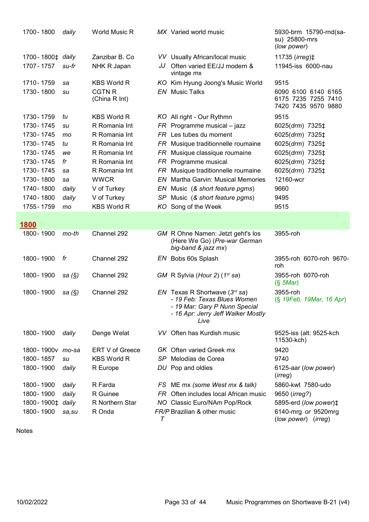| 1700 - 1800 |                                             | daily            | World Music R                  |     | MX Varied world music                                                                                                                         | 5930-brm 15790-rnd(sa-<br>su) 25800-mrs<br>(low power)            |
|-------------|---------------------------------------------|------------------|--------------------------------|-----|-----------------------------------------------------------------------------------------------------------------------------------------------|-------------------------------------------------------------------|
|             | 1700-1800 <sup><math>\pm</math></sup> daily |                  | Zanzibar B. Co                 |     | VV Usually African/local music                                                                                                                | 11735 ( <i>irreg</i> ) ‡                                          |
| 1707 - 1757 |                                             | su-fr            | NHK R Japan                    | JJ  | Often varied EE/JJ modern &<br>vintage mx                                                                                                     | 11945-iss 6000-nau                                                |
| 1710 - 1759 |                                             | sa               | <b>KBS World R</b>             |     | KO Kim Hyung Joong's Music World                                                                                                              | 9515                                                              |
| 1730 - 1800 |                                             | su               | <b>CGTN R</b><br>(China R Int) |     | <b>EN</b> Music Talks                                                                                                                         | 6090 6100 6140 6165<br>6175 7235 7255 7410<br>7420 7435 9570 9880 |
| 1730 - 1759 |                                             | tu               | <b>KBS World R</b>             |     | KO All right - Our Rythmn                                                                                                                     | 9515                                                              |
| 1730 - 1745 |                                             | su               | R Romania Int                  |     | $FR$ Programme musical – jazz                                                                                                                 | 6025(drm) 7325‡                                                   |
| 1730 - 1745 |                                             | mo               | R Romania Int                  |     | FR Les tubes du moment                                                                                                                        | 6025(drm) 7325‡                                                   |
| 1730 - 1745 |                                             | tu               | R Romania Int                  |     | FR Musique traditionnelle roumaine                                                                                                            | 6025(drm) 7325‡                                                   |
| 1730 - 1745 |                                             | we               | R Romania Int                  |     | FR Musique classique roumaine                                                                                                                 | 6025(drm) 7325‡                                                   |
| 1730 - 1745 |                                             | fr               | R Romania Int                  |     | FR Programme musical                                                                                                                          | 6025(drm) 7325‡                                                   |
| 1730 - 1745 |                                             | sa               | R Romania Int                  |     | FR Musique traditionnelle roumaine                                                                                                            | 6025(drm) 7325‡                                                   |
| 1730 - 1800 |                                             | sa               | <b>WWCR</b>                    |     | <b>EN</b> Martha Garvin: Musical Memories                                                                                                     | 12160-wcr                                                         |
| 1740 - 1800 |                                             | daily            | V of Turkey                    |     | EN Music (& short feature pgms)                                                                                                               | 9660                                                              |
| 1740 - 1800 |                                             | daily            | V of Turkey                    |     | SP Music (& short feature pgms)                                                                                                               | 9495                                                              |
| 1755 - 1759 |                                             | mo               | <b>KBS World R</b>             |     | KO Song of the Week                                                                                                                           | 9515                                                              |
| 1800        |                                             |                  |                                |     |                                                                                                                                               |                                                                   |
| 1800 - 1900 |                                             | $mo-th$          | Channel 292                    |     | GM R Ohne Namen: Jetzt geht's los<br>(Here We Go) (Pre-war German<br>big-band & jazz mx)                                                      | 3955-roh                                                          |
| 1800 - 1900 |                                             | fr               | Channel 292                    |     | EN Bobs 60s Splash                                                                                                                            | 3955-roh 6070-roh 9670-<br>roh                                    |
| 1800 - 1900 |                                             | sa $(\S)$        | Channel 292                    |     | GM R Sylvia (Hour 2) $(1^{st}$ sa)                                                                                                            | 3955-roh 6070-roh<br>$(S$ 5Mar)                                   |
| 1800 - 1900 |                                             | sa (§)           | Channel 292                    |     | EN Texas R Shortwave $(3rd sa)$<br>- 19 Feb: Texas Blues Women<br>- 19 Mar: Gary P Nunn Special<br>- 16 Apr: Jerry Jeff Walker Mostly<br>Live | 3955-roh<br>(§ 19Feb, 19Mar, 16 Apr)                              |
| 1800 - 1900 |                                             | daily            | Denge Welat                    |     | VV Often has Kurdish music                                                                                                                    | 9525-iss (alt: 9525-kch<br>11530-kch)                             |
|             |                                             | 1800-1900v mo-sa | ERT V of Greece                |     | <b>GK</b> Often varied Greek mx                                                                                                               | 9420                                                              |
| 1800 - 1857 |                                             | su               | <b>KBS World R</b>             | SP  | Melodías de Corea                                                                                                                             | 9740                                                              |
| 1800 - 1900 |                                             | daily            | R Europe                       |     | DU Pop and oldies                                                                                                                             | 6125-aar (low power)<br>(irreg)                                   |
| 1800 - 1900 |                                             | daily            | R Farda                        | FS  | ME mx (some West mx & talk)                                                                                                                   | 5860-kwt 7580-udo                                                 |
| 1800 - 1900 |                                             | daily            | R Guinee                       | FR. | Often includes local African music                                                                                                            | 9650 ( <i>irreg?</i> )                                            |
|             | 1800-1900 <sup><math>\pm</math></sup> daily |                  | R Northern Star                | NO. | Classic Euro/NAm Pop/Rock                                                                                                                     | 5895-erd (low power)‡                                             |
| 1800 - 1900 |                                             | sa,su            | R Onda                         | T   | FR/P Brazilian & other music                                                                                                                  | 6140-mrg or 9520mrg<br>(low power)<br>(irreg)                     |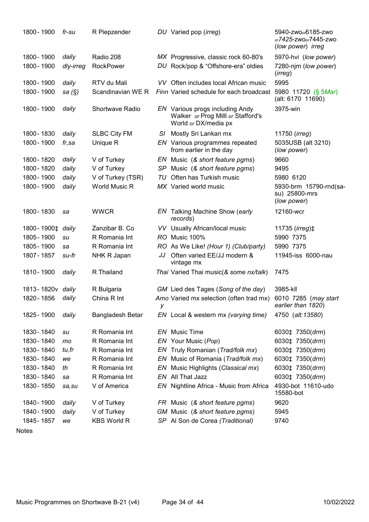| 1800 - 1900                                 | fr-su     | R Piepzender           |    | DU Varied pop (irreg)                                                                         | 5940-zwo <sub>o</sub> 6185-zwo<br>or7425-zwoor7445-zwo<br>(low power) irreg |
|---------------------------------------------|-----------|------------------------|----|-----------------------------------------------------------------------------------------------|-----------------------------------------------------------------------------|
| 1800 - 1900                                 | daily     | Radio 208              |    | MX Progressive, classic rock 60-80's                                                          | 5970-hvi (low power)                                                        |
| 1800 - 1900                                 | dly-irreg | <b>RockPower</b>       |    | DU Rock/pop & "Offshore-era" oldies                                                           | 7280-njm (low power)<br>(irreg)                                             |
| 1800 - 1900                                 | daily     | RTV du Mali            |    | VV Often includes local African music                                                         | 5995                                                                        |
| 1800 - 1900                                 | sa (§)    | Scandinavian WE R      |    | Finn Varied schedule for each broadcast                                                       | 5980 11720 (§ 5Mar)<br>(alt: 6170 11690)                                    |
| 1800 - 1900                                 | daily     | <b>Shortwave Radio</b> |    | EN Various progs including Andy<br>Walker or Prog Milll or Stafford's<br>World or DX/media px | 3975-win                                                                    |
| 1800 - 1830                                 | daily     | <b>SLBC City FM</b>    | SI | Mostly Sri Lankan mx                                                                          | 11750 ( <i>irreg</i> )                                                      |
| 1800 - 1900                                 | fr,sa     | Unique R               |    | EN Various programmes repeated<br>from earlier in the day                                     | 5035USB (alt 3210)<br>(low power)                                           |
| 1800 - 1820                                 | daily     | V of Turkey            |    | EN Music (& short feature pgms)                                                               | 9660                                                                        |
| 1800 - 1820                                 | daily     | V of Turkey            | SP | Music (& short feature pgms)                                                                  | 9495                                                                        |
| 1800 - 1900                                 | daily     | V of Turkey (TSR)      | IU | Often has Turkish music                                                                       | 5980 6120                                                                   |
| 1800 - 1900                                 | daily     | World Music R          |    | MX Varied world music                                                                         | 5930-brm 15790-rnd(sa-<br>su) 25800-mrs<br>(low power)                      |
| 1800 - 1830                                 | sa        | <b>WWCR</b>            |    | EN Talking Machine Show (early<br>records)                                                    | 12160-wcr                                                                   |
| 1800-1900 <sup><math>\pm</math></sup> daily |           | Zanzibar B. Co         |    | VV Usually African/local music                                                                | 11735 ( <i>irreg</i> ) $\ddagger$                                           |
| 1805 - 1900                                 | su        | R Romania Int          |    | RO Music 100%                                                                                 | 5990 7375                                                                   |
| 1805 - 1900                                 | sa        | R Romania Int          |    | RO As We Like! (Hour 1) (Club/party)                                                          | 5990 7375                                                                   |
| 1807 - 1857                                 | su-fr     | NHK R Japan            | JJ | Often varied EE/JJ modern &<br>vintage mx                                                     | 11945-iss 6000-nau                                                          |
| 1810 - 1900                                 | daily     | R Thailand             |    | Thai Varied Thai music(& some nx/talk)                                                        | 7475                                                                        |
| 1813-1820v daily                            |           | R Bulgaria             |    | GM Lied des Tages (Song of the day)                                                           | 3985-kll                                                                    |
| 1820 - 1856                                 | daily     | China R Int            | у  | Amo Varied mx selection (often trad mx)                                                       | 6010 7285 (may start<br>earlier than 1820)                                  |
| 1825 - 1900                                 | daily     | Bangladesh Betar       |    | EN Local & western mx (varying time)                                                          | 4750 (alt:13580)                                                            |
| 1830 - 1840                                 | su        | R Romania Int          |    | <b>EN</b> Music Time                                                                          | 6030‡ 7350(drm)                                                             |
| 1830 - 1840                                 | mo        | R Romania Int          | ΕN | Your Music (Pop)                                                                              | 6030‡ 7350(drm)                                                             |
| 1830 - 1840                                 | tu,fr     | R Romania Int          | EN | Truly Romanian (Trad/folk mx)                                                                 | 6030‡ 7350(drm)                                                             |
| 1830 - 1840                                 | we        | R Romania Int          | ΕN | Music of Romania (Trad/folk mx)                                                               | 6030‡ 7350(drm)                                                             |
| 1830 - 1840                                 | th        | R Romania Int          | ΕN | Music Highlights (Classical mx)                                                               | 6030‡ 7350(drm)                                                             |
| 1830 - 1840                                 | sa        | R Romania Int          | EN | All That Jazz                                                                                 | 6030‡ 7350(drm)                                                             |
| 1830 - 1850                                 | sa, su    | V of America           | ΕN | Nightline Africa - Music from Africa                                                          | 4930-bot 11610-udo<br>15580-bot                                             |
| 1840 - 1900                                 | daily     | V of Turkey            |    | FR Music (& short feature pgms)                                                               | 9620                                                                        |
| 1840 - 1900                                 | daily     | V of Turkey            |    | GM Music (& short feature pgms)                                                               | 5945                                                                        |
| 1845 - 1857                                 | we        | <b>KBS World R</b>     |    | SP Al Son de Corea (Traditional)                                                              | 9740                                                                        |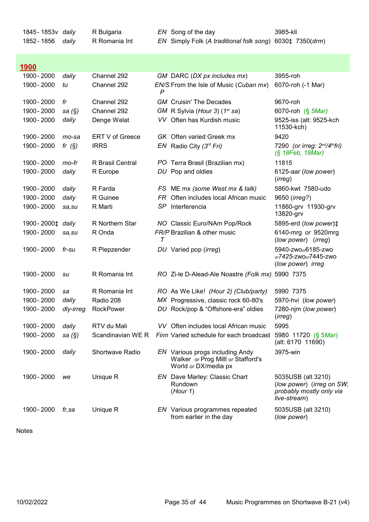1845-1853y *daily* R Bulgaria **EN** Song of the day 1852-1856 daily R Romania Int <mark>1900</mark> --- -- -- -- -- - - - - - - - -1900- 2000 daily Channel 292 1900- 2000 tu Channel 292 1900 - 2000 fr Channel 292 1900 - 2000 sa (§) Channel 292 1900 - 2000 daily Denge Welat VV Often has Kurdish music 9525-iss (alt: 9525-kch 1900 - 2000 mo-sa ERT V of Greece GK Often varied Greek mx 9420 1900 - 2000 fr  $(S)$  IRRS EN Radio City  $(3^{rd} Fri)$ 1900 - 2000 mo-fr R Brasil Central PO Terra Brasil (Brazilian mx) 11815 1900 - 2000 daily R Europe DU Pop and oldies 1900-2000 daily R Farda 1900 - 2000 daily R Guinee FR Often includes local African music 9650 (irreg?) 1900 - 2000 sa.su R Marti SP Interferencia 1900- 2000<sup>±</sup> daily R Northern Star 1900 - 2000 sa.su R Onda FR/P Brazilian & other music 1900-2000 fr-su R Piepzender 1900 - 2000 su R Romania Int RO Zi-le D-Alead-Ale Noastre (Folk mx) 5990 7375 1900-2000 sa R Romania Int RO As We Like! (Hour 2) (Club/party) 5990 7375 1900- 2000 daily Radio 208 MX Progressive, classic rock 60-80's 1900-2000 dly-irreg RockPower DU Rock/pop & "Offshore-era" oldies 7280-njm (low power) 1900- 2000 daily RTV du Mali VV Often includes local African music 5995 1900- 2000 sa (§) Scandinavian WE R Finn Varied schedule for each broadcast 5980 11720 (§ 5Mar) 1900 - 2000 daily Shortwave Radio EN Various progs including Andy 3975-win 1900 - 2000 we Unique R 1900 - 2000 *fr, sa* Unique R 3985-kll EN Simply Folk (A traditional folk song) 6030‡ 7350(drm) GM DARC (DX px includes mx) 3955-roh EN/S From the Isle of Music (Cuban mx) 6070-roh (-1 Mar) P GM Cruisin' The Decades 9670-roh GM R Sylvia (Hour 3) ( $1<sup>st</sup>$  sa) 6070-roh (§  $5Mar$ ) 11530-kch) 7290 (or irreg:  $2^{nd}/4th$ fri) (§ 18Feb, 18Mar) 6125-aar (low power) (irreg) FS ME mx (some West mx & talk) 5860-kwt 7580-udo 11860-grv 11930-grv 13820-grv NO Classic Euro/NAm Pop/Rock 5895-erd (low power) $\ddagger$ R Onda  $\tau$ 6140-mrg or 9520mrg (low power) (irreg) DU Varied pop (irreg) 5940-zwoor6185-zwo or7425-zwoor7445-zwo (low power) irreg 5970-hvi (low power) (irreg) RTV du Mali (alt: 6170 11690) Walker or Prog Milll or Stafford's World or DX/media px **EN** Dave Marley: Classic Chart Rundown (Hour 1) 5035USB (alt 3210) (low power) (irreg on SW, probably mostly only via live-stream) EN Various programmes repeated from earlier in the day 5035USB (alt 3210) (low power)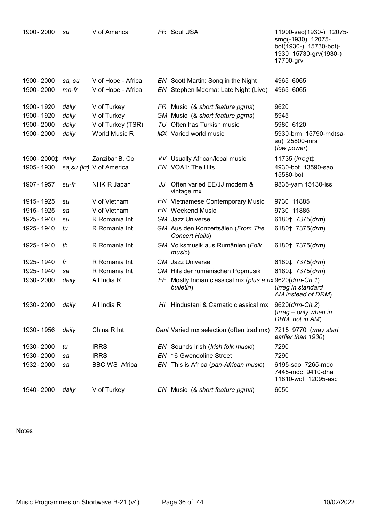| 1900 - 2000      | su     | V of America              | FR Soul USA                                                          | 11900-sao(1930-) 12075-<br>smg(-1930) 12075-<br>bot(1930-) 15730-bot)-<br>1930 15730-grv(1930-)<br>17700-grv |
|------------------|--------|---------------------------|----------------------------------------------------------------------|--------------------------------------------------------------------------------------------------------------|
| 1900 - 2000      | sa, su | V of Hope - Africa        | EN Scott Martin: Song in the Night                                   | 4965 6065                                                                                                    |
| 1900 - 2000      | mo-fr  | V of Hope - Africa        | EN Stephen Mdoma: Late Night (Live)                                  | 4965 6065                                                                                                    |
| 1900 - 1920      | daily  | V of Turkey               | FR Music (& short feature pgms)                                      | 9620                                                                                                         |
| 1900 - 1920      | daily  | V of Turkey               | GM Music (& short feature pgms)                                      | 5945                                                                                                         |
| 1900 - 2000      | daily  | V of Turkey (TSR)         | TU Often has Turkish music                                           | 5980 6120                                                                                                    |
| 1900 - 2000      | daily  | World Music R             | MX Varied world music                                                | 5930-brm 15790-rnd(sa-<br>su) 25800-mrs<br>(low power)                                                       |
| 1900-2000‡ daily |        | Zanzibar B. Co            | VV Usually African/local music                                       | 11735 ( $irreg$ ) $\ddagger$                                                                                 |
| 1905 - 1930      |        | sa, su (irr) V of America | EN VOA1: The Hits                                                    | 4930-bot 13590-sao<br>15580-bot                                                                              |
| 1907 - 1957      | su-fr  | NHK R Japan               | JJ Often varied EE/JJ modern &<br>vintage mx                         | 9835-yam 15130-iss                                                                                           |
| 1915 - 1925      | su     | V of Vietnam              | <b>EN</b> Vietnamese Contemporary Music                              | 9730 11885                                                                                                   |
| 1915 - 1925      | sa     | V of Vietnam              | <b>EN</b> Weekend Music                                              | 9730 11885                                                                                                   |
| 1925 - 1940      | su     | R Romania Int             | <b>GM</b> Jazz Universe                                              | 6180‡ 7375(drm)                                                                                              |
| 1925 - 1940      | tu     | R Romania Int             | GM Aus den Konzertsälen (From The<br>Concert Halls)                  | 6180‡ 7375(drm)                                                                                              |
| 1925 - 1940      | th     | R Romania Int             | GM Volksmusik aus Rumänien (Folk<br>music)                           | 6180‡ 7375(drm)                                                                                              |
| 1925 - 1940      | fr     | R Romania Int             | <b>GM</b> Jazz Universe                                              | 6180‡ 7375(drm)                                                                                              |
| 1925 - 1940      | sa     | R Romania Int             | GM Hits der rumänischen Popmusik                                     | 6180‡ 7375(drm)                                                                                              |
| 1930 - 2000      | daily  | All India R               | FF Mostly Indian classical mx (plus a nx 9620(drm-Ch.1)<br>bulletin) | (irreg in standard<br>AM instead of DRM)                                                                     |
| 1930 - 2000      | daily  | All India R               | HI Hindustani & Carnatic classical mx                                | 9620(drm-Ch.2)<br>$(irreg - only when in$<br>DRM, not in AM)                                                 |
| 1930 - 1956      | daily  | China R Int               | Cant Varied mx selection (often trad mx)                             | 7215 9770 (may start<br>earlier than 1930)                                                                   |
| 1930 - 2000      | tu     | <b>IRRS</b>               | EN Sounds Irish (Irish folk music)                                   | 7290                                                                                                         |
| 1930 - 2000      | sa     | <b>IRRS</b>               | EN 16 Gwendoline Street                                              | 7290                                                                                                         |
| 1932 - 2000      | sa     | <b>BBC WS-Africa</b>      | EN This is Africa (pan-African music)                                | 6195-sao 7265-mdc<br>7445-mdc 9410-dha<br>11810-wof 12095-asc                                                |
| 1940 - 2000      | daily  | V of Turkey               | EN Music (& short feature pgms)                                      | 6050                                                                                                         |
|                  |        |                           |                                                                      |                                                                                                              |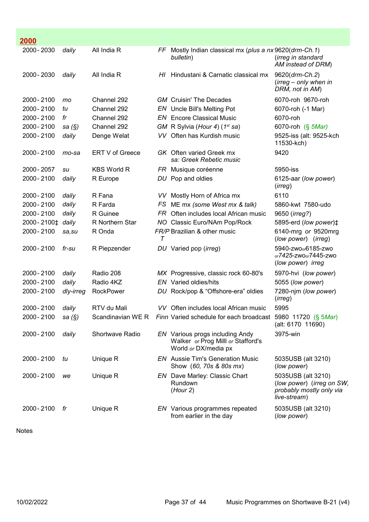| 2000          |           |                    |      |                                                                                               |                                                                                             |
|---------------|-----------|--------------------|------|-----------------------------------------------------------------------------------------------|---------------------------------------------------------------------------------------------|
| 2000 - 2030   | daily     | All India R        | FF.  | Mostly Indian classical mx (plus a nx 9620(drm-Ch.1)<br>bulletin)                             | (irreg in standard<br>AM instead of DRM)                                                    |
| 2000 - 2030   | daily     | All India R        | HI   | Hindustani & Carnatic classical mx                                                            | 9620(drm-Ch.2)<br>$(irreg - only when in$<br>DRM, not in AM)                                |
| 2000 - 2100   | mo        | Channel 292        |      | <b>GM</b> Cruisin' The Decades                                                                | 6070-roh 9670-roh                                                                           |
| 2000 - 2100   | tu        | Channel 292        |      | EN Uncle Bill's Melting Pot                                                                   | 6070-roh (-1 Mar)                                                                           |
| 2000 - 2100   | fr        | Channel 292        |      | <b>EN</b> Encore Classical Music                                                              | 6070-roh                                                                                    |
| 2000 - 2100   | sa $(\S)$ | Channel 292        |      | GM R Sylvia (Hour 4) (1 <sup>st</sup> sa)                                                     | 6070-roh (§ 5Mar)                                                                           |
| 2000 - 2100   | daily     | Denge Welat        |      | VV Often has Kurdish music                                                                    | 9525-iss (alt: 9525-kch<br>11530-kch)                                                       |
| 2000 - 2100   | mo-sa     | ERT V of Greece    |      | GK Often varied Greek mx<br>sa: Greek Rebetic music                                           | 9420                                                                                        |
| 2000 - 2057   | su        | <b>KBS World R</b> |      | FR Musique coréenne                                                                           | 5950-iss                                                                                    |
| 2000 - 2100   | daily     | R Europe           |      | DU Pop and oldies                                                                             | 6125-aar (low power)<br>(irreg)                                                             |
| 2000 - 2100   | daily     | R Fana             | VV.  | Mostly Horn of Africa mx                                                                      | 6110                                                                                        |
| 2000 - 2100   | daily     | R Farda            | FS   | ME mx (some West mx & talk)                                                                   | 5860-kwt 7580-udo                                                                           |
| 2000 - 2100   | daily     | R Guinee           | FR . | Often includes local African music                                                            | 9650 ( <i>irreg?</i> )                                                                      |
| 2000 - 2100 ± | daily     | R Northern Star    |      | NO Classic Euro/NAm Pop/Rock                                                                  | 5895-erd (low power) <sup><math>\ddagger</math></sup>                                       |
| 2000 - 2100   | sa,su     | R Onda             | T    | FR/P Brazilian & other music                                                                  | 6140-mrg or 9520mrg<br>(low power) (irreg)                                                  |
| 2000 - 2100   | fr-su     | R Piepzender       |      | DU Varied pop ( <i>irreg</i> )                                                                | 5940-zwo <sub>o</sub> 6185-zwo<br>or7425-zwoor7445-zwo<br>(low power) irreg                 |
| 2000 - 2100   | daily     | Radio 208          |      | MX Progressive, classic rock 60-80's                                                          | 5970-hvi (low power)                                                                        |
| 2000 - 2100   | daily     | Radio 4KZ          |      | EN Varied oldies/hits                                                                         | 5055 (low power)                                                                            |
| 2000 - 2100   | dly-irreg | <b>RockPower</b>   |      | DU Rock/pop & "Offshore-era" oldies                                                           | 7280-njm (low power)<br>(irreg)                                                             |
| 2000 - 2100   | daily     | RTV du Mali        | VV l | Often includes local African music                                                            | 5995                                                                                        |
| 2000 - 2100   | sa $(\S)$ | Scandinavian WE R  |      | Finn Varied schedule for each broadcast 5980 11720 (§ 5Mar)                                   | (alt: 6170 11690)                                                                           |
| 2000 - 2100   | daily     | Shortwave Radio    |      | EN Various progs including Andy<br>Walker or Prog Milll or Stafford's<br>World or DX/media px | 3975-win                                                                                    |
| 2000 - 2100   | tu        | Unique R           |      | <b>EN</b> Aussie Tim's Generation Music<br>Show (60, 70s & 80s mx)                            | 5035USB (alt 3210)<br>(low power)                                                           |
| 2000 - 2100   | we        | Unique R           |      | EN Dave Marley: Classic Chart<br>Rundown<br>(Hour 2)                                          | 5035USB (alt 3210)<br>(low power) (irreg on SW,<br>probably mostly only via<br>live-stream) |
| 2000 - 2100   | fr        | Unique R           |      | EN Various programmes repeated<br>from earlier in the day                                     | 5035USB (alt 3210)<br>(low power)                                                           |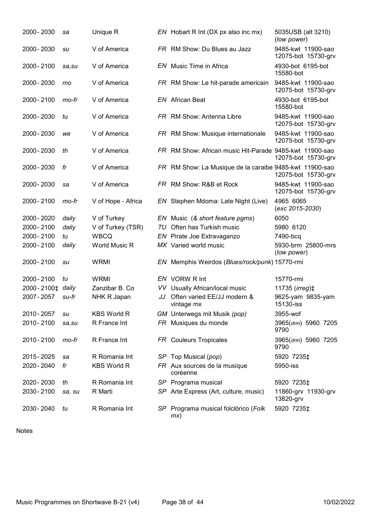| 2000 - 2030                  | sa     | Unique R           |     | EN Hobart R Int (DX px also inc mx)                     | 5035USB (alt 3210)<br>(low power)         |
|------------------------------|--------|--------------------|-----|---------------------------------------------------------|-------------------------------------------|
| 2000 - 2030                  | su     | V of America       |     | FR RM Show: Du Blues au Jazz                            | 9485-kwt 11900-sao<br>12075-bot 15730-grv |
| 2000 - 2100                  | sa,su  | V of America       |     | EN Music Time in Africa                                 | 4930-bot 6195-bot<br>15580-bot            |
| 2000 - 2030                  | mo     | V of America       |     | FR RM Show: Le hit-parade americain                     | 9485-kwt 11900-sao<br>12075-bot 15730-grv |
| 2000 - 2100                  | mo-fr  | V of America       |     | <b>EN</b> African Beat                                  | 4930-bot 6195-bot<br>15580-bot            |
| 2000 - 2030                  | tu     | V of America       |     | FR RM Show: Antenna Libre                               | 9485-kwt 11900-sao<br>12075-bot 15730-grv |
| 2000 - 2030                  | we     | V of America       |     | FR RM Show: Musique internationale                      | 9485-kwt 11900-sao<br>12075-bot 15730-grv |
| 2000 - 2030                  | th     | V of America       |     | FR RM Show: African music Hit-Parade 9485-kwt 11900-sao | 12075-bot 15730-grv                       |
| 2000 - 2030                  | fr     | V of America       |     | FR RM Show: La Musique de la caraibe 9485-kwt 11900-sao | 12075-bot 15730-grv                       |
| 2000 - 2030                  | sa     | V of America       |     | FR RM Show: R&B et Rock                                 | 9485-kwt 11900-sao<br>12075-bot 15730-grv |
| 2000 - 2100                  | mo-fr  | V of Hope - Africa |     | EN Stephen Mdoma: Late Night (Live)                     | 4965 6065<br>$(exc 2015-2030)$            |
| 2000 - 2020                  | daily  | V of Turkey        |     | EN Music (& short feature pgms)                         | 6050                                      |
| 2000 - 2100                  | daily  | V of Turkey (TSR)  |     | TU Often has Turkish music                              | 5980 6120                                 |
| 2000 - 2100                  | tu     | <b>WBCQ</b>        |     | EN Pirate Joe Extravaganzo                              | 7490-bcq                                  |
| 2000 - 2100                  | daily  | World Music R      |     | MX Varied world music                                   | 5930-brm 25800-mrs<br>(low power)         |
| 2000 - 2100                  | su     | <b>WRMI</b>        |     | EN Memphis Weirdos (Blues/rock/punk) 15770-rmi          |                                           |
| 2000 - 2100                  | tu     | <b>WRMI</b>        |     | EN VORW R Int                                           | 15770-rmi                                 |
| 2000-2100 <sup>+</sup> daily |        | Zanzibar B. Co     | VV. | Usually African/local music                             | 11735 (irreg) ‡                           |
| 2007 - 2057                  | su-fr  | NHK R Japan        | JJ  | Often varied EE/JJ modern &<br>vintage mx               | 9625-yam 9835-yam<br>15130-iss            |
| 2010 - 2057                  | su     | <b>KBS World R</b> |     | GM Unterwegs mit Musik (pop)                            | 3955-wof                                  |
| 2010 - 2100                  | sa,su  | R France Int       |     | FR Musiques du monde                                    | 3965(drm) 5960 7205<br>9790               |
| 2010 - 2100                  | mo-fr  | R France Int       |     | FR Couleurs Tropicales                                  | 3965(drm) 5960 7205<br>9790               |
| 2015 - 2025                  | sa     | R Romania Int      |     | SP Top Musical (pop)                                    | 5920 7235‡                                |
| 2020 - 2040                  | fr     | <b>KBS World R</b> |     | FR Aux sources de la musique<br>coréenne                | 5950-iss                                  |
| 2020 - 2030                  | th     | R Romania Int      |     | SP Programa musical                                     | 5920 7235‡                                |
| 2030 - 2100                  | sa, su | R Marti            |     | SP Arte Express (Art, culture, music)                   | 11860-grv 11930-grv<br>13820-grv          |
| 2030 - 2040                  | tu     | R Romania Int      |     | SP Programa musical folclórico (Folk<br>mx)             | 5920 7235‡                                |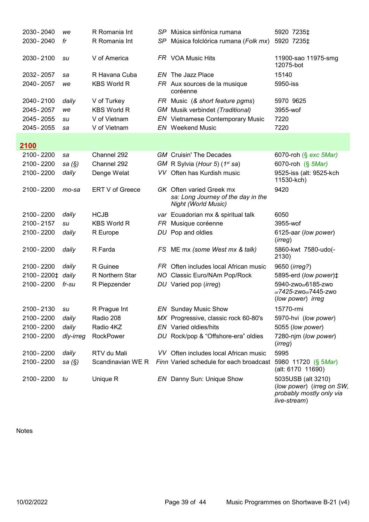| 2030 - 2040      | we        | R Romania Int      | SP. | Música sinfónica rumana                                                                      | 5920 7235‡                                                                                  |
|------------------|-----------|--------------------|-----|----------------------------------------------------------------------------------------------|---------------------------------------------------------------------------------------------|
| 2030 - 2040      | fr        | R Romania Int      | SP  | Música folclórica rumana (Folk mx)                                                           | 5920 7235‡                                                                                  |
|                  |           |                    |     |                                                                                              |                                                                                             |
| 2030 - 2100      | su        | V of America       |     | FR VOA Music Hits                                                                            | 11900-sao 11975-smg<br>12075-bot                                                            |
| 2032 - 2057      | sa        | R Havana Cuba      |     | EN The Jazz Place                                                                            | 15140                                                                                       |
| 2040 - 2057      | we        | <b>KBS World R</b> |     | FR Aux sources de la musique<br>coréenne                                                     | 5950-iss                                                                                    |
| 2040 - 2100      | daily     | V of Turkey        |     | FR Music (& short feature pgms)                                                              | 5970 9625                                                                                   |
| 2045 - 2057      | we        | <b>KBS World R</b> |     | <b>GM</b> Musik verbindet (Traditional)                                                      | 3955-wof                                                                                    |
| 2045 - 2055      | su        | V of Vietnam       |     | <b>EN</b> Vietnamese Contemporary Music                                                      | 7220                                                                                        |
| 2045 - 2055      | sa        | V of Vietnam       |     | <b>EN</b> Weekend Music                                                                      | 7220                                                                                        |
| <u>2100</u>      |           |                    |     |                                                                                              |                                                                                             |
| 2100 - 2200      | sa        | Channel 292        |     | <b>GM</b> Cruisin' The Decades                                                               | 6070-roh (§ exc 5Mar)                                                                       |
| 2100 - 2200      | sa $(\S)$ | Channel 292        |     | GM R Sylvia (Hour 5) (1st sa)                                                                | 6070-roh (§ 5Mar)                                                                           |
| 2100 - 2200      | daily     | Denge Welat        |     | VV Often has Kurdish music                                                                   | 9525-iss (alt: 9525-kch<br>11530-kch)                                                       |
| 2100 - 2200      | mo-sa     | ERT V of Greece    |     | <b>GK</b> Often varied Greek mx<br>sa: Long Journey of the day in the<br>Night (World Music) | 9420                                                                                        |
| 2100 - 2200      | daily     | <b>HCJB</b>        |     | var Ecuadorian mx & spiritual talk                                                           | 6050                                                                                        |
| 2100-2157        | su        | <b>KBS World R</b> |     | FR Musique coréenne                                                                          | 3955-wof                                                                                    |
| 2100 - 2200      | daily     | R Europe           |     | DU Pop and oldies                                                                            | 6125-aar (low power)<br>(irreg)                                                             |
| 2100 - 2200      | daily     | R Farda            |     | FS ME mx (some West mx & talk)                                                               | 5860-kwt 7580-udo(-<br>2130)                                                                |
| 2100 - 2200      | daily     | R Guinee           |     | FR Often includes local African music                                                        | 9650 ( <i>irreg?</i> )                                                                      |
| 2100-2200‡ daily |           | R Northern Star    |     | NO Classic Euro/NAm Pop/Rock                                                                 | 5895-erd (low power) ‡                                                                      |
| 2100 - 2200      | $fr$ -su  | R Piepzender       |     | DU Varied pop (irreg)                                                                        | 5940-zwo <sub>o</sub> 6185-zwo<br>or7425-zwoor7445-zwo<br>(low power) irreg                 |
| 2100-2130        | su        | R Prague Int       |     | <b>EN</b> Sunday Music Show                                                                  | 15770-rmi                                                                                   |
| 2100 - 2200      | daily     | Radio 208          |     | MX Progressive, classic rock 60-80's                                                         | 5970-hvi (low power)                                                                        |
| 2100 - 2200      | daily     | Radio 4KZ          |     | <b>EN</b> Varied oldies/hits                                                                 | 5055 (low power)                                                                            |
| 2100 - 2200      | dly-irreg | <b>RockPower</b>   |     | DU Rock/pop & "Offshore-era" oldies                                                          | 7280-njm (low power)<br>(irreg)                                                             |
| 2100 - 2200      | daily     | RTV du Mali        |     | VV Often includes local African music                                                        | 5995                                                                                        |
| 2100 - 2200      | sa $(\S)$ | Scandinavian WE R  |     | Finn Varied schedule for each broadcast                                                      | 5980 11720 (§ 5 <i>Mar</i> )<br>(alt: 6170 11690)                                           |
| 2100 - 2200      | tu        | Unique R           |     | EN Danny Sun: Unique Show                                                                    | 5035USB (alt 3210)<br>(low power) (irreg on SW,<br>probably mostly only via<br>live-stream) |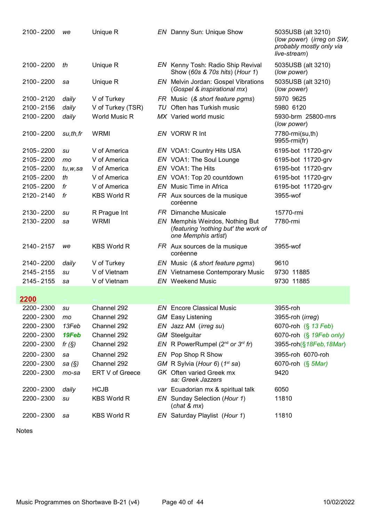| 2100 - 2200 | we       | Unique R             |    | <b>EN</b> Danny Sun: Unique Show                                                               | 5035USB (alt 3210)<br>(low power) (irreg on SW,<br>probably mostly only via<br>live-stream) |
|-------------|----------|----------------------|----|------------------------------------------------------------------------------------------------|---------------------------------------------------------------------------------------------|
| 2100 - 2200 | th       | Unique R             |    | EN Kenny Tosh: Radio Ship Revival<br>Show (60s & 70s hits) (Hour 1)                            | 5035USB (alt 3210)<br>(low power)                                                           |
| 2100 - 2200 | sa       | Unique R             |    | EN Melvin Jordan: Gospel Vibrations<br>(Gospel & inspirational mx)                             | 5035USB (alt 3210)<br>(low power)                                                           |
| 2100 - 2120 | daily    | V of Turkey          |    | FR Music (& short feature pgms)                                                                | 5970 9625                                                                                   |
| 2100 - 2156 | daily    | V of Turkey (TSR)    | TU | Often has Turkish music                                                                        | 5980 6120                                                                                   |
| 2100 - 2200 | daily    | <b>World Music R</b> |    | MX Varied world music                                                                          | 5930-brm 25800-mrs<br>(low power)                                                           |
| 2100 - 2200 | su,th,fr | <b>WRMI</b>          |    | EN VORW R Int                                                                                  | 7780-rmi(su,th)<br>9955-rmi(fr)                                                             |
| 2105 - 2200 | su       | V of America         |    | EN VOA1: Country Hits USA                                                                      | 6195-bot 11720-grv                                                                          |
| 2105 - 2200 | mo       | V of America         |    | EN VOA1: The Soul Lounge                                                                       | 6195-bot 11720-grv                                                                          |
| 2105 - 2200 | tu,w,sa  | V of America         |    | EN VOA1: The Hits                                                                              | 6195-bot 11720-grv                                                                          |
| 2105 - 2200 | th       | V of America         |    | EN VOA1: Top 20 countdown                                                                      | 6195-bot 11720-grv                                                                          |
| 2105 - 2200 | fr       | V of America         |    | <b>EN</b> Music Time in Africa                                                                 | 6195-bot 11720-grv                                                                          |
| 2120 - 2140 | fr       | <b>KBS World R</b>   |    | FR Aux sources de la musique<br>coréenne                                                       | 3955-wof                                                                                    |
| 2130 - 2200 | su       | R Prague Int         |    | <b>FR</b> Dimanche Musicale                                                                    | 15770-rmi                                                                                   |
| 2130 - 2200 | sa       | <b>WRMI</b>          |    | EN Memphis Weirdos, Nothing But<br>(featuring 'nothing but' the work of<br>one Memphis artist) | 7780-rmi                                                                                    |
| 2140 - 2157 | we       | <b>KBS World R</b>   |    | FR Aux sources de la musique<br>coréenne                                                       | 3955-wof                                                                                    |
| 2140 - 2200 | daily    | V of Turkey          |    | EN Music (& short feature pgms)                                                                | 9610                                                                                        |
| 2145 - 2155 | su       | V of Vietnam         |    | <b>EN</b> Vietnamese Contemporary Music                                                        | 9730 11885                                                                                  |
| 2145 - 2155 | sa       | V of Vietnam         |    | <b>EN</b> Weekend Music                                                                        | 9730 11885                                                                                  |
| 2200        |          |                      |    |                                                                                                |                                                                                             |
| 2200 - 2300 | su       | Channel 292          |    | <b>EN</b> Encore Classical Music                                                               | 3955-roh                                                                                    |
| 2200 - 2300 | mo       | Channel 292          |    | <b>GM</b> Easy Listening                                                                       | 3955-roh (irreg)                                                                            |
| 2200 - 2300 | 13Feb    | Channel 292          |    | EN Jazz AM (irreg su)                                                                          | 6070-roh (§ 13 Feb)                                                                         |
| 2200 - 2300 | 19Feb    | Channel 292          |    | <b>GM</b> Steelguitar                                                                          | 6070-roh (§ 19Feb only)                                                                     |
| 2200 - 2300 | fr $(S)$ | Channel 292          |    | EN R PowerRumpel ( $2^{nd}$ or $3^{rd}$ fr)                                                    | 3955-roh(§18Feb, 18Mar)                                                                     |
| 2200 - 2300 | sa       | Channel 292          |    | EN Pop Shop R Show                                                                             | 3955-roh 6070-roh                                                                           |
| 2200 - 2300 | sa (§)   | Channel 292          |    | GM R Sylvia (Hour 6) (1 <sup>st</sup> sa)                                                      | 6070-roh (§ 5Mar)                                                                           |
| 2200 - 2300 | mo-sa    | ERT V of Greece      |    | GK Often varied Greek mx<br>sa: Greek Jazzers                                                  | 9420                                                                                        |
| 2200 - 2300 | daily    | <b>HCJB</b>          |    | var Ecuadorian mx & spiritual talk                                                             | 6050                                                                                        |
| 2200 - 2300 | su       | <b>KBS World R</b>   |    | EN Sunday Selection (Hour 1)<br>(char & mx)                                                    | 11810                                                                                       |
| 2200 - 2300 | sa       | <b>KBS World R</b>   |    | EN Saturday Playlist (Hour 1)                                                                  | 11810                                                                                       |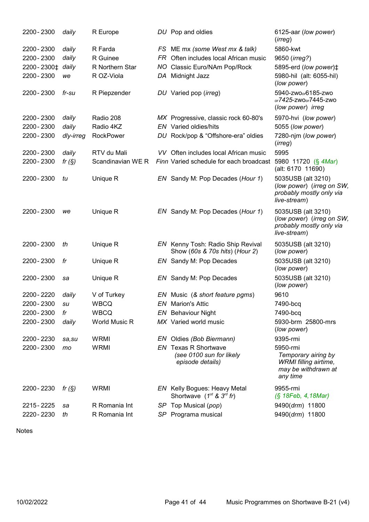| 2200 - 2300                  | daily     | R Europe          | DU Pop and oldies                                                           | 6125-aar (low power)<br>(irreg)                                                             |
|------------------------------|-----------|-------------------|-----------------------------------------------------------------------------|---------------------------------------------------------------------------------------------|
| 2200 - 2300                  | daily     | R Farda           | FS ME mx (some West mx & talk)                                              | 5860-kwt                                                                                    |
| 2200 - 2300                  | daily     | R Guinee          | FR Often includes local African music                                       | 9650 (irreg?)                                                                               |
| 2200-2300 <sup>+</sup> daily |           | R Northern Star   | NO Classic Euro/NAm Pop/Rock                                                | 5895-erd (low power)#                                                                       |
| 2200 - 2300                  | we        | R OZ-Viola        | DA Midnight Jazz                                                            | 5980-hil (alt: 6055-hil)<br>(low power)                                                     |
| 2200 - 2300                  | fr-su     | R Piepzender      | DU Varied pop (irreg)                                                       | 5940-zwo <sub>o</sub> 6185-zwo<br>or7425-zwoor7445-zwo<br>(low power) irreg                 |
| 2200 - 2300                  | daily     | Radio 208         | MX Progressive, classic rock 60-80's                                        | 5970-hvi (low power)                                                                        |
| 2200 - 2300                  | daily     | Radio 4KZ         | <b>EN</b> Varied oldies/hits                                                | 5055 (low power)                                                                            |
| 2200 - 2300                  | dly-irreg | <b>RockPower</b>  | DU Rock/pop & "Offshore-era" oldies                                         | 7280-njm (low power)<br>(irreg)                                                             |
| 2200 - 2300                  | daily     | RTV du Mali       | VV Often includes local African music                                       | 5995                                                                                        |
| 2200 - 2300                  | fr $(S)$  | Scandinavian WE R | Finn Varied schedule for each broadcast                                     | 5980 11720 (§ 4Mar)<br>(alt: 6170 11690)                                                    |
| 2200 - 2300                  | tu        | Unique R          | EN Sandy M: Pop Decades (Hour 1)                                            | 5035USB (alt 3210)<br>(low power) (irreg on SW,<br>probably mostly only via<br>live-stream) |
| 2200 - 2300                  | we        | Unique R          | EN Sandy M: Pop Decades (Hour 1)                                            | 5035USB (alt 3210)<br>(low power) (irreg on SW,<br>probably mostly only via<br>live-stream) |
| 2200 - 2300                  | th        | Unique R          | EN Kenny Tosh: Radio Ship Revival<br>Show (60s & 70s hits) (Hour 2)         | 5035USB (alt 3210)<br>(low power)                                                           |
| 2200 - 2300                  | fr        | Unique R          | EN Sandy M: Pop Decades                                                     | 5035USB (alt 3210)<br>(low power)                                                           |
| 2200 - 2300                  | sa        | Unique R          | EN Sandy M: Pop Decades                                                     | 5035USB (alt 3210)<br>(low power)                                                           |
| 2200 - 2220                  | daily     | V of Turkey       | EN Music (& short feature pgms)                                             | 9610                                                                                        |
| 2200 - 2300                  | su        | <b>WBCQ</b>       | EN Marion's Attic                                                           | 7490-bcq                                                                                    |
| 2200 - 2300                  | fr        | <b>WBCQ</b>       | <b>EN</b> Behaviour Night                                                   | 7490-bcq                                                                                    |
| 2200 - 2300                  | daily     | World Music R     | MX Varied world music                                                       | 5930-brm 25800-mrs<br>(low power)                                                           |
| 2200 - 2230                  | sa,su     | <b>WRMI</b>       | EN Oldies (Bob Biermann)                                                    | 9395-rmi                                                                                    |
| 2200 - 2300                  | mo        | <b>WRMI</b>       | <b>EN</b> Texas R Shortwave<br>(see 0100 sun for likely<br>episode details) | 5950-rmi<br>Temporary airing by<br>WRMI filling airtime,<br>may be withdrawn at<br>any time |
| 2200 - 2230                  | fr $(S)$  | <b>WRMI</b>       | EN Kelly Bogues: Heavy Metal<br>Shortwave $(1^{st}$ & $3^{rd}$ fr)          | 9955-rmi<br>(§ 18Feb, 4, 18Mar)                                                             |
| 2215 - 2225                  | sa        | R Romania Int     | SP Top Musical (pop)                                                        | 9490(drm) 11800                                                                             |
| 2220 - 2230                  | th        | R Romania Int     | SP Programa musical                                                         | 9490(drm) 11800                                                                             |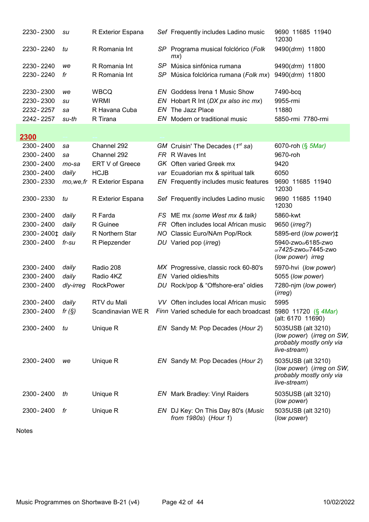|      | 2230 - 2300   | su        | R Exterior Espana |      | Sef Frequently includes Ladino music                                          | 9690 11685 11940<br>12030                                                                   |
|------|---------------|-----------|-------------------|------|-------------------------------------------------------------------------------|---------------------------------------------------------------------------------------------|
|      | 2230 - 2240   | tu        | R Romania Int     |      | SP Programa musical folclórico (Folk<br>mx)                                   | 9490(drm) 11800                                                                             |
|      | 2230 - 2240   | we        | R Romania Int     |      | SP Música sinfónica rumana                                                    | 9490(drm) 11800                                                                             |
|      | 2230 - 2240   | fr        | R Romania Int     | SP.  | Música folclórica rumana (Folk mx)                                            | 9490(drm) 11800                                                                             |
|      | 2230 - 2300   | we        | <b>WBCQ</b>       |      | <b>EN</b> Goddess Irena 1 Music Show                                          | 7490-bcq                                                                                    |
|      | 2230 - 2300   | su        | <b>WRMI</b>       | EN.  | Hobart R Int (DX px also inc mx)                                              | 9955-rmi                                                                                    |
|      | 2232 - 2257   | sa        | R Havana Cuba     |      | EN The Jazz Place                                                             | 11880                                                                                       |
|      | 2242 - 2257   | su-th     | R Tirana          |      | EN Modern or traditional music                                                | 5850-rmi 7780-rmi                                                                           |
| 2300 |               |           |                   |      |                                                                               |                                                                                             |
|      | 2300 - 2400   | sa        | Channel 292       |      | GM Cruisin' The Decades $(1^{st}$ sa)                                         | 6070-roh (§ 5Mar)                                                                           |
|      | 2300 - 2400   | sa        | Channel 292       |      | FR R Waves Int                                                                | 9670-roh                                                                                    |
|      | 2300 - 2400   | mo-sa     | ERT V of Greece   |      | GK Often varied Greek mx                                                      | 9420                                                                                        |
|      | 2300 - 2400   | daily     | <b>HCJB</b>       |      | var Ecuadorian mx & spiritual talk                                            | 6050                                                                                        |
|      | 2300 - 2330   | mo,we,fr  | R Exterior Espana |      | EN Frequently includes music features                                         | 9690 11685 11940<br>12030                                                                   |
|      | 2300 - 2330   | tu        | R Exterior Espana |      | Sef Frequently includes Ladino music                                          | 9690 11685 11940<br>12030                                                                   |
|      | 2300 - 2400   | daily     | R Farda           |      | FS ME mx (some West mx & talk)                                                | 5860-kwt                                                                                    |
|      | 2300 - 2400   | daily     | R Guinee          | FR . | Often includes local African music                                            | 9650 ( <i>irreg?</i> )                                                                      |
|      | 2300 - 2400 ± | daily     | R Northern Star   |      | NO Classic Euro/NAm Pop/Rock                                                  | 5895-erd (low power) <sup><math>\ddagger</math></sup>                                       |
|      | 2300 - 2400   | $fr$ -su  | R Piepzender      |      | DU Varied pop (irreg)                                                         | 5940-zwo <sub>o</sub> 6185-zwo<br>or7425-zwoor7445-zwo<br>(low power) irreg                 |
|      | 2300 - 2400   | daily     | Radio 208         |      | MX Progressive, classic rock 60-80's                                          | 5970-hvi (low power)                                                                        |
|      | 2300 - 2400   | daily     | Radio 4KZ         |      | EN Varied oldies/hits                                                         | 5055 (low power)                                                                            |
|      | 2300 - 2400   | dly-irreg | RockPower         |      | DU Rock/pop & "Offshore-era" oldies                                           | 7280-njm (low power)<br>( <i>irreg</i> )                                                    |
|      | 2300 - 2400   | daily     | RTV du Mali       |      | VV Often includes local African music                                         | 5995                                                                                        |
|      | 2300 - 2400   | fr $(S)$  |                   |      | Scandinavian WE R Finn Varied schedule for each broadcast 5980 11720 (§ 4Mar) | (alt: 6170 11690)                                                                           |
|      | 2300 - 2400   | tu        | Unique R          |      | EN Sandy M: Pop Decades (Hour 2)                                              | 5035USB (alt 3210)<br>(low power) (irreg on SW,<br>probably mostly only via<br>live-stream) |
|      | 2300 - 2400   | we        | Unique R          |      | EN Sandy M: Pop Decades (Hour 2)                                              | 5035USB (alt 3210)<br>(low power) (irreg on SW,<br>probably mostly only via<br>live-stream) |
|      | 2300 - 2400   | th        | Unique R          |      | <b>EN</b> Mark Bradley: Vinyl Raiders                                         | 5035USB (alt 3210)<br>(low power)                                                           |
|      | 2300 - 2400   | fr        | Unique R          |      | EN DJ Key: On This Day 80's (Music<br>from 1980s) (Hour 1)                    | 5035USB (alt 3210)<br>(low power)                                                           |
|      |               |           |                   |      |                                                                               |                                                                                             |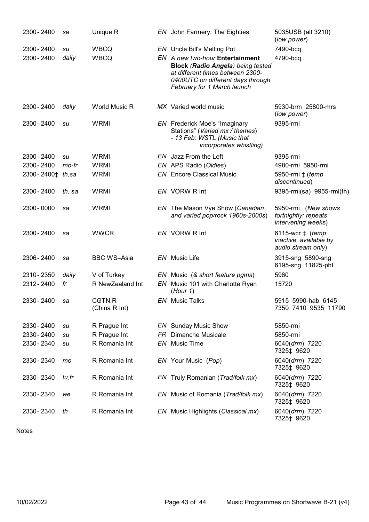| 2300 - 2400       | sa     | Unique R                       | EN John Farmery: The Eighties                                                                                                                                                       | 5035USB (alt 3210)<br>(low power)                                         |
|-------------------|--------|--------------------------------|-------------------------------------------------------------------------------------------------------------------------------------------------------------------------------------|---------------------------------------------------------------------------|
| 2300 - 2400       | su     | <b>WBCQ</b>                    | <b>EN</b> Uncle Bill's Melting Pot                                                                                                                                                  | 7490-bcq                                                                  |
| 2300 - 2400       | daily  | <b>WBCQ</b>                    | EN A new two-hour Entertainment<br><b>Block (Radio Angela) being tested</b><br>at different times between 2300-<br>0400UTC on different days through<br>February for 1 March launch | 4790-bcq                                                                  |
| 2300 - 2400       | daily  | <b>World Music R</b>           | MX Varied world music                                                                                                                                                               | 5930-brm 25800-mrs<br>(low power)                                         |
| 2300 - 2400       | su     | <b>WRMI</b>                    | <b>EN</b> Frederick Moe's "Imaginary<br>Stations" (Varied mx / themes)<br>- 13 Feb: WSTL (Music that<br>incorporates whistling)                                                     | 9395-rmi                                                                  |
| 2300 - 2400       | su     | <b>WRMI</b>                    | EN Jazz From the Left                                                                                                                                                               | 9395-rmi                                                                  |
| 2300 - 2400       | mo-fr  | <b>WRMI</b>                    | EN APS Radio (Oldies)                                                                                                                                                               | 4980-rmi 5950-rmi                                                         |
| 2300-2400‡ th, sa |        | <b>WRMI</b>                    | <b>EN</b> Encore Classical Music                                                                                                                                                    | 5950-rmi ± (temp<br>discontinued)                                         |
| 2300 - 2400       | th, sa | <b>WRMI</b>                    | EN VORW R Int                                                                                                                                                                       | 9395-rmi(sa) 9955-rmi(th)                                                 |
| 2300 - 0000       | sa     | <b>WRMI</b>                    | EN The Mason Vye Show (Canadian<br>and varied pop/rock 1960s-2000s)                                                                                                                 | 5950-rmi (New shows<br>fortnightly; repeats<br>intervening weeks)         |
| 2300 - 2400       | sa     | <b>WWCR</b>                    | EN VORW R Int                                                                                                                                                                       | 6115-wcr $\ddagger$ (temp<br>inactive, available by<br>audio stream only) |
| 2306 - 2400       | sa     | <b>BBC WS-Asia</b>             | EN Music Life                                                                                                                                                                       | 3915-sng 5890-sng<br>6195-sng 11825-pht                                   |
| 2310 - 2350       | daily  | V of Turkey                    | EN Music (& short feature pgms)                                                                                                                                                     | 5960                                                                      |
| 2312-2400         | fr     | R NewZealand Int               | EN Music 101 with Charlotte Ryan<br>(Hour 1)                                                                                                                                        | 15720                                                                     |
| 2330 - 2400       | sa     | <b>CGTN R</b><br>(China R Int) | <b>EN</b> Music Talks                                                                                                                                                               | 5915 5990-hab 6145<br>7350 7410 9535 11790                                |
| 2330 - 2400       | su     | R Prague Int                   | <b>EN</b> Sunday Music Show                                                                                                                                                         | 5850-rmi                                                                  |
| 2330 - 2400       | su     | R Prague Int                   | <b>FR</b> Dimanche Musicale                                                                                                                                                         | 5850-rmi                                                                  |
| 2330 - 2340       | su     | R Romania Int                  | EN Music Time                                                                                                                                                                       | 6040(drm) 7220<br>7325‡ 9620                                              |
| 2330 - 2340       | mo     | R Romania Int                  | EN Your Music (Pop)                                                                                                                                                                 | 6040(drm) 7220<br>7325‡ 9620                                              |
| 2330 - 2340       | tu,fr  | R Romania Int                  | EN Truly Romanian (Trad/folk mx)                                                                                                                                                    | 6040(drm) 7220<br>7325‡ 9620                                              |
| 2330 - 2340       | we     | R Romania Int                  | EN Music of Romania (Trad/folk mx)                                                                                                                                                  | 6040(drm) 7220<br>7325‡ 9620                                              |
| 2330 - 2340       | th     | R Romania Int                  | EN Music Highlights (Classical mx)                                                                                                                                                  | 6040(drm) 7220<br>7325‡ 9620                                              |